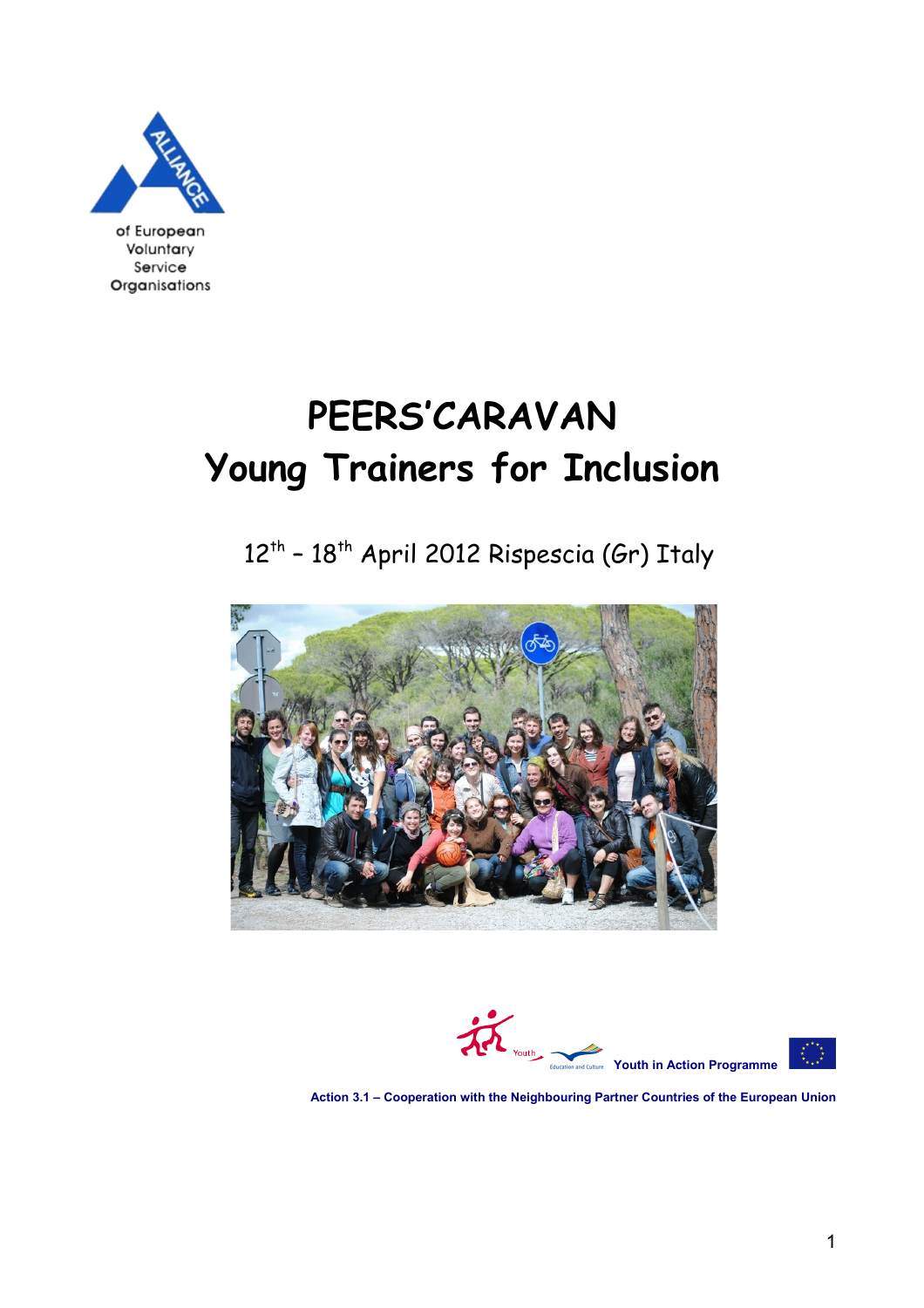

of European **Voluntary**<br>Service<br>**Organisations** 

# **PEERS'CARAVAN Young Trainers for Inclusion**

12<sup>th</sup> – 18<sup>th</sup> April 2012 Rispescia (Gr) Italy





 **Action 3.1 – Cooperation with the Neighbouring Partner Countries of the European Union**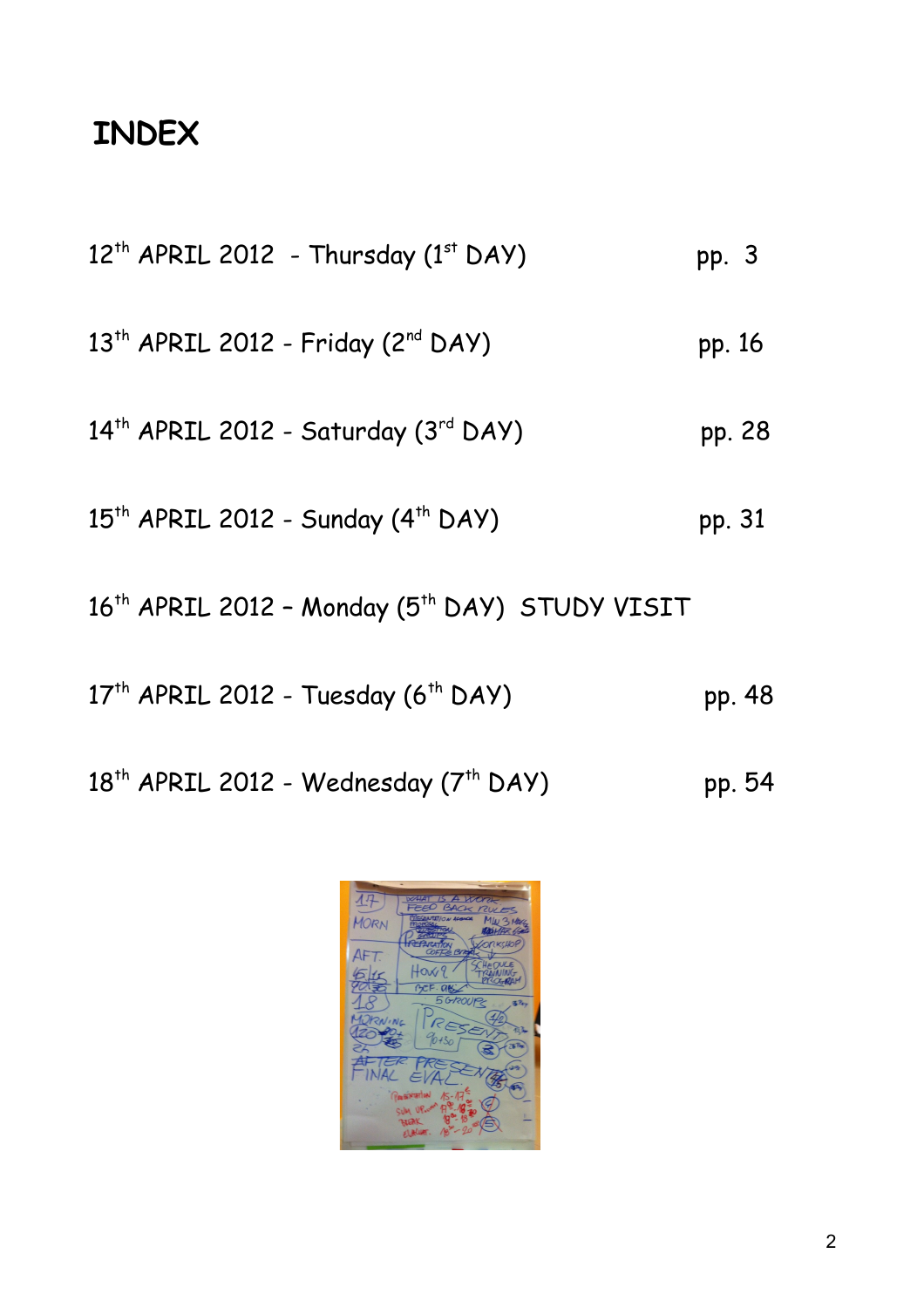# **INDEX**

| 12 <sup>th</sup> APRIL 2012 - Thursday (1st DAY)                       | pp. 3  |
|------------------------------------------------------------------------|--------|
| 13 <sup>th</sup> APRIL 2012 - Friday (2 <sup>nd</sup> DAY)             | pp. 16 |
| 14th APRIL 2012 - Saturday (3rd DAY)                                   | pp. 28 |
| 15 <sup>th</sup> APRIL 2012 - Sunday (4 <sup>th</sup> DAY)             | pp. 31 |
| 16 <sup>th</sup> APRIL 2012 - Monday (5 <sup>th</sup> DAY) STUDY VISIT |        |
| 17 <sup>th</sup> APRIL 2012 - Tuesday (6 <sup>th</sup> DAY)            | pp. 48 |
| 18 <sup>th</sup> APRIL 2012 - Wednesday (7 <sup>th</sup> DAY)          | pp. 54 |

邳 MORN AFT. Ho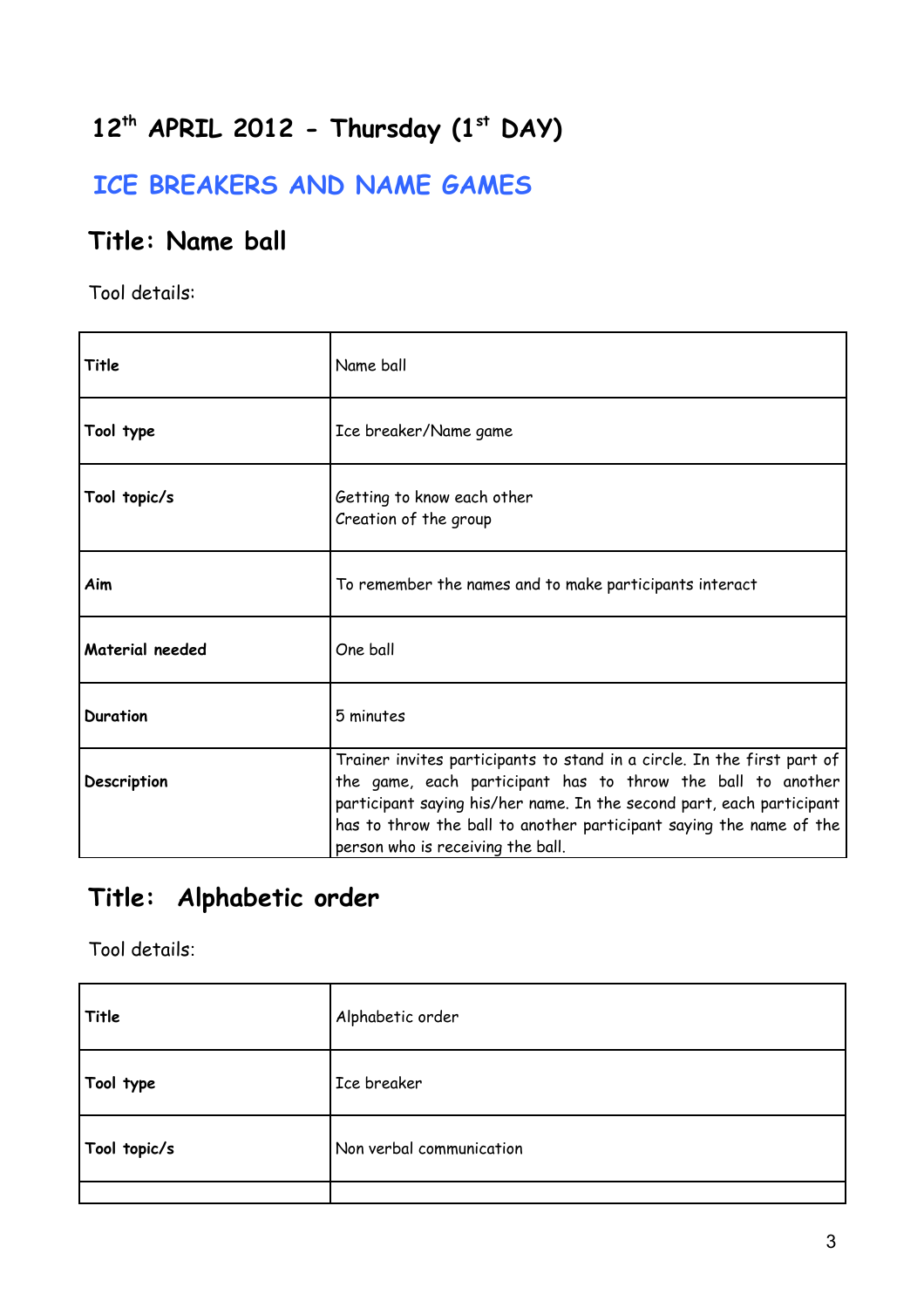# **12th APRIL 2012 - Thursday (1st DAY)**

### **ICE BREAKERS AND NAME GAMES**

### **Title: Name ball**

Tool details:

| Title           | Name ball                                                                                                                                                                                                                                                                                                                   |
|-----------------|-----------------------------------------------------------------------------------------------------------------------------------------------------------------------------------------------------------------------------------------------------------------------------------------------------------------------------|
| Tool type       | Ice breaker/Name game                                                                                                                                                                                                                                                                                                       |
| Tool topic/s    | Getting to know each other<br>Creation of the group                                                                                                                                                                                                                                                                         |
| Aim             | To remember the names and to make participants interact                                                                                                                                                                                                                                                                     |
| Material needed | One ball                                                                                                                                                                                                                                                                                                                    |
| <b>Duration</b> | 5 minutes                                                                                                                                                                                                                                                                                                                   |
| Description     | Trainer invites participants to stand in a circle. In the first part of<br>the game, each participant has to throw the ball to another<br>participant saying his/her name. In the second part, each participant<br>has to throw the ball to another participant saying the name of the<br>person who is receiving the ball. |

### **Title: Alphabetic order**

| Title        | Alphabetic order         |
|--------------|--------------------------|
| Tool type    | Ice breaker              |
| Tool topic/s | Non verbal communication |
|              |                          |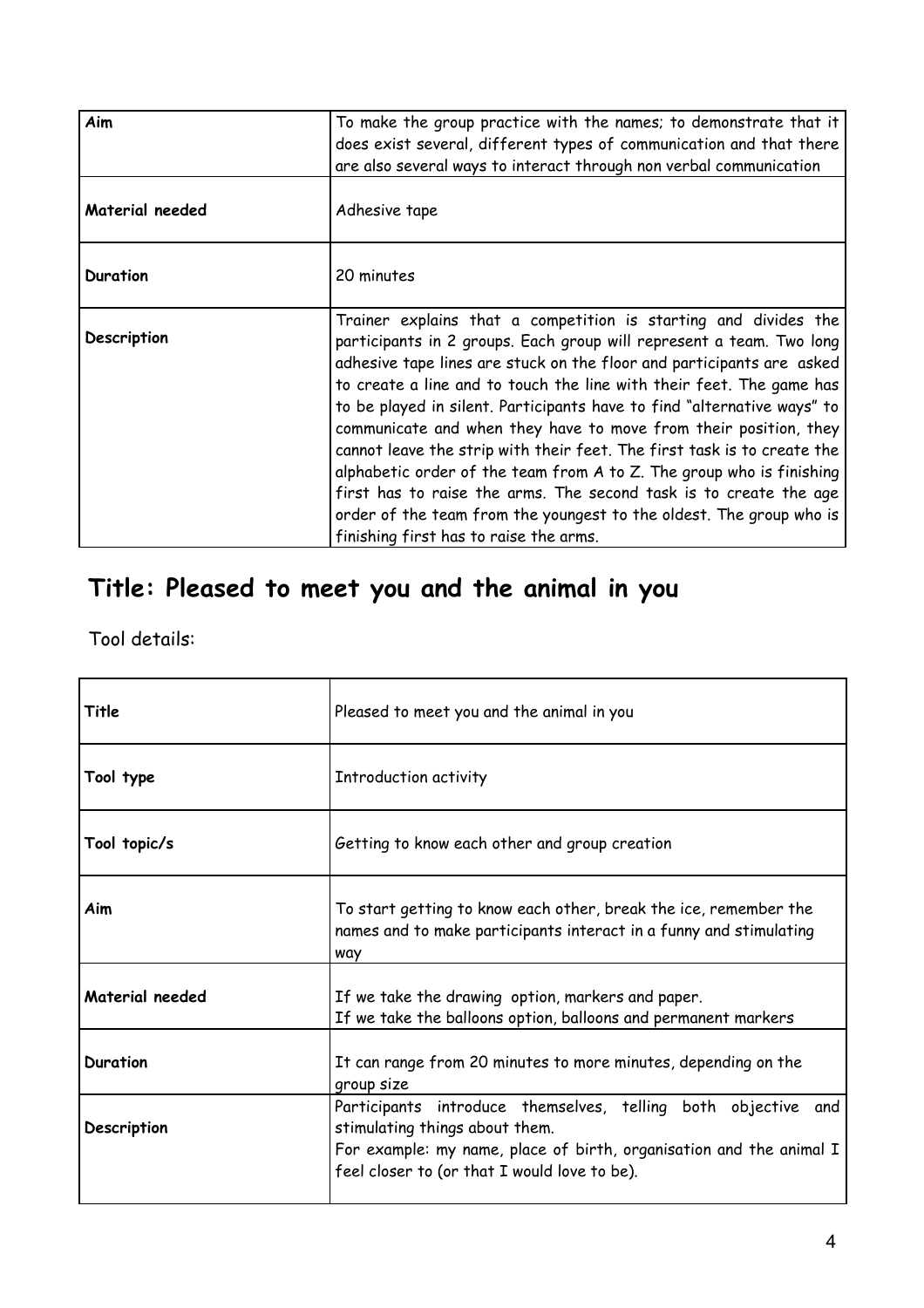| Aim             | To make the group practice with the names; to demonstrate that it<br>does exist several, different types of communication and that there<br>are also several ways to interact through non verbal communication                                                                                                                                                                                                                                                                                                                                                                                                                                                                                                                                                                   |
|-----------------|----------------------------------------------------------------------------------------------------------------------------------------------------------------------------------------------------------------------------------------------------------------------------------------------------------------------------------------------------------------------------------------------------------------------------------------------------------------------------------------------------------------------------------------------------------------------------------------------------------------------------------------------------------------------------------------------------------------------------------------------------------------------------------|
| Material needed | Adhesive tape                                                                                                                                                                                                                                                                                                                                                                                                                                                                                                                                                                                                                                                                                                                                                                    |
| Duration        | 20 minutes                                                                                                                                                                                                                                                                                                                                                                                                                                                                                                                                                                                                                                                                                                                                                                       |
| Description     | Trainer explains that a competition is starting and divides the<br>participants in 2 groups. Each group will represent a team. Two long<br>adhesive tape lines are stuck on the floor and participants are asked<br>to create a line and to touch the line with their feet. The game has<br>to be played in silent. Participants have to find "alternative ways" to<br>communicate and when they have to move from their position, they<br>cannot leave the strip with their feet. The first task is to create the<br>alphabetic order of the team from A to Z. The group who is finishing<br>first has to raise the arms. The second task is to create the age<br>order of the team from the youngest to the oldest. The group who is<br>finishing first has to raise the arms. |

# **Title: Pleased to meet you and the animal in you**

| Title           | Pleased to meet you and the animal in you                                                                                                                                                                              |
|-----------------|------------------------------------------------------------------------------------------------------------------------------------------------------------------------------------------------------------------------|
| Tool type       | Introduction activity                                                                                                                                                                                                  |
| Tool topic/s    | Getting to know each other and group creation                                                                                                                                                                          |
| Aim             | To start getting to know each other, break the ice, remember the<br>names and to make participants interact in a funny and stimulating<br>way                                                                          |
| Material needed | If we take the drawing option, markers and paper.<br>If we take the balloons option, balloons and permanent markers                                                                                                    |
| Duration        | It can range from 20 minutes to more minutes, depending on the<br>group size                                                                                                                                           |
| Description     | Participants introduce themselves, telling both objective and<br>stimulating things about them.<br>For example: my name, place of birth, organisation and the animal I<br>feel closer to (or that I would love to be). |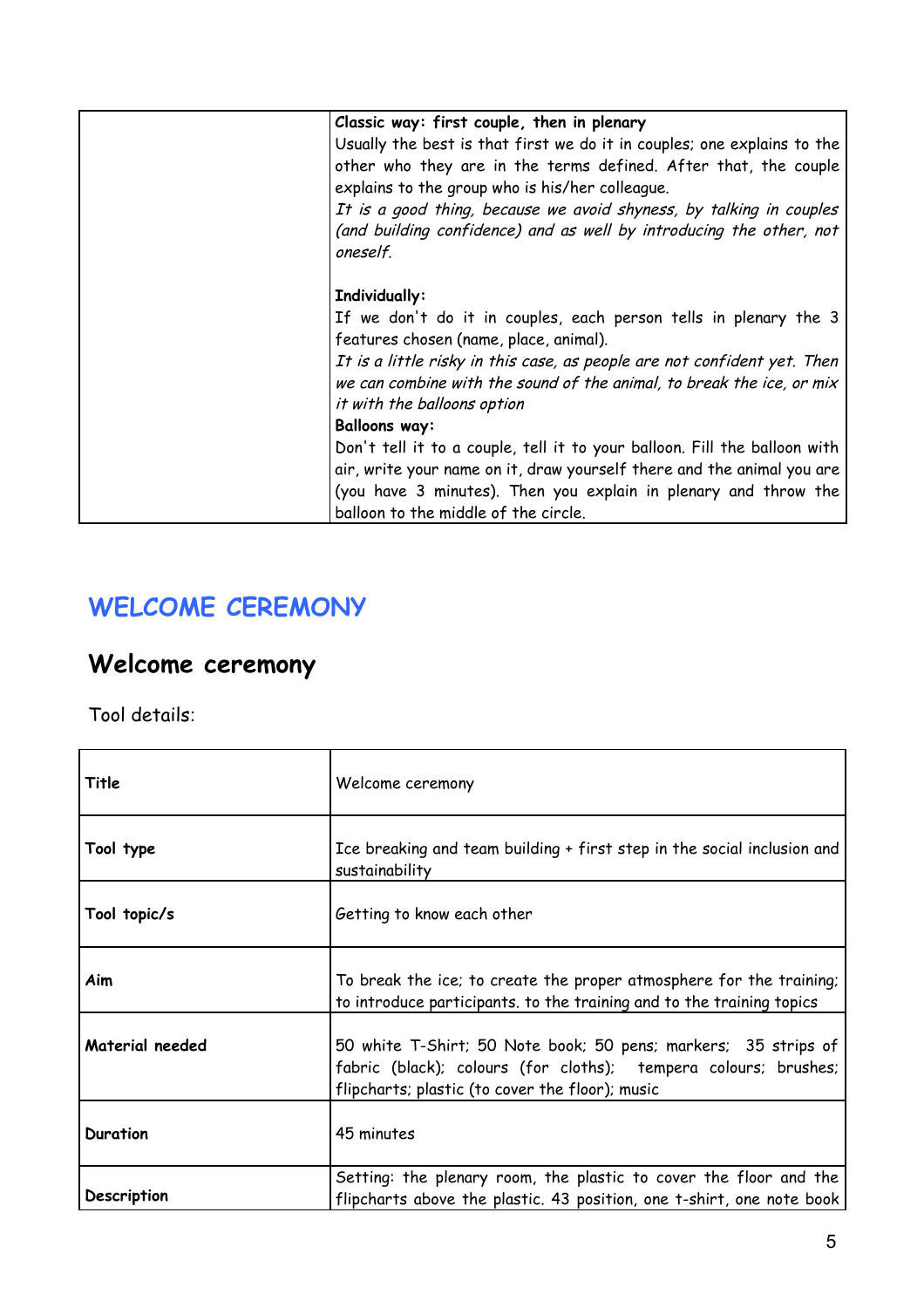| Classic way: first couple, then in plenary<br>Usually the best is that first we do it in couples; one explains to the<br>other who they are in the terms defined. After that, the couple<br>explains to the group who is his/her colleague.<br>It is a good thing, because we avoid shyness, by talking in couples<br>(and building confidence) and as well by introducing the other, not<br>oneself. |
|-------------------------------------------------------------------------------------------------------------------------------------------------------------------------------------------------------------------------------------------------------------------------------------------------------------------------------------------------------------------------------------------------------|
| Individually:<br>If we don't do it in couples, each person tells in plenary the 3<br>features chosen (name, place, animal).<br>It is a little risky in this case, as people are not confident yet. Then<br>we can combine with the sound of the animal, to break the ice, or mix<br>it with the balloons option<br><b>Balloons way:</b>                                                               |
| Don't tell it to a couple, tell it to your balloon. Fill the balloon with<br>air, write your name on it, draw yourself there and the animal you are<br>(you have 3 minutes). Then you explain in plenary and throw the<br>balloon to the middle of the circle.                                                                                                                                        |

### **WELCOME CEREMONY**

### **Welcome ceremony**

| Title           | Welcome ceremony                                                                                                                                                                     |
|-----------------|--------------------------------------------------------------------------------------------------------------------------------------------------------------------------------------|
| Tool type       | Ice breaking and team building + first step in the social inclusion and<br>sustainability                                                                                            |
| Tool topic/s    | Getting to know each other                                                                                                                                                           |
| Aim             | To break the ice; to create the proper atmosphere for the training;<br>to introduce participants. to the training and to the training topics                                         |
| Material needed | 50 white T-Shirt; 50 Note book; 50 pens; markers; 35 strips of<br>fabric (black); colours (for cloths); tempera colours; brushes;<br>flipcharts; plastic (to cover the floor); music |
| <b>Duration</b> | 45 minutes                                                                                                                                                                           |
| Description     | Setting: the plenary room, the plastic to cover the floor and the<br>flipcharts above the plastic. 43 position, one t-shirt, one note book                                           |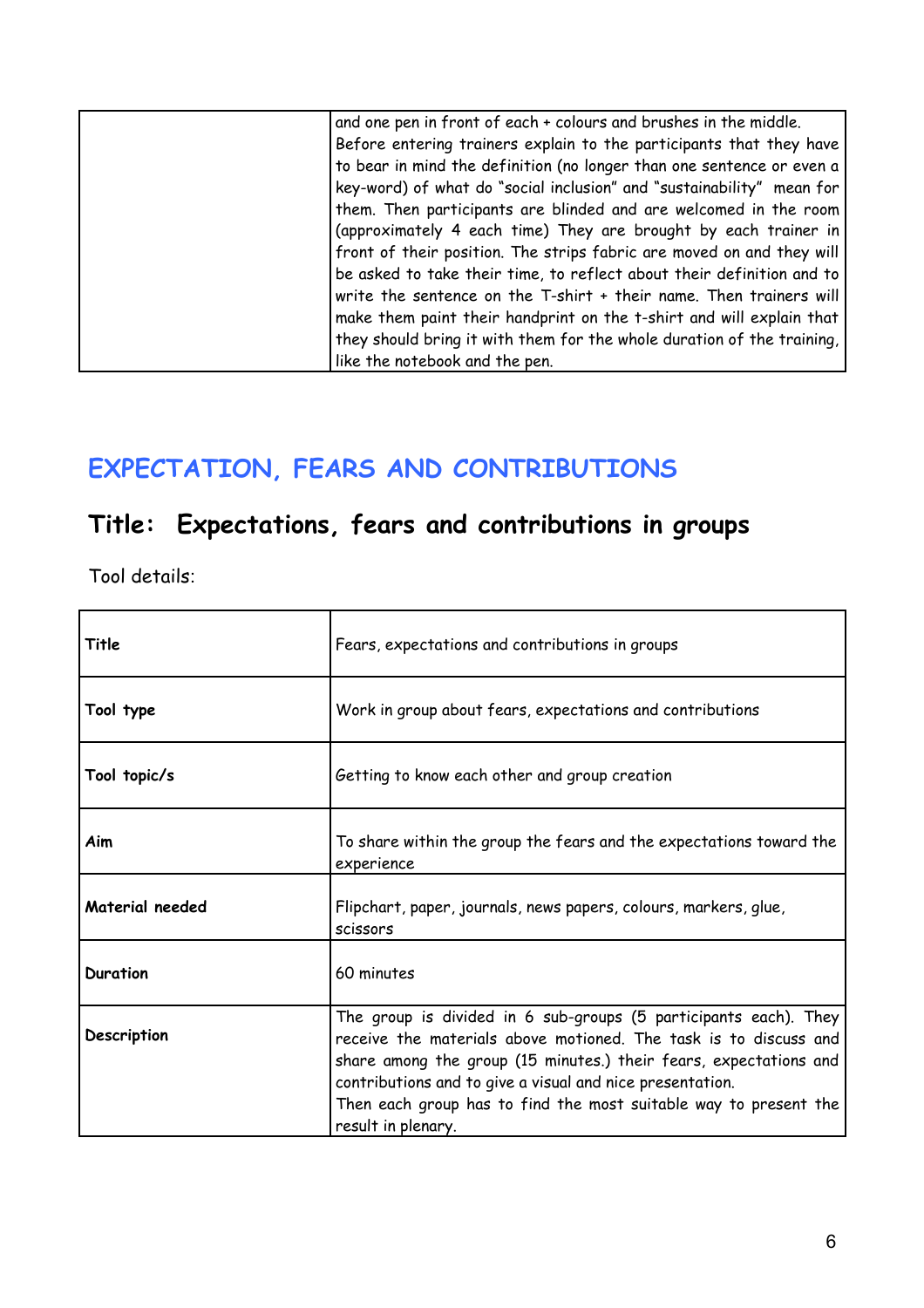| and one pen in front of each + colours and brushes in the middle.      |
|------------------------------------------------------------------------|
| Before entering trainers explain to the participants that they have    |
| to bear in mind the definition (no longer than one sentence or even a  |
| key-word) of what do "social inclusion" and "sustainability" mean for  |
| them. Then participants are blinded and are welcomed in the room       |
| (approximately 4 each time) They are brought by each trainer in        |
| front of their position. The strips fabric are moved on and they will  |
| be asked to take their time, to reflect about their definition and to  |
| write the sentence on the T-shirt + their name. Then trainers will     |
| make them paint their handprint on the t-shirt and will explain that   |
| they should bring it with them for the whole duration of the training, |
| like the notebook and the pen.                                         |
|                                                                        |

### **EXPECTATION, FEARS AND CONTRIBUTIONS**

# **Title: Expectations, fears and contributions in groups**

| Title           | Fears, expectations and contributions in groups                                                                                                                                                                                                                                                                                                                  |
|-----------------|------------------------------------------------------------------------------------------------------------------------------------------------------------------------------------------------------------------------------------------------------------------------------------------------------------------------------------------------------------------|
| Tool type       | Work in group about fears, expectations and contributions                                                                                                                                                                                                                                                                                                        |
| Tool topic/s    | Getting to know each other and group creation                                                                                                                                                                                                                                                                                                                    |
| Aim             | To share within the group the fears and the expectations toward the<br>experience                                                                                                                                                                                                                                                                                |
| Material needed | Flipchart, paper, journals, news papers, colours, markers, glue,<br>scissors                                                                                                                                                                                                                                                                                     |
| <b>Duration</b> | 60 minutes                                                                                                                                                                                                                                                                                                                                                       |
| Description     | The group is divided in 6 sub-groups (5 participants each). They<br>receive the materials above motioned. The task is to discuss and<br>share among the group (15 minutes.) their fears, expectations and<br>contributions and to give a visual and nice presentation.<br>Then each group has to find the most suitable way to present the<br>result in plenary. |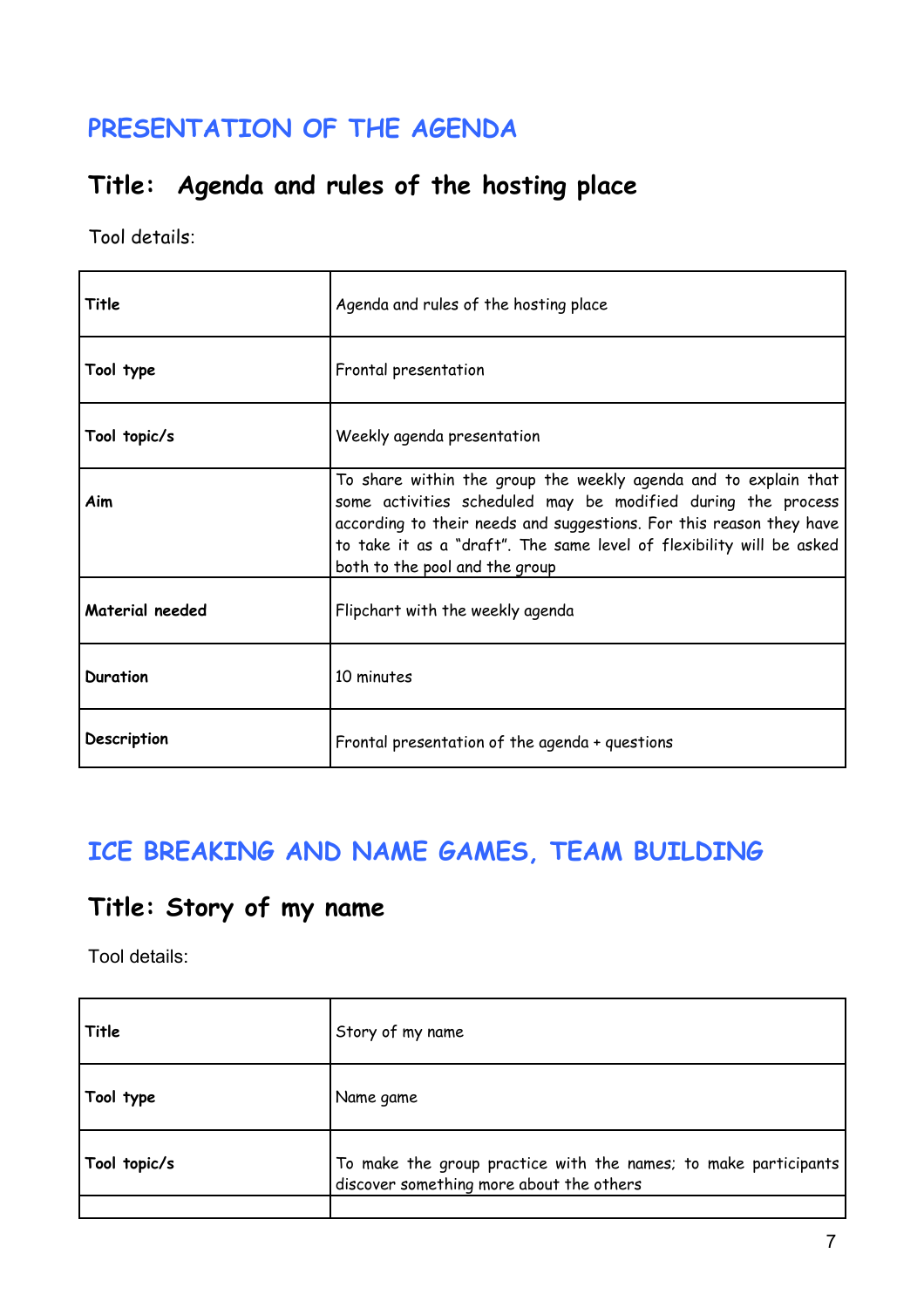### **PRESENTATION OF THE AGENDA**

### **Title: Agenda and rules of the hosting place**

Tool details:

| Title              | Agenda and rules of the hosting place                                                                                                                                                                                                                                                                            |
|--------------------|------------------------------------------------------------------------------------------------------------------------------------------------------------------------------------------------------------------------------------------------------------------------------------------------------------------|
| Tool type          | Frontal presentation                                                                                                                                                                                                                                                                                             |
| Tool topic/s       | Weekly agenda presentation                                                                                                                                                                                                                                                                                       |
| Aim                | To share within the group the weekly agenda and to explain that<br>some activities scheduled may be modified during the process<br>according to their needs and suggestions. For this reason they have<br>to take it as a "draft". The same level of flexibility will be asked<br>both to the pool and the group |
| Material needed    | Flipchart with the weekly agenda                                                                                                                                                                                                                                                                                 |
| Duration           | 10 minutes                                                                                                                                                                                                                                                                                                       |
| <b>Description</b> | Frontal presentation of the agenda + questions                                                                                                                                                                                                                                                                   |

### **ICE BREAKING AND NAME GAMES, TEAM BUILDING**

### **Title: Story of my name**

| Title        | Story of my name                                                                                                      |
|--------------|-----------------------------------------------------------------------------------------------------------------------|
| Tool type    | Name game                                                                                                             |
| Tool topic/s | $\,$ To make the group practice with the names; to make participants $\,$<br>discover something more about the others |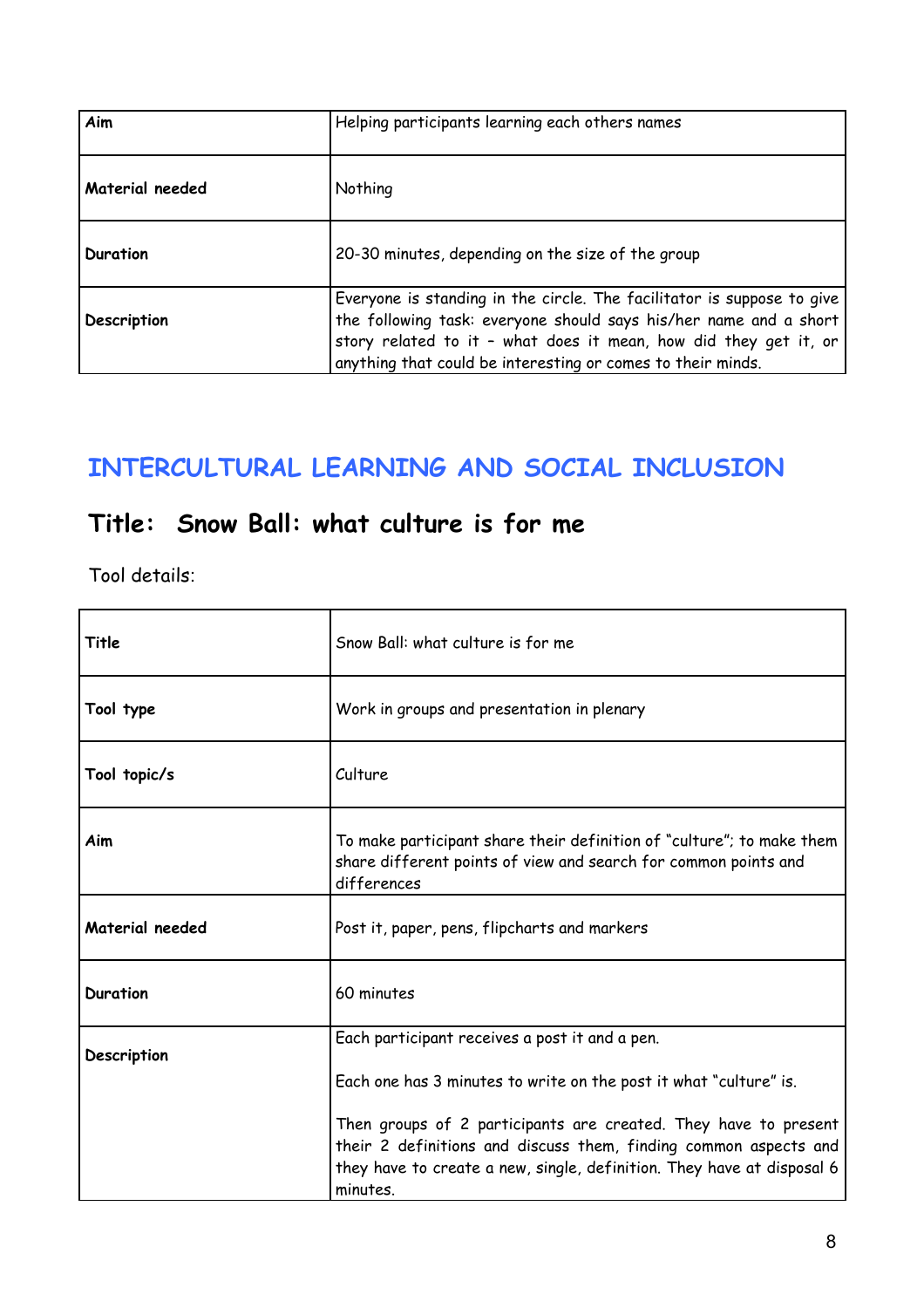| Aim             | Helping participants learning each others names                                                                                                                                                                                                                                |
|-----------------|--------------------------------------------------------------------------------------------------------------------------------------------------------------------------------------------------------------------------------------------------------------------------------|
| Material needed | Nothing                                                                                                                                                                                                                                                                        |
| Duration        | 20-30 minutes, depending on the size of the group                                                                                                                                                                                                                              |
| Description     | Everyone is standing in the circle. The facilitator is suppose to give<br>the following task: everyone should says his/her name and a short<br>story related to it - what does it mean, how did they get it, or<br>anything that could be interesting or comes to their minds. |

### **INTERCULTURAL LEARNING AND SOCIAL INCLUSION**

### **Title: Snow Ball: what culture is for me**

| Title           | Snow Ball: what culture is for me                                                                                                                       |
|-----------------|---------------------------------------------------------------------------------------------------------------------------------------------------------|
| Tool type       | Work in groups and presentation in plenary                                                                                                              |
| Tool topic/s    | Culture                                                                                                                                                 |
| Aim             | To make participant share their definition of "culture"; to make them<br>share different points of view and search for common points and<br>differences |
| Material needed | Post it, paper, pens, flipcharts and markers                                                                                                            |
| <b>Duration</b> | 60 minutes                                                                                                                                              |
| Description     | Each participant receives a post it and a pen.                                                                                                          |
|                 | Each one has 3 minutes to write on the post it what "culture" is.                                                                                       |
|                 | Then groups of 2 participants are created. They have to present<br>their 2 definitions and discuss them, finding common aspects and                     |
|                 | they have to create a new, single, definition. They have at disposal 6<br>minutes.                                                                      |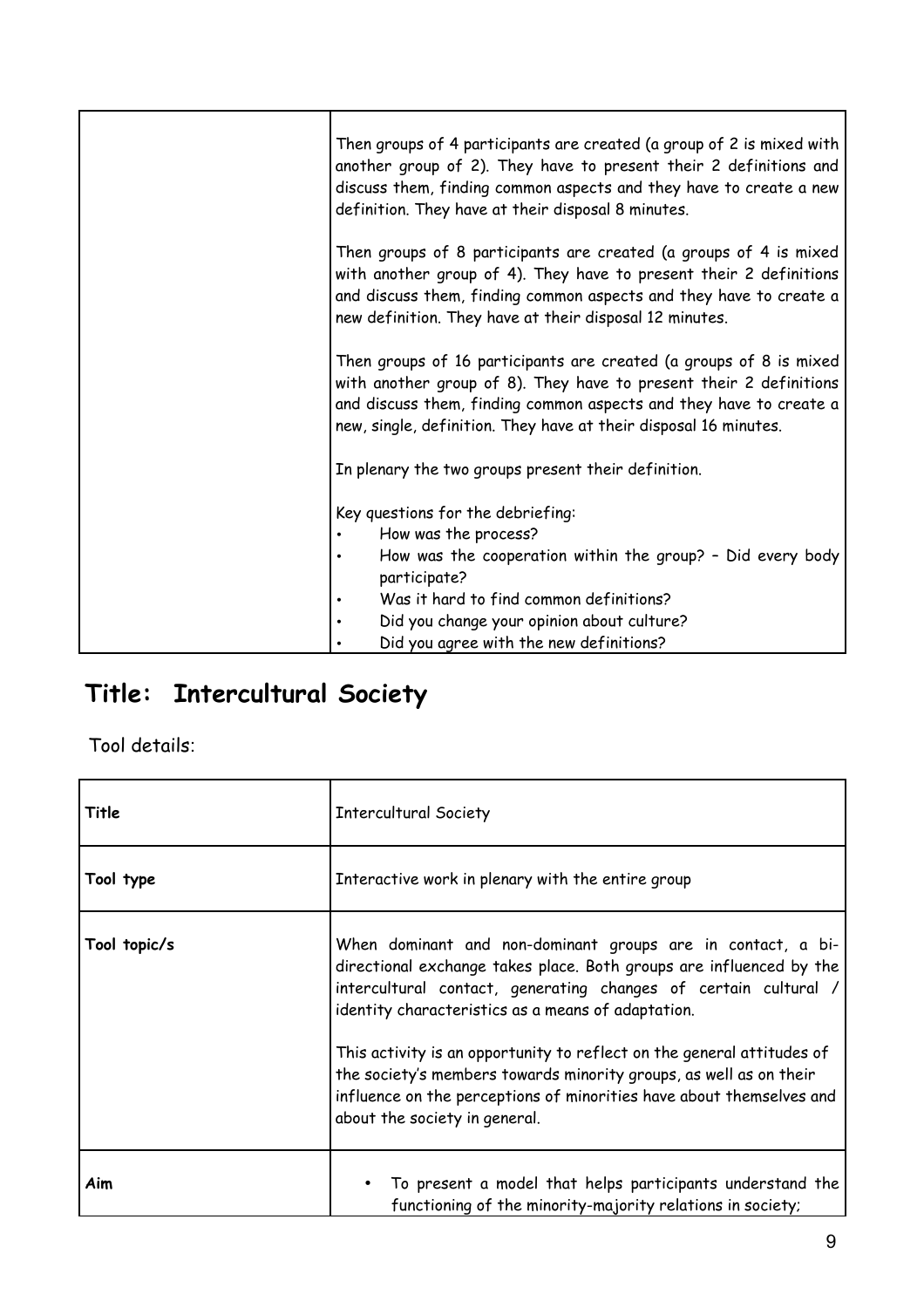| Then groups of 4 participants are created (a group of 2 is mixed with<br>another group of 2). They have to present their 2 definitions and<br>discuss them, finding common aspects and they have to create a new<br>definition. They have at their disposal 8 minutes.             |
|------------------------------------------------------------------------------------------------------------------------------------------------------------------------------------------------------------------------------------------------------------------------------------|
| Then groups of 8 participants are created (a groups of 4 is mixed<br>with another group of 4). They have to present their 2 definitions<br>and discuss them, finding common aspects and they have to create a<br>new definition. They have at their disposal 12 minutes.           |
| Then groups of 16 participants are created (a groups of 8 is mixed<br>with another group of 8). They have to present their 2 definitions<br>and discuss them, finding common aspects and they have to create a<br>new, single, definition. They have at their disposal 16 minutes. |
| In plenary the two groups present their definition.                                                                                                                                                                                                                                |
| Key questions for the debriefing:<br>How was the process?<br>How was the cooperation within the group? - Did every body<br>participate?<br>Was it hard to find common definitions?<br>Did you change your opinion about culture?                                                   |
| Did you agree with the new definitions?                                                                                                                                                                                                                                            |

# **Title: Intercultural Society**

| Title        | <b>Intercultural Society</b>                                                                                                                                                                                                                                                                                                                                                                                                                                                                                         |
|--------------|----------------------------------------------------------------------------------------------------------------------------------------------------------------------------------------------------------------------------------------------------------------------------------------------------------------------------------------------------------------------------------------------------------------------------------------------------------------------------------------------------------------------|
| Tool type    | Interactive work in plenary with the entire group                                                                                                                                                                                                                                                                                                                                                                                                                                                                    |
| Tool topic/s | When dominant and non-dominant groups are in contact, a bi-<br>directional exchange takes place. Both groups are influenced by the<br>intercultural contact, generating changes of certain cultural /<br>identity characteristics as a means of adaptation.<br>This activity is an opportunity to reflect on the general attitudes of<br>the society's members towards minority groups, as well as on their<br>influence on the perceptions of minorities have about themselves and<br>about the society in general. |
| Aim          | To present a model that helps participants understand the<br>functioning of the minority-majority relations in society;                                                                                                                                                                                                                                                                                                                                                                                              |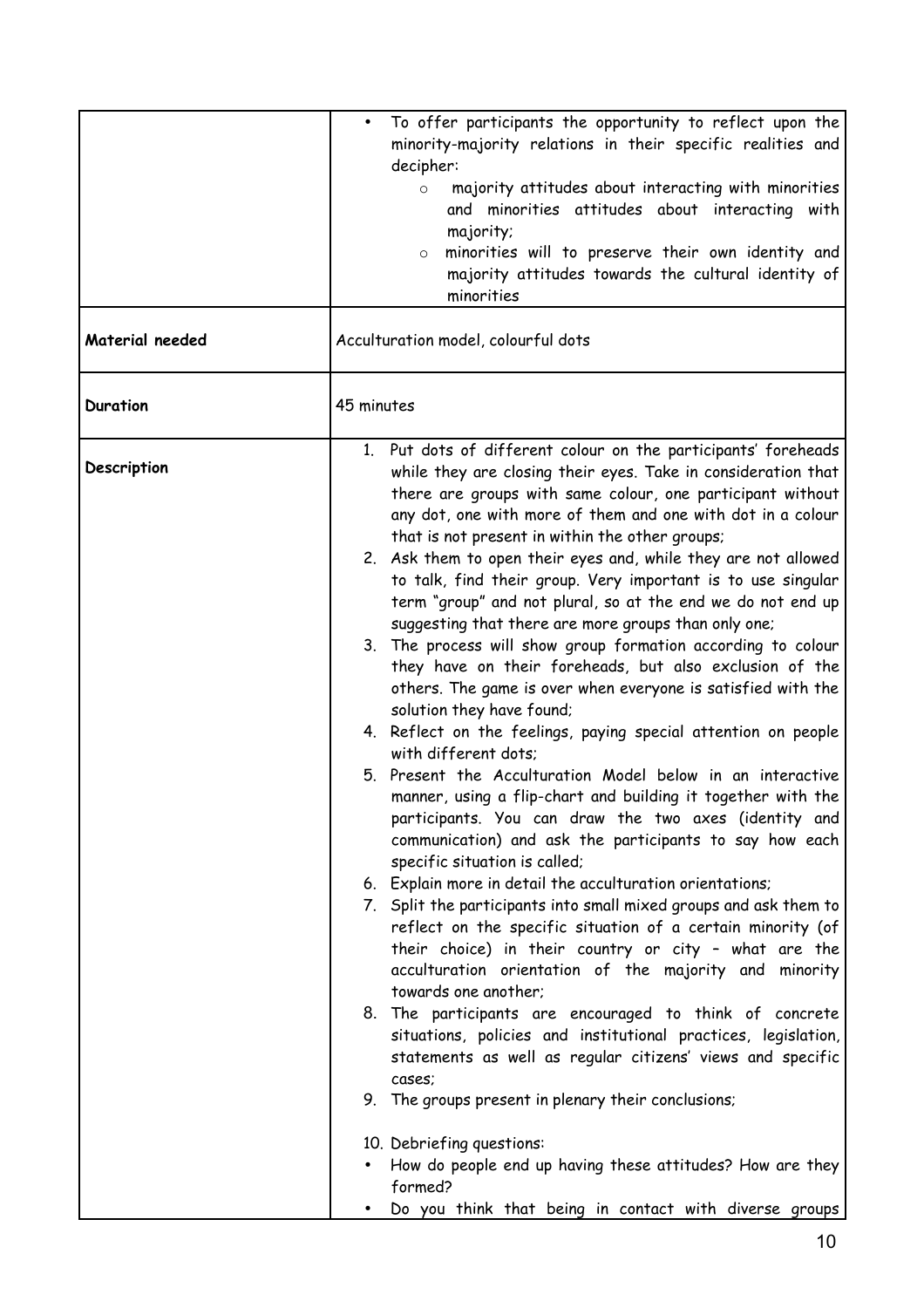| Material needed | To offer participants the opportunity to reflect upon the<br>minority-majority relations in their specific realities and<br>decipher:<br>majority attitudes about interacting with minorities<br>$\circ$<br>and minorities attitudes about interacting with<br>majority;<br>minorities will to preserve their own identity and<br>$\circ$<br>majority attitudes towards the cultural identity of<br>minorities<br>Acculturation model, colourful dots                                                                                                                                                                                                                                                                                                                                                                                                                                                                                                                                                                                                                                                                                                                                                                                                                                                                                                                                                                                                                                                                                                                                                                                                                                                                                                                                                                                                                                                                                                |
|-----------------|------------------------------------------------------------------------------------------------------------------------------------------------------------------------------------------------------------------------------------------------------------------------------------------------------------------------------------------------------------------------------------------------------------------------------------------------------------------------------------------------------------------------------------------------------------------------------------------------------------------------------------------------------------------------------------------------------------------------------------------------------------------------------------------------------------------------------------------------------------------------------------------------------------------------------------------------------------------------------------------------------------------------------------------------------------------------------------------------------------------------------------------------------------------------------------------------------------------------------------------------------------------------------------------------------------------------------------------------------------------------------------------------------------------------------------------------------------------------------------------------------------------------------------------------------------------------------------------------------------------------------------------------------------------------------------------------------------------------------------------------------------------------------------------------------------------------------------------------------------------------------------------------------------------------------------------------------|
| Duration        | 45 minutes                                                                                                                                                                                                                                                                                                                                                                                                                                                                                                                                                                                                                                                                                                                                                                                                                                                                                                                                                                                                                                                                                                                                                                                                                                                                                                                                                                                                                                                                                                                                                                                                                                                                                                                                                                                                                                                                                                                                           |
| Description     | 1. Put dots of different colour on the participants' foreheads<br>while they are closing their eyes. Take in consideration that<br>there are groups with same colour, one participant without<br>any dot, one with more of them and one with dot in a colour<br>that is not present in within the other groups;<br>2. Ask them to open their eyes and, while they are not allowed<br>to talk, find their group. Very important is to use singular<br>term "group" and not plural, so at the end we do not end up<br>suggesting that there are more groups than only one;<br>3. The process will show group formation according to colour<br>they have on their foreheads, but also exclusion of the<br>others. The game is over when everyone is satisfied with the<br>solution they have found;<br>4. Reflect on the feelings, paying special attention on people<br>with different dots;<br>5. Present the Acculturation Model below in an interactive<br>manner, using a flip-chart and building it together with the<br>participants. You can draw the two axes (identity and<br>communication) and ask the participants to say how each<br>specific situation is called;<br>6. Explain more in detail the acculturation orientations;<br>7. Split the participants into small mixed groups and ask them to<br>reflect on the specific situation of a certain minority (of<br>their choice) in their country or city - what are the<br>acculturation orientation of the majority and minority<br>towards one another;<br>8. The participants are encouraged to think of concrete<br>situations, policies and institutional practices, legislation,<br>statements as well as regular citizens' views and specific<br>cases;<br>9. The groups present in plenary their conclusions;<br>10. Debriefing questions:<br>How do people end up having these attitudes? How are they<br>formed?<br>Do you think that being in contact with diverse groups |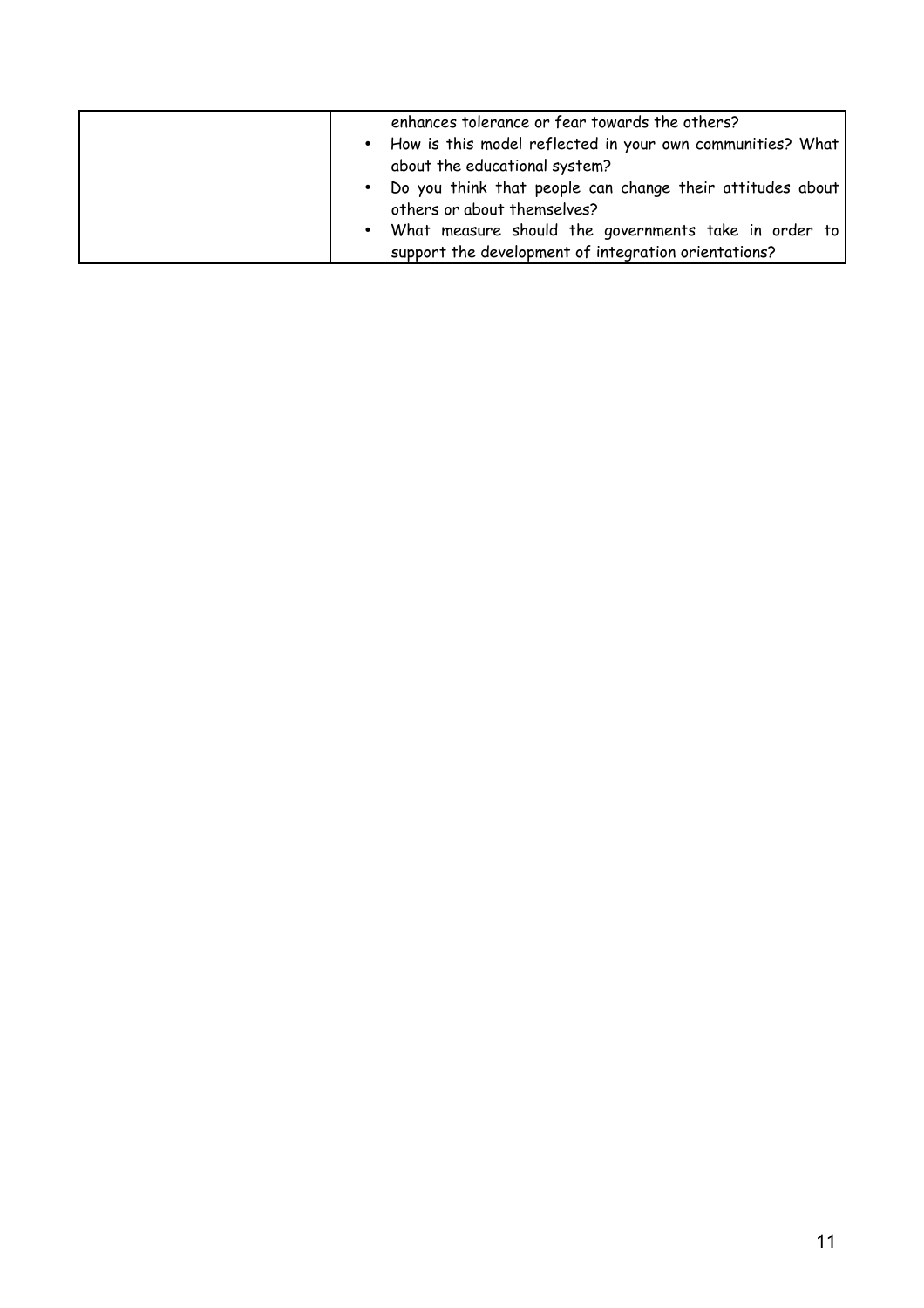|  | enhances tolerance or fear towards the others?<br>• How is this model reflected in your own communities? What<br>about the educational system?<br>. Do you think that people can change their attitudes about<br>others or about themselves?<br>• What measure should the governments take in order to<br>support the development of integration orientations? |
|--|----------------------------------------------------------------------------------------------------------------------------------------------------------------------------------------------------------------------------------------------------------------------------------------------------------------------------------------------------------------|
|--|----------------------------------------------------------------------------------------------------------------------------------------------------------------------------------------------------------------------------------------------------------------------------------------------------------------------------------------------------------------|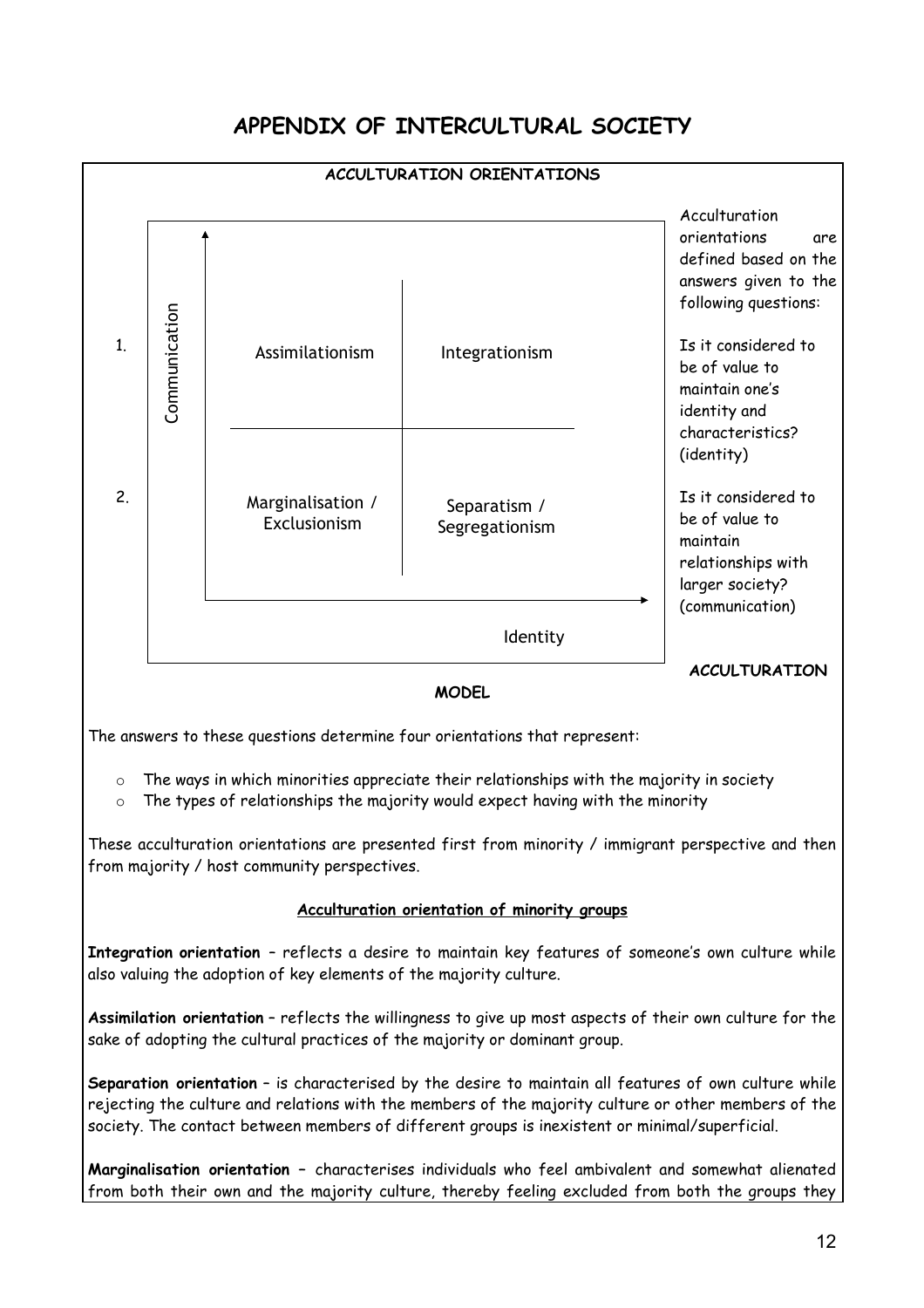### **APPENDIX OF INTERCULTURAL SOCIETY**

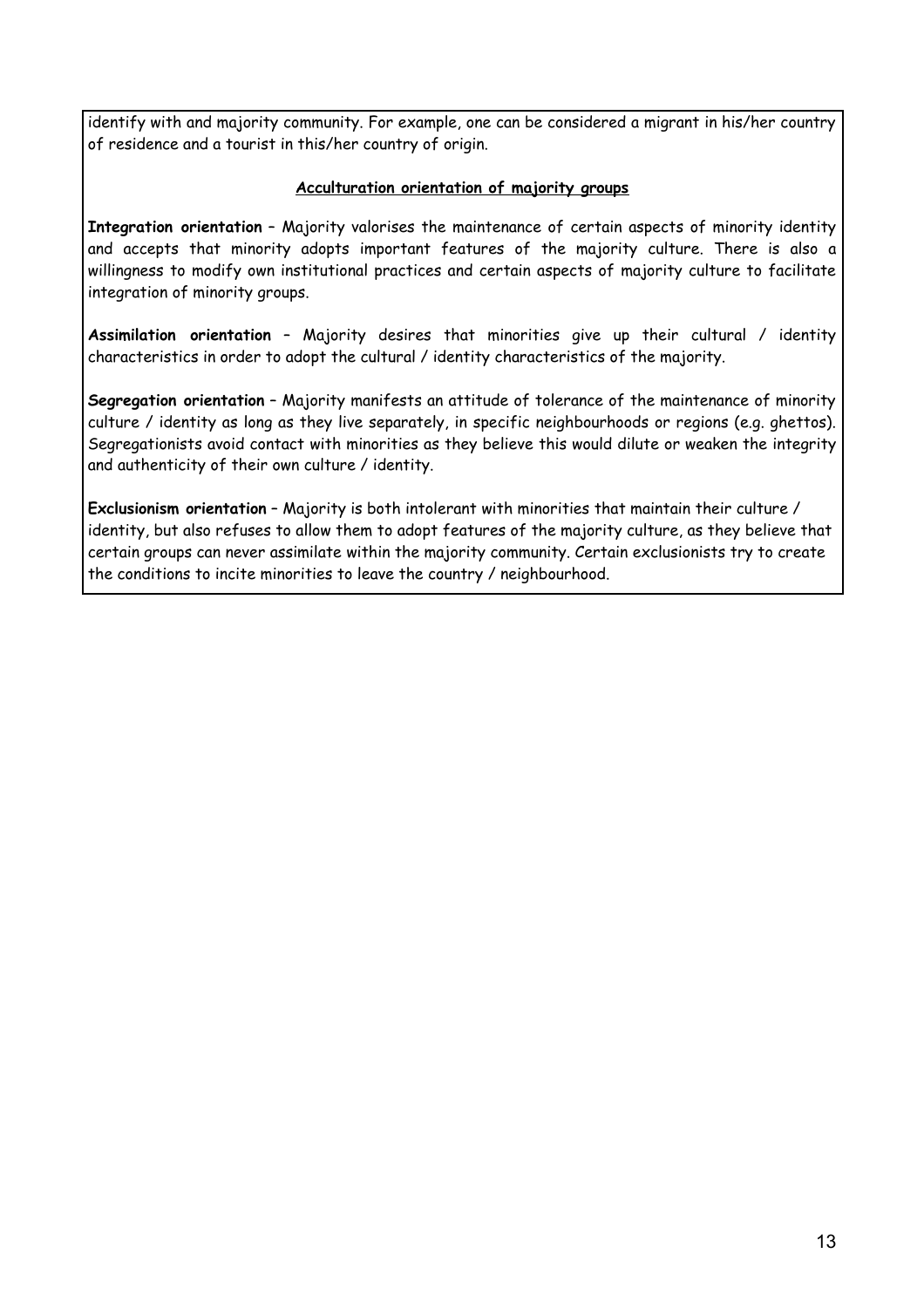identify with and majority community. For example, one can be considered a migrant in his/her country of residence and a tourist in this/her country of origin.

#### **Acculturation orientation of majority groups**

**Integration orientation** – Majority valorises the maintenance of certain aspects of minority identity and accepts that minority adopts important features of the majority culture. There is also a willingness to modify own institutional practices and certain aspects of majority culture to facilitate integration of minority groups.

**Assimilation orientation** – Majority desires that minorities give up their cultural / identity characteristics in order to adopt the cultural / identity characteristics of the majority.

**Segregation orientation** – Majority manifests an attitude of tolerance of the maintenance of minority culture / identity as long as they live separately, in specific neighbourhoods or regions (e.g. ghettos). Segregationists avoid contact with minorities as they believe this would dilute or weaken the integrity and authenticity of their own culture / identity.

**Exclusionism orientation** – Majority is both intolerant with minorities that maintain their culture / identity, but also refuses to allow them to adopt features of the majority culture, as they believe that certain groups can never assimilate within the majority community. Certain exclusionists try to create the conditions to incite minorities to leave the country / neighbourhood.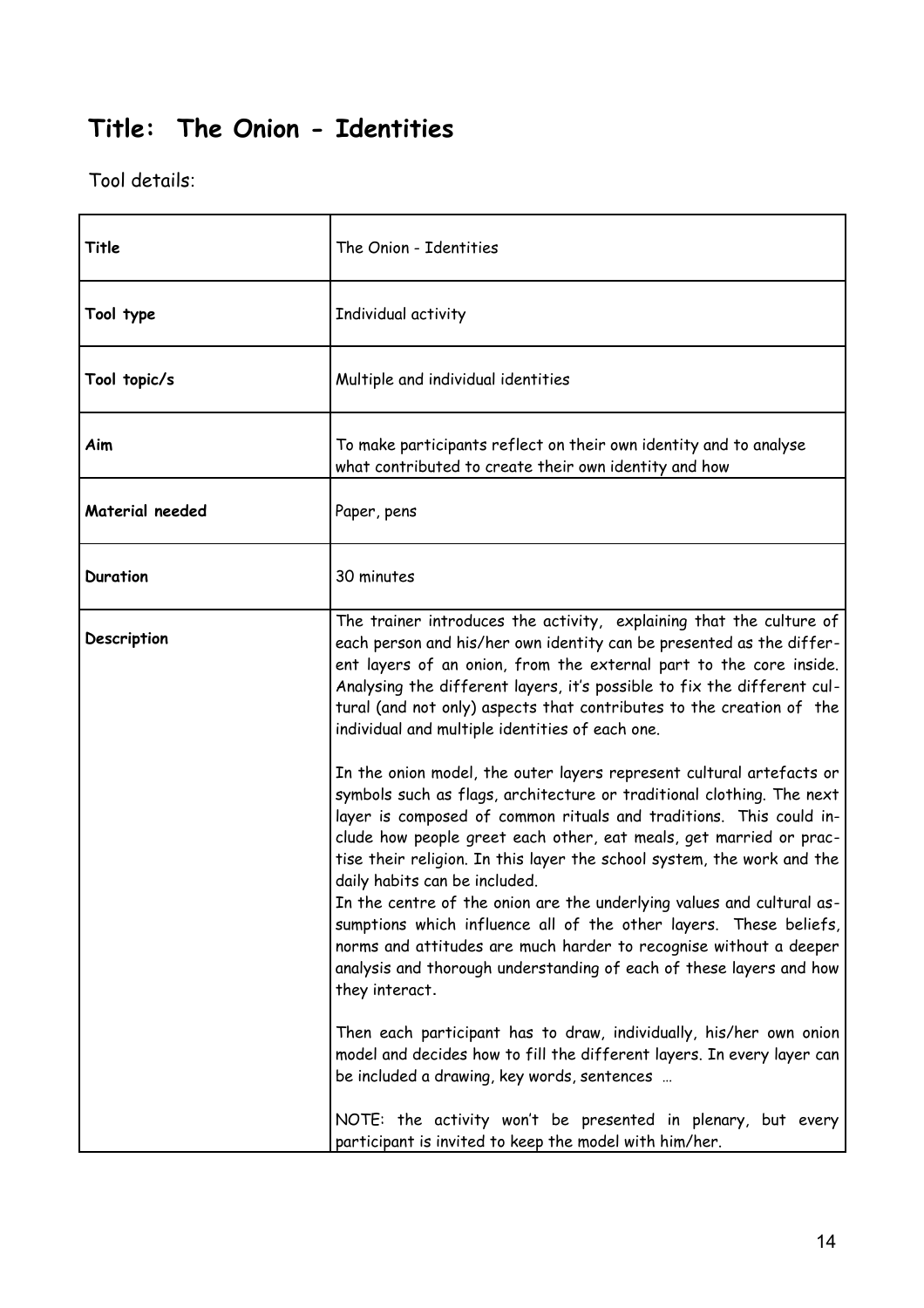### **Title: The Onion - Identities**

| Title           | The Onion - Identities                                                                                                                                                                                                                                                                                                                                                                                                                                                                                                                                                                                                                                                                                           |
|-----------------|------------------------------------------------------------------------------------------------------------------------------------------------------------------------------------------------------------------------------------------------------------------------------------------------------------------------------------------------------------------------------------------------------------------------------------------------------------------------------------------------------------------------------------------------------------------------------------------------------------------------------------------------------------------------------------------------------------------|
| Tool type       | Individual activity                                                                                                                                                                                                                                                                                                                                                                                                                                                                                                                                                                                                                                                                                              |
| Tool topic/s    | Multiple and individual identities                                                                                                                                                                                                                                                                                                                                                                                                                                                                                                                                                                                                                                                                               |
| Aim             | To make participants reflect on their own identity and to analyse<br>what contributed to create their own identity and how                                                                                                                                                                                                                                                                                                                                                                                                                                                                                                                                                                                       |
| Material needed | Paper, pens                                                                                                                                                                                                                                                                                                                                                                                                                                                                                                                                                                                                                                                                                                      |
| <b>Duration</b> | 30 minutes                                                                                                                                                                                                                                                                                                                                                                                                                                                                                                                                                                                                                                                                                                       |
| Description     | The trainer introduces the activity, explaining that the culture of<br>each person and his/her own identity can be presented as the differ-<br>ent layers of an onion, from the external part to the core inside.<br>Analysing the different layers, it's possible to fix the different cul-<br>tural (and not only) aspects that contributes to the creation of the<br>individual and multiple identities of each one.                                                                                                                                                                                                                                                                                          |
|                 | In the onion model, the outer layers represent cultural artefacts or<br>symbols such as flags, architecture or traditional clothing. The next<br>layer is composed of common rituals and traditions. This could in-<br>clude how people greet each other, eat meals, get married or prac-<br>tise their religion. In this layer the school system, the work and the<br>daily habits can be included.<br>In the centre of the onion are the underlying values and cultural as-<br>sumptions which influence all of the other layers. These beliefs,<br>norms and attitudes are much harder to recognise without a deeper<br>analysis and thorough understanding of each of these layers and how<br>they interact. |
|                 | Then each participant has to draw, individually, his/her own onion<br>model and decides how to fill the different layers. In every layer can<br>be included a drawing, key words, sentences                                                                                                                                                                                                                                                                                                                                                                                                                                                                                                                      |
|                 | NOTE: the activity won't be presented in plenary, but every<br>participant is invited to keep the model with him/her.                                                                                                                                                                                                                                                                                                                                                                                                                                                                                                                                                                                            |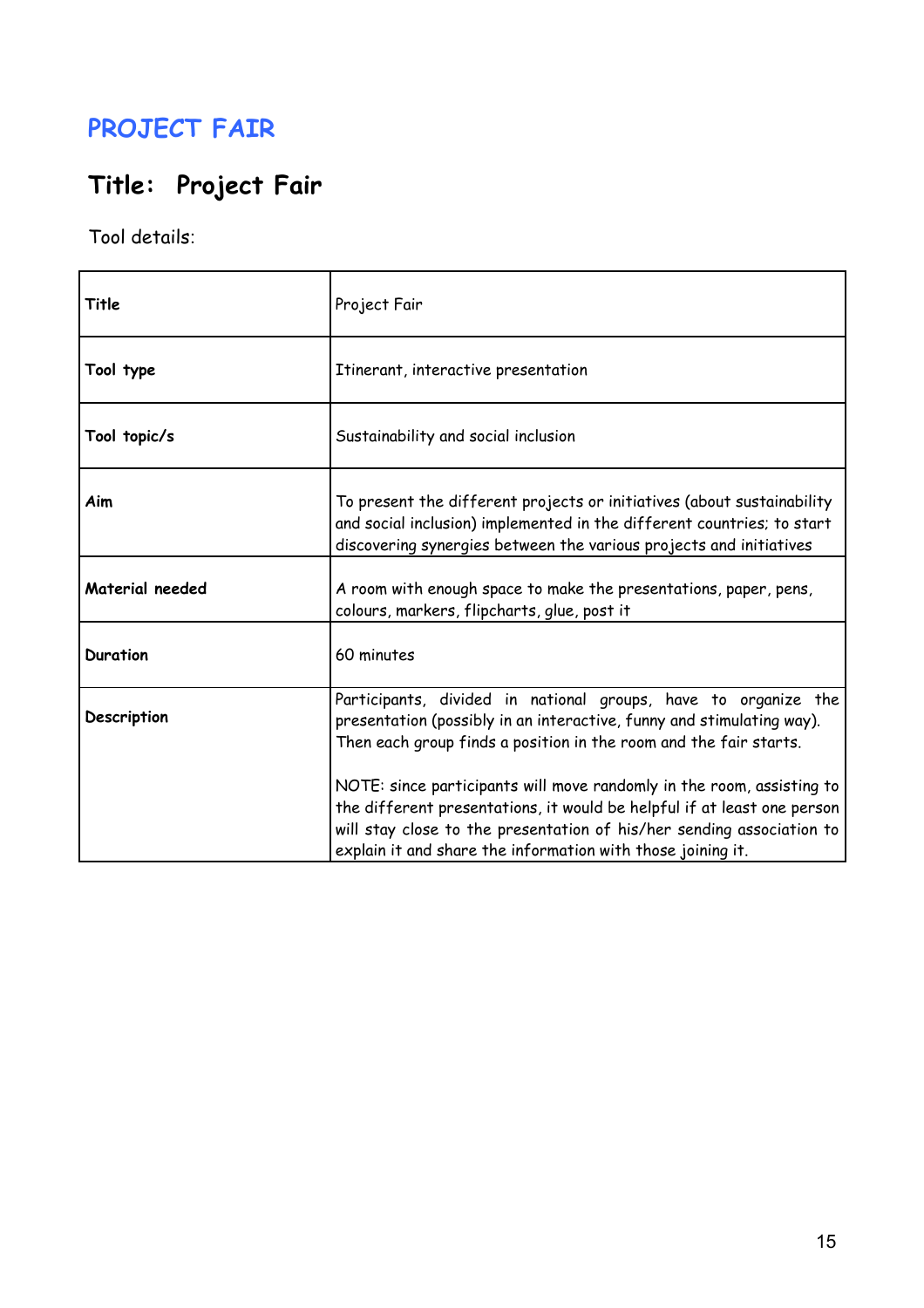### **PROJECT FAIR**

# **Title: Project Fair**

| Title           | Project Fair                                                                                                                                                                                                                                                                             |
|-----------------|------------------------------------------------------------------------------------------------------------------------------------------------------------------------------------------------------------------------------------------------------------------------------------------|
| Tool type       | Itinerant, interactive presentation                                                                                                                                                                                                                                                      |
| Tool topic/s    | Sustainability and social inclusion                                                                                                                                                                                                                                                      |
| Aim             | To present the different projects or initiatives (about sustainability<br>and social inclusion) implemented in the different countries; to start<br>discovering synergies between the various projects and initiatives                                                                   |
| Material needed | A room with enough space to make the presentations, paper, pens,<br>colours, markers, flipcharts, glue, post it                                                                                                                                                                          |
| <b>Duration</b> | 60 minutes                                                                                                                                                                                                                                                                               |
| Description     | Participants, divided in national groups, have to organize the<br>presentation (possibly in an interactive, funny and stimulating way).<br>Then each group finds a position in the room and the fair starts.                                                                             |
|                 | NOTE: since participants will move randomly in the room, assisting to<br>the different presentations, it would be helpful if at least one person<br>will stay close to the presentation of his/her sending association to<br>explain it and share the information with those joining it. |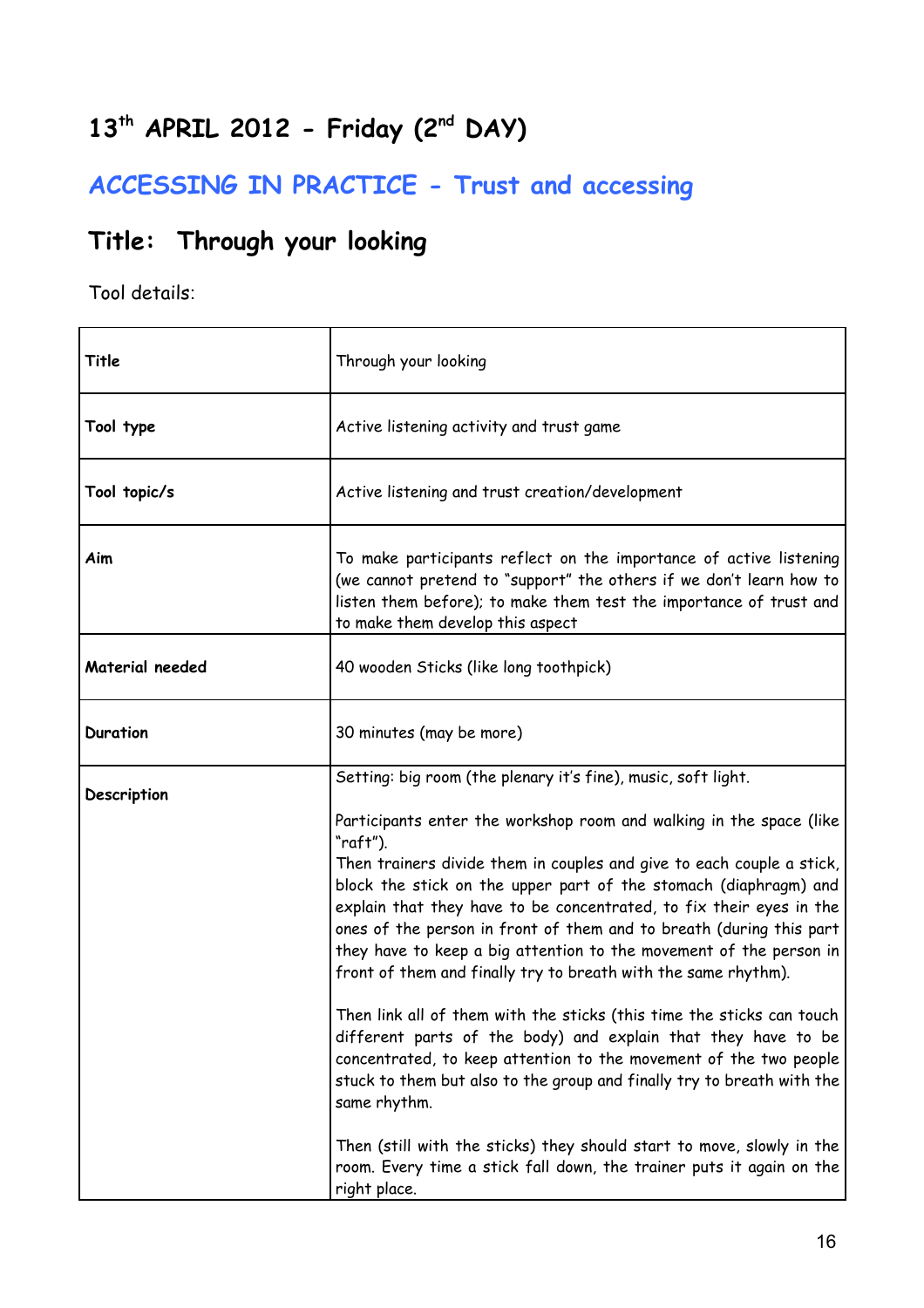# **13th APRIL 2012 - Friday (2nd DAY)**

# **ACCESSING IN PRACTICE - Trust and accessing**

### **Title: Through your looking**

| Title           | Through your looking                                                                                                                                                                                                                                                                                                                                                                                                                                                                                                                                                                                                                                                                                                                                                                                                                                                                                                                                                                                                                                          |
|-----------------|---------------------------------------------------------------------------------------------------------------------------------------------------------------------------------------------------------------------------------------------------------------------------------------------------------------------------------------------------------------------------------------------------------------------------------------------------------------------------------------------------------------------------------------------------------------------------------------------------------------------------------------------------------------------------------------------------------------------------------------------------------------------------------------------------------------------------------------------------------------------------------------------------------------------------------------------------------------------------------------------------------------------------------------------------------------|
| Tool type       | Active listening activity and trust game                                                                                                                                                                                                                                                                                                                                                                                                                                                                                                                                                                                                                                                                                                                                                                                                                                                                                                                                                                                                                      |
| Tool topic/s    | Active listening and trust creation/development                                                                                                                                                                                                                                                                                                                                                                                                                                                                                                                                                                                                                                                                                                                                                                                                                                                                                                                                                                                                               |
| Aim             | To make participants reflect on the importance of active listening<br>(we cannot pretend to "support" the others if we don't learn how to<br>listen them before); to make them test the importance of trust and<br>to make them develop this aspect                                                                                                                                                                                                                                                                                                                                                                                                                                                                                                                                                                                                                                                                                                                                                                                                           |
| Material needed | 40 wooden Sticks (like long toothpick)                                                                                                                                                                                                                                                                                                                                                                                                                                                                                                                                                                                                                                                                                                                                                                                                                                                                                                                                                                                                                        |
| <b>Duration</b> | 30 minutes (may be more)                                                                                                                                                                                                                                                                                                                                                                                                                                                                                                                                                                                                                                                                                                                                                                                                                                                                                                                                                                                                                                      |
| Description     | Setting: big room (the plenary it's fine), music, soft light.<br>Participants enter the workshop room and walking in the space (like<br>"raft").<br>Then trainers divide them in couples and give to each couple a stick,<br>block the stick on the upper part of the stomach (diaphragm) and<br>explain that they have to be concentrated, to fix their eyes in the<br>ones of the person in front of them and to breath (during this part<br>they have to keep a big attention to the movement of the person in<br>front of them and finally try to breath with the same rhythm).<br>Then link all of them with the sticks (this time the sticks can touch<br>different parts of the body) and explain that they have to be<br>concentrated, to keep attention to the movement of the two people<br>stuck to them but also to the group and finally try to breath with the<br>same rhythm.<br>Then (still with the sticks) they should start to move, slowly in the<br>room. Every time a stick fall down, the trainer puts it again on the<br>right place. |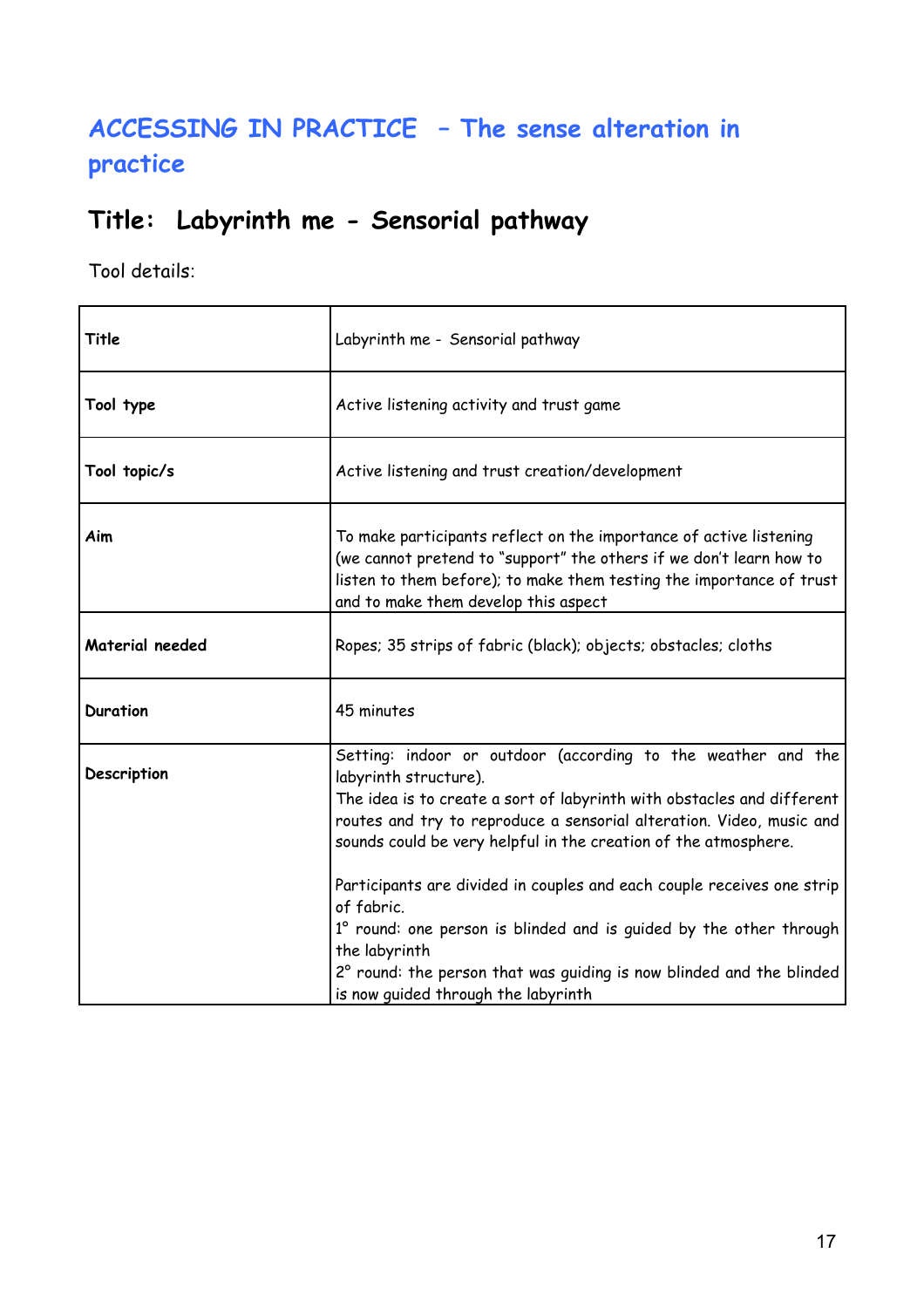### **ACCESSING IN PRACTICE – The sense alteration in practice**

### **Title: Labyrinth me - Sensorial pathway**

| Title           | Labyrinth me - Sensorial pathway                                                                                                                                                                                                                                                                                                                                                                                                                                                                                                                                                                         |
|-----------------|----------------------------------------------------------------------------------------------------------------------------------------------------------------------------------------------------------------------------------------------------------------------------------------------------------------------------------------------------------------------------------------------------------------------------------------------------------------------------------------------------------------------------------------------------------------------------------------------------------|
| Tool type       | Active listening activity and trust game                                                                                                                                                                                                                                                                                                                                                                                                                                                                                                                                                                 |
| Tool topic/s    | Active listening and trust creation/development                                                                                                                                                                                                                                                                                                                                                                                                                                                                                                                                                          |
| Aim             | To make participants reflect on the importance of active listening<br>(we cannot pretend to "support" the others if we don't learn how to<br>listen to them before); to make them testing the importance of trust<br>and to make them develop this aspect                                                                                                                                                                                                                                                                                                                                                |
| Material needed | Ropes; 35 strips of fabric (black); objects; obstacles; cloths                                                                                                                                                                                                                                                                                                                                                                                                                                                                                                                                           |
| Duration        | 45 minutes                                                                                                                                                                                                                                                                                                                                                                                                                                                                                                                                                                                               |
| Description     | Setting: indoor or outdoor (according to the weather and the<br>labyrinth structure).<br>The idea is to create a sort of labyrinth with obstacles and different<br>routes and try to reproduce a sensorial alteration. Video, music and<br>sounds could be very helpful in the creation of the atmosphere.<br>Participants are divided in couples and each couple receives one strip<br>of fabric.<br>1° round: one person is blinded and is guided by the other through<br>the labyrinth<br>2° round: the person that was quiding is now blinded and the blinded<br>is now quided through the labyrinth |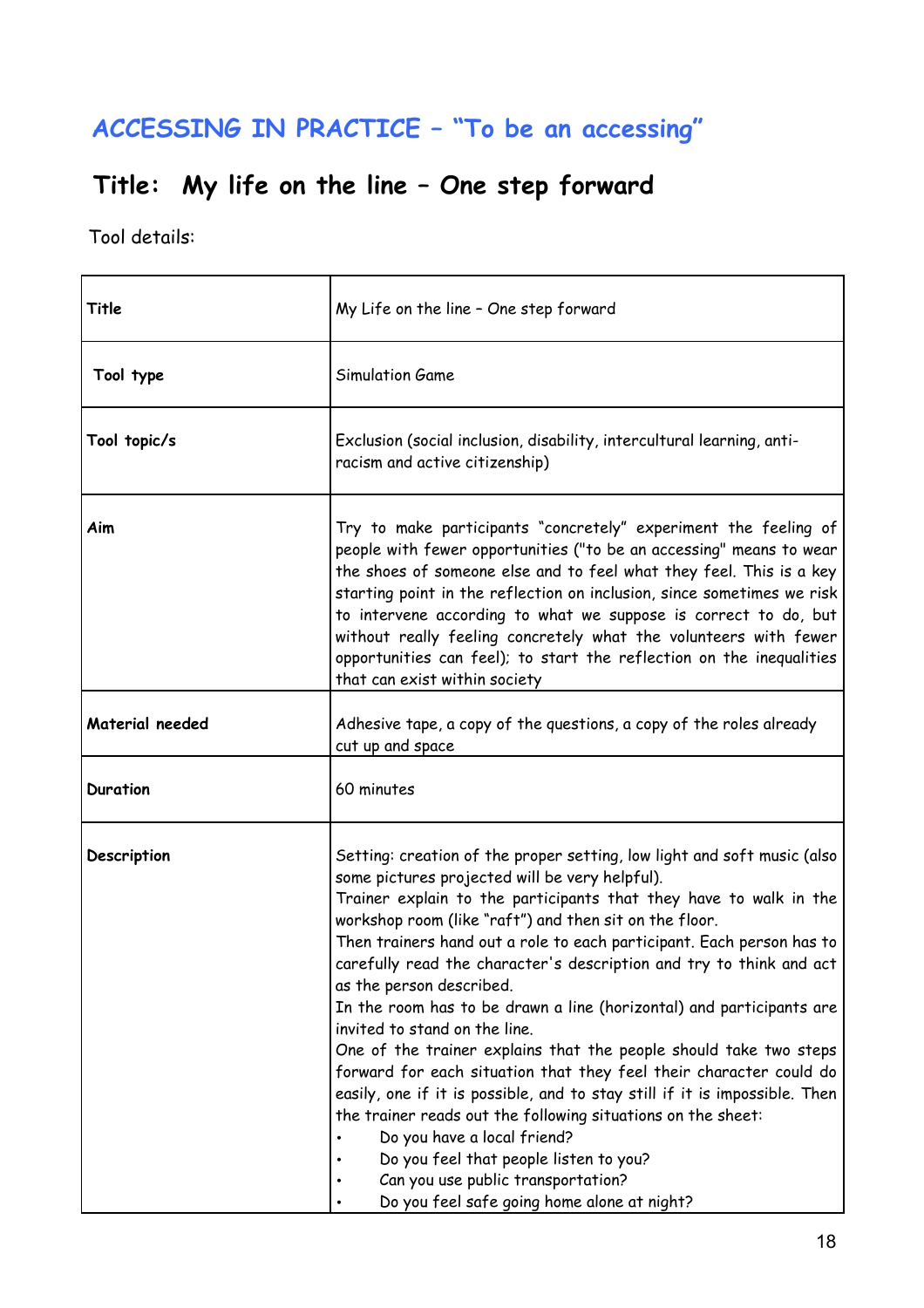# **ACCESSING IN PRACTICE – "To be an accessing"**

# **Title: My life on the line – One step forward**

| Title           | My Life on the line - One step forward                                                                                                                                                                                                                                                                                                                                                                                                                                                                                                                                                                                                                                                                                                                                                                                                                                                                                                                                                               |
|-----------------|------------------------------------------------------------------------------------------------------------------------------------------------------------------------------------------------------------------------------------------------------------------------------------------------------------------------------------------------------------------------------------------------------------------------------------------------------------------------------------------------------------------------------------------------------------------------------------------------------------------------------------------------------------------------------------------------------------------------------------------------------------------------------------------------------------------------------------------------------------------------------------------------------------------------------------------------------------------------------------------------------|
| Tool type       | Simulation Game                                                                                                                                                                                                                                                                                                                                                                                                                                                                                                                                                                                                                                                                                                                                                                                                                                                                                                                                                                                      |
| Tool topic/s    | Exclusion (social inclusion, disability, intercultural learning, anti-<br>racism and active citizenship)                                                                                                                                                                                                                                                                                                                                                                                                                                                                                                                                                                                                                                                                                                                                                                                                                                                                                             |
| Aim             | Try to make participants "concretely" experiment the feeling of<br>people with fewer opportunities ("to be an accessing" means to wear<br>the shoes of someone else and to feel what they feel. This is a key<br>starting point in the reflection on inclusion, since sometimes we risk<br>to intervene according to what we suppose is correct to do, but<br>without really feeling concretely what the volunteers with fewer<br>opportunities can feel); to start the reflection on the inequalities<br>that can exist within society                                                                                                                                                                                                                                                                                                                                                                                                                                                              |
| Material needed | Adhesive tape, a copy of the questions, a copy of the roles already<br>cut up and space                                                                                                                                                                                                                                                                                                                                                                                                                                                                                                                                                                                                                                                                                                                                                                                                                                                                                                              |
| <b>Duration</b> | 60 minutes                                                                                                                                                                                                                                                                                                                                                                                                                                                                                                                                                                                                                                                                                                                                                                                                                                                                                                                                                                                           |
| Description     | Setting: creation of the proper setting, low light and soft music (also<br>some pictures projected will be very helpful).<br>Trainer explain to the participants that they have to walk in the<br>workshop room (like "raft") and then sit on the floor.<br>Then trainers hand out a role to each participant. Each person has to<br>carefully read the character's description and try to think and act<br>as the person described.<br>In the room has to be drawn a line (horizontal) and participants are<br>invited to stand on the line.<br>One of the trainer explains that the people should take two steps<br>forward for each situation that they feel their character could do<br>easily, one if it is possible, and to stay still if it is impossible. Then<br>the trainer reads out the following situations on the sheet:<br>Do you have a local friend?<br>Do you feel that people listen to you?<br>Can you use public transportation?<br>Do you feel safe going home alone at night? |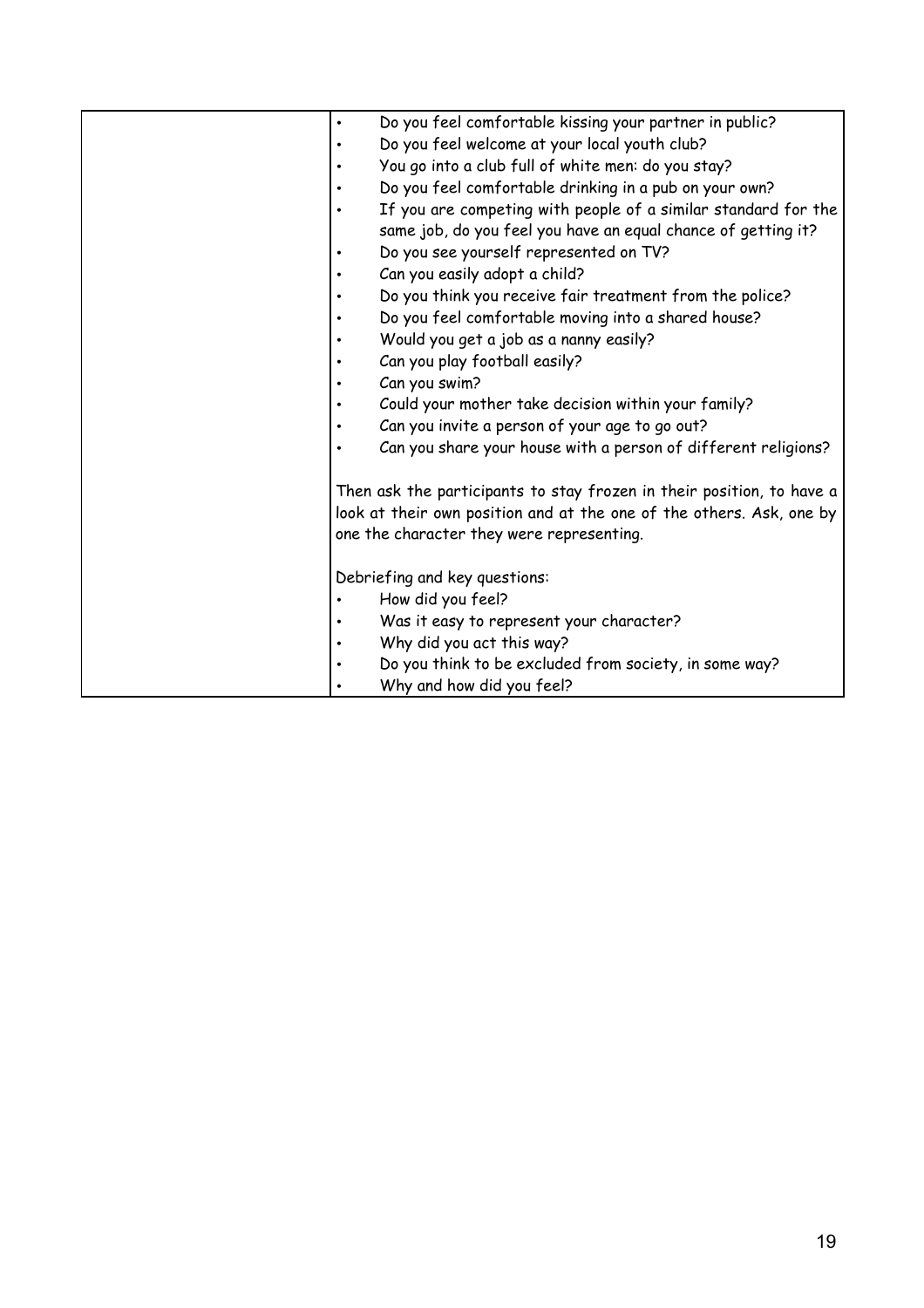| Do you feel comfortable kissing your partner in public?<br>$\bullet$  |
|-----------------------------------------------------------------------|
| Do you feel welcome at your local youth club?<br>$\bullet$            |
| You go into a club full of white men: do you stay?<br>$\bullet$       |
| Do you feel comfortable drinking in a pub on your own?                |
| If you are competing with people of a similar standard for the        |
| same job, do you feel you have an equal chance of getting it?         |
| Do you see yourself represented on TV?<br>٠                           |
| Can you easily adopt a child?                                         |
| Do you think you receive fair treatment from the police?              |
| Do you feel comfortable moving into a shared house?                   |
| Would you get a job as a nanny easily?                                |
| Can you play football easily?                                         |
| Can you swim?                                                         |
| Could your mother take decision within your family?                   |
| Can you invite a person of your age to go out?                        |
| Can you share your house with a person of different religions?        |
|                                                                       |
| Then ask the participants to stay frozen in their position, to have a |
| look at their own position and at the one of the others. Ask, one by  |
| one the character they were representing.                             |
|                                                                       |
| Debriefing and key questions:                                         |
| How did you feel?                                                     |
| Was it easy to represent your character?                              |
| Why did you act this way?                                             |
| Do you think to be excluded from society, in some way?<br>$\bullet$   |
| Why and how did you feel?                                             |
|                                                                       |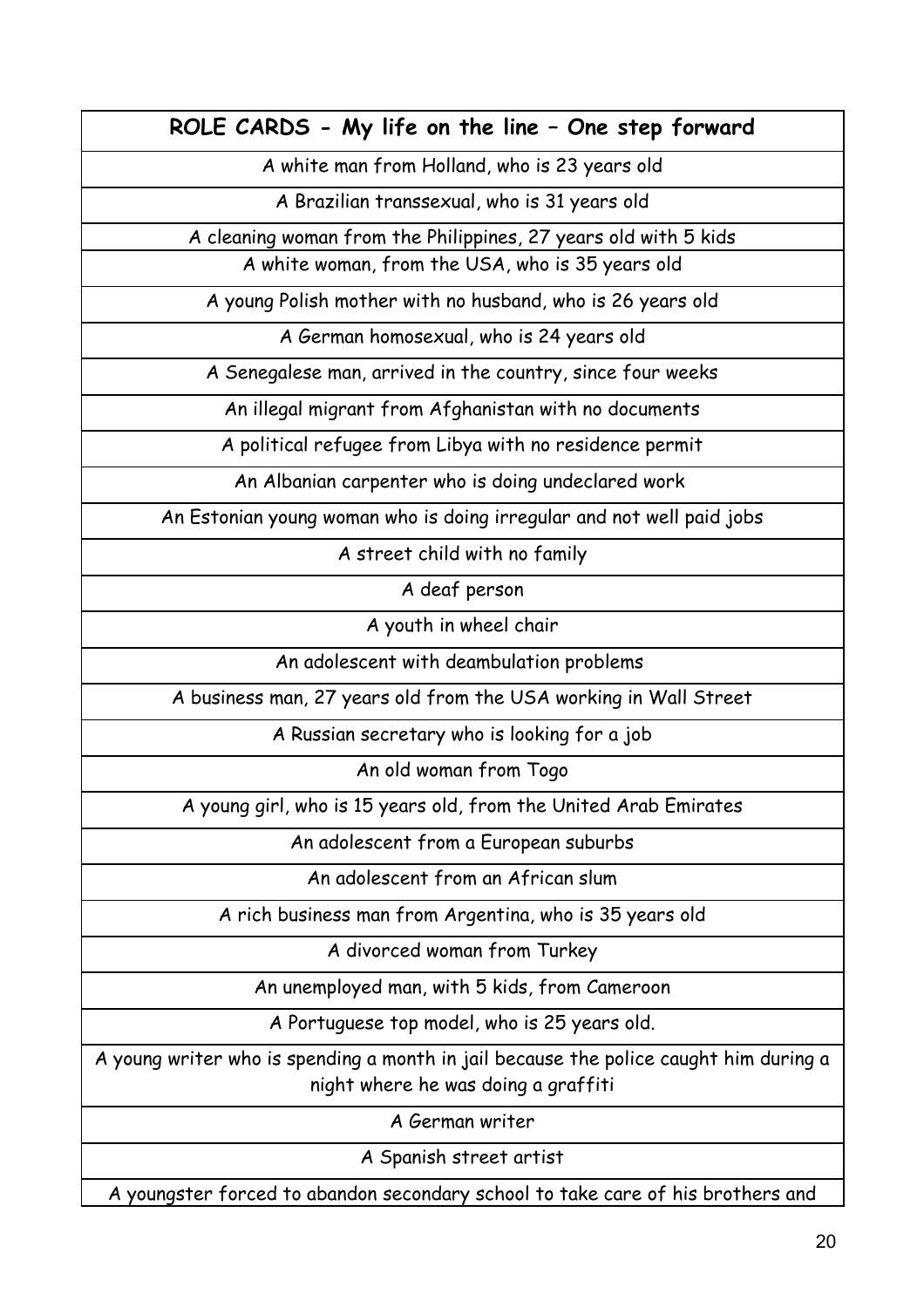**ROLE CARDS - My life on the line – One step forward**

A white man from Holland, who is 23 years old

A Brazilian transsexual, who is 31 years old

A cleaning woman from the Philippines, 27 years old with 5 kids

A white woman, from the USA, who is 35 years old

A young Polish mother with no husband, who is 26 years old

A German homosexual, who is 24 years old

A Senegalese man, arrived in the country, since four weeks

An illegal migrant from Afghanistan with no documents

A political refugee from Libya with no residence permit

An Albanian carpenter who is doing undeclared work

An Estonian young woman who is doing irregular and not well paid jobs

A street child with no family

A deaf person

A youth in wheel chair

An adolescent with deambulation problems

A business man, 27 years old from the USA working in Wall Street

A Russian secretary who is looking for a job

An old woman from Togo

A young girl, who is 15 years old, from the United Arab Emirates

An adolescent from a European suburbs

An adolescent from an African slum

A rich business man from Argentina, who is 35 years old

A divorced woman from Turkey

An unemployed man, with 5 kids, from Cameroon

A Portuguese top model, who is 25 years old.

A young writer who is spending a month in jail because the police caught him during a night where he was doing a graffiti

A German writer

A Spanish street artist

A youngster forced to abandon secondary school to take care of his brothers and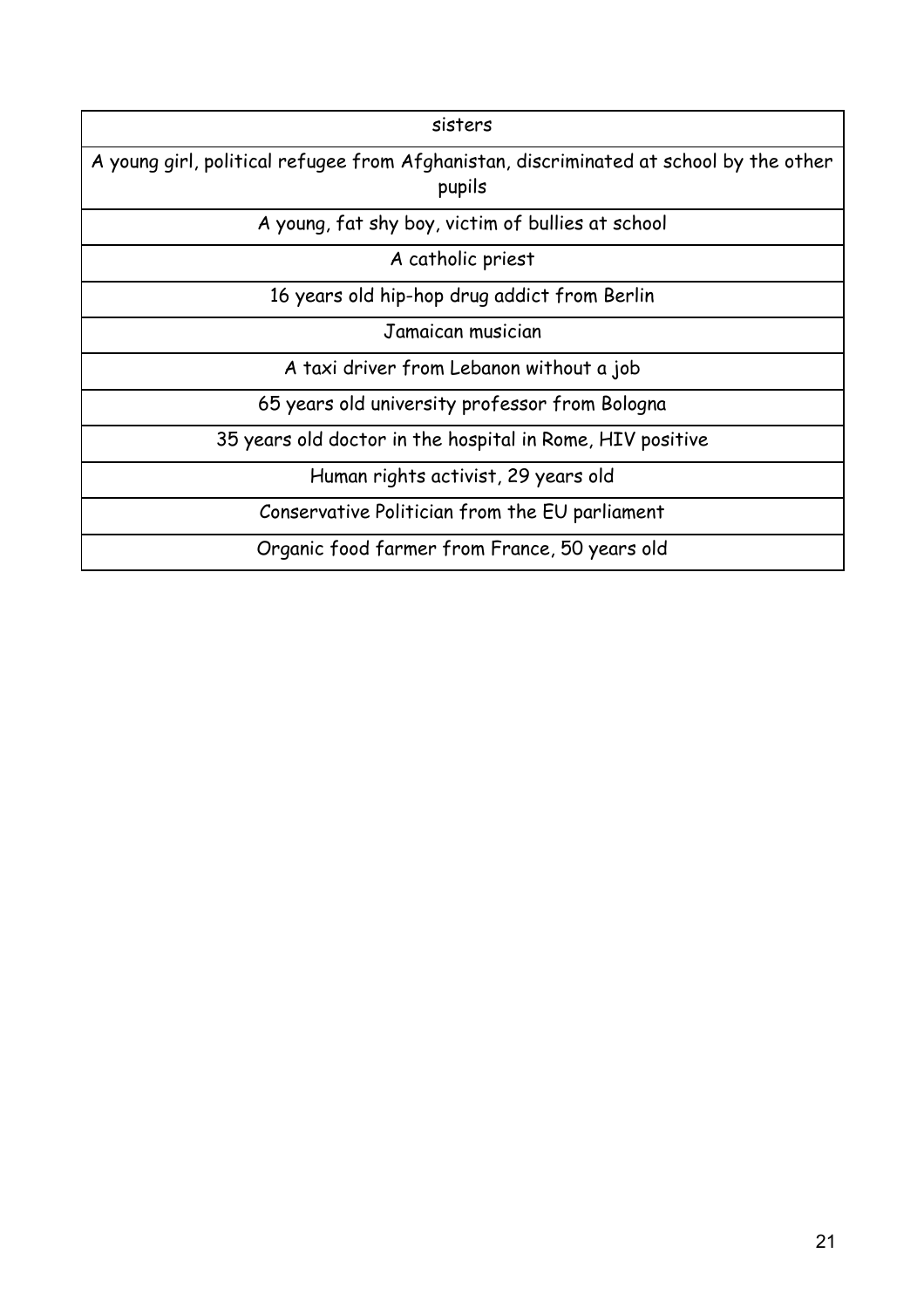| sisters                                                                                          |
|--------------------------------------------------------------------------------------------------|
| A young girl, political refugee from Afghanistan, discriminated at school by the other<br>pupils |
| A young, fat shy boy, victim of bullies at school                                                |
| A catholic priest                                                                                |
| 16 years old hip-hop drug addict from Berlin                                                     |
| Jamaican musician                                                                                |
| A taxi driver from Lebanon without a job                                                         |
| 65 years old university professor from Bologna                                                   |
| 35 years old doctor in the hospital in Rome, HIV positive                                        |
| Human rights activist, 29 years old                                                              |
| Conservative Politician from the EU parliament                                                   |
| Organic food farmer from France, 50 years old                                                    |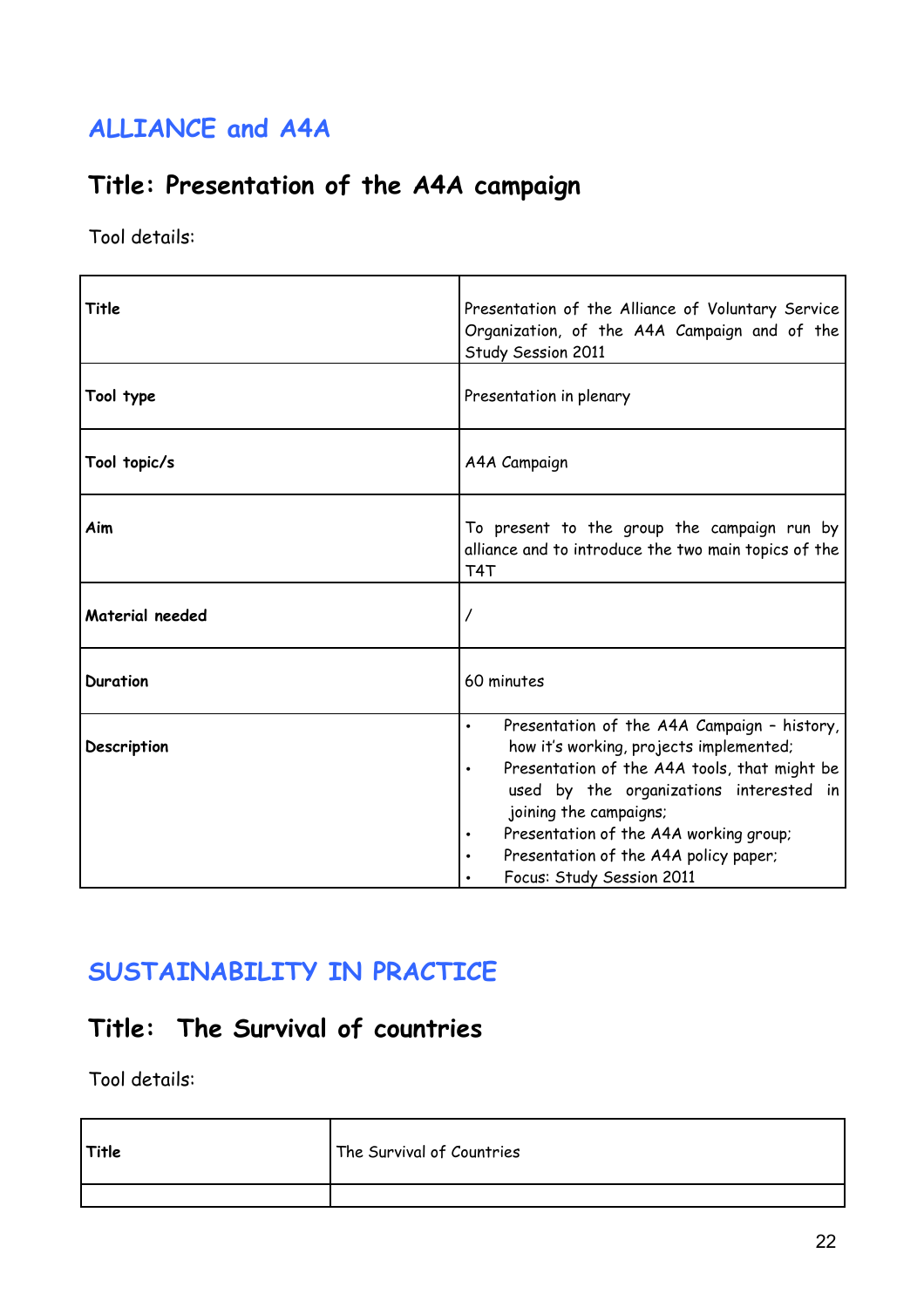## **ALLIANCE and A4A**

### **Title: Presentation of the A4A campaign**

Tool details:

| Title           | Presentation of the Alliance of Voluntary Service<br>Organization, of the A4A Campaign and of the<br>Study Session 2011                                                                                                                                                                                                                  |
|-----------------|------------------------------------------------------------------------------------------------------------------------------------------------------------------------------------------------------------------------------------------------------------------------------------------------------------------------------------------|
| Tool type       | Presentation in plenary                                                                                                                                                                                                                                                                                                                  |
| Tool topic/s    | A4A Campaign                                                                                                                                                                                                                                                                                                                             |
| Aim             | To present to the group the campaign run by<br>alliance and to introduce the two main topics of the<br>T <sub>4</sub> T                                                                                                                                                                                                                  |
| Material needed |                                                                                                                                                                                                                                                                                                                                          |
| <b>Duration</b> | 60 minutes                                                                                                                                                                                                                                                                                                                               |
| Description     | Presentation of the A4A Campaign - history,<br>$\bullet$<br>how it's working, projects implemented;<br>Presentation of the A4A tools, that might be<br>used by the organizations interested in<br>joining the campaigns;<br>Presentation of the A4A working group;<br>Presentation of the A4A policy paper;<br>Focus: Study Session 2011 |

### **SUSTAINABILITY IN PRACTICE**

### **Title: The Survival of countries**

| Title | The Survival of Countries |
|-------|---------------------------|
|       |                           |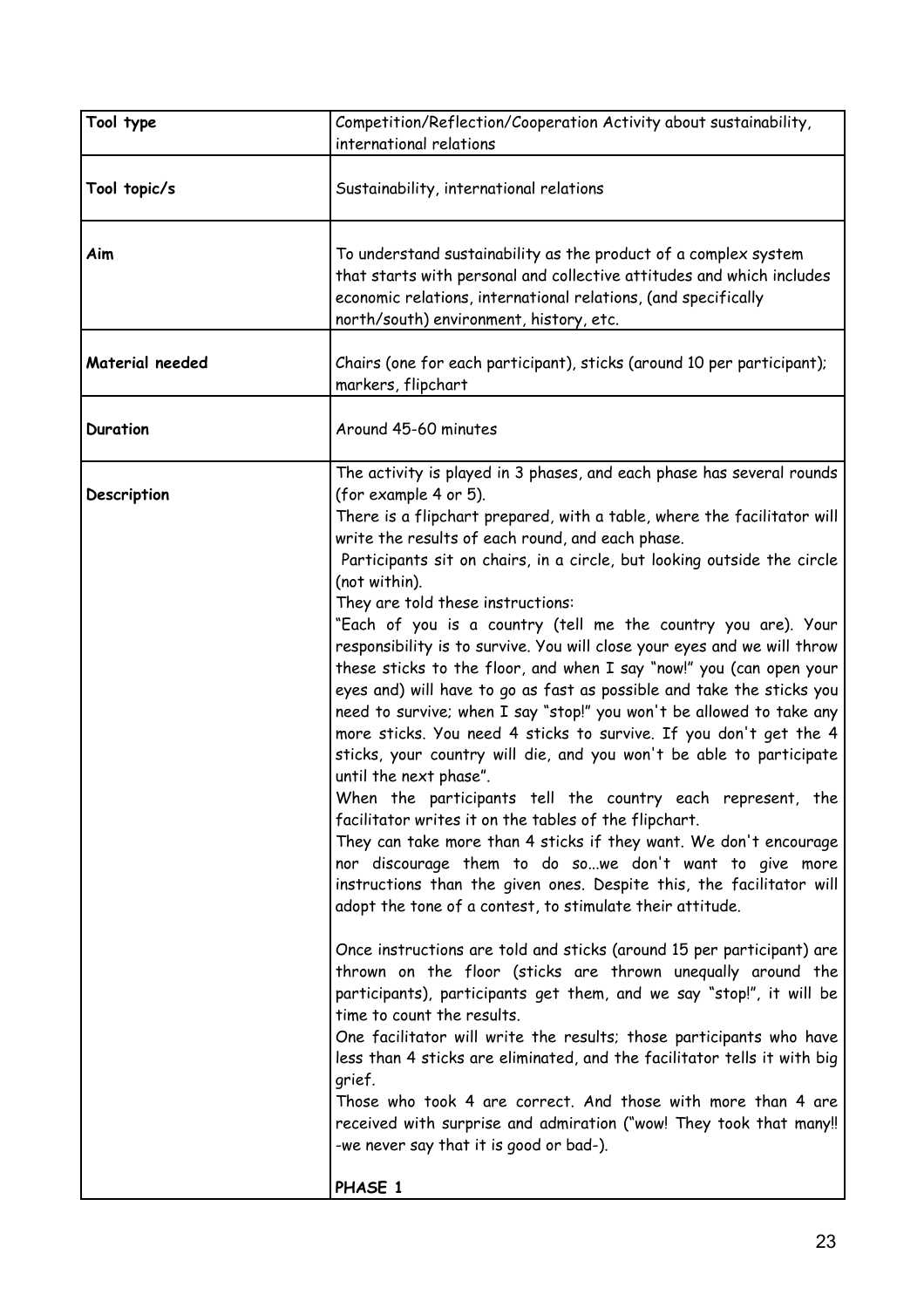| Tool type       | Competition/Reflection/Cooperation Activity about sustainability,<br>international relations                                                                                                                                                                                                                                                                                                                                                                                                                                                                                                                                                                                                                                                                                                                                                                                                                                                                                                                                                                                                                                                                                                                                                                                                                                                                                                                                                                                                                                                                                                                                                                                                                                                                                                                                                                                                                |
|-----------------|-------------------------------------------------------------------------------------------------------------------------------------------------------------------------------------------------------------------------------------------------------------------------------------------------------------------------------------------------------------------------------------------------------------------------------------------------------------------------------------------------------------------------------------------------------------------------------------------------------------------------------------------------------------------------------------------------------------------------------------------------------------------------------------------------------------------------------------------------------------------------------------------------------------------------------------------------------------------------------------------------------------------------------------------------------------------------------------------------------------------------------------------------------------------------------------------------------------------------------------------------------------------------------------------------------------------------------------------------------------------------------------------------------------------------------------------------------------------------------------------------------------------------------------------------------------------------------------------------------------------------------------------------------------------------------------------------------------------------------------------------------------------------------------------------------------------------------------------------------------------------------------------------------------|
| Tool topic/s    | Sustainability, international relations                                                                                                                                                                                                                                                                                                                                                                                                                                                                                                                                                                                                                                                                                                                                                                                                                                                                                                                                                                                                                                                                                                                                                                                                                                                                                                                                                                                                                                                                                                                                                                                                                                                                                                                                                                                                                                                                     |
| Aim             | To understand sustainability as the product of a complex system<br>that starts with personal and collective attitudes and which includes<br>economic relations, international relations, (and specifically<br>north/south) environment, history, etc.                                                                                                                                                                                                                                                                                                                                                                                                                                                                                                                                                                                                                                                                                                                                                                                                                                                                                                                                                                                                                                                                                                                                                                                                                                                                                                                                                                                                                                                                                                                                                                                                                                                       |
| Material needed | Chairs (one for each participant), sticks (around 10 per participant);<br>markers, flipchart                                                                                                                                                                                                                                                                                                                                                                                                                                                                                                                                                                                                                                                                                                                                                                                                                                                                                                                                                                                                                                                                                                                                                                                                                                                                                                                                                                                                                                                                                                                                                                                                                                                                                                                                                                                                                |
| <b>Duration</b> | Around 45-60 minutes                                                                                                                                                                                                                                                                                                                                                                                                                                                                                                                                                                                                                                                                                                                                                                                                                                                                                                                                                                                                                                                                                                                                                                                                                                                                                                                                                                                                                                                                                                                                                                                                                                                                                                                                                                                                                                                                                        |
| Description     | The activity is played in 3 phases, and each phase has several rounds<br>(for example 4 or 5).<br>There is a flipchart prepared, with a table, where the facilitator will<br>write the results of each round, and each phase.<br>Participants sit on chairs, in a circle, but looking outside the circle<br>(not within).<br>They are told these instructions:<br>"Each of you is a country (tell me the country you are). Your<br>responsibility is to survive. You will close your eyes and we will throw<br>these sticks to the floor, and when I say "now!" you (can open your<br>eyes and) will have to go as fast as possible and take the sticks you<br>need to survive; when I say "stop!" you won't be allowed to take any<br>more sticks. You need 4 sticks to survive. If you don't get the 4<br>sticks, your country will die, and you won't be able to participate<br>until the next phase".<br>When the participants tell the country each represent, the<br>facilitator writes it on the tables of the flipchart.<br>They can take more than 4 sticks if they want. We don't encourage<br>nor discourage them to do sowe don't want to give more<br>instructions than the given ones. Despite this, the facilitator will<br>adopt the tone of a contest, to stimulate their attitude.<br>Once instructions are told and sticks (around 15 per participant) are<br>thrown on the floor (sticks are thrown unequally around the<br>participants), participants get them, and we say "stop!", it will be<br>time to count the results.<br>One facilitator will write the results; those participants who have<br>less than 4 sticks are eliminated, and the facilitator tells it with big<br>grief.<br>Those who took 4 are correct. And those with more than 4 are<br>received with surprise and admiration ("wow! They took that many!!<br>-we never say that it is good or bad-).<br>PHASE 1 |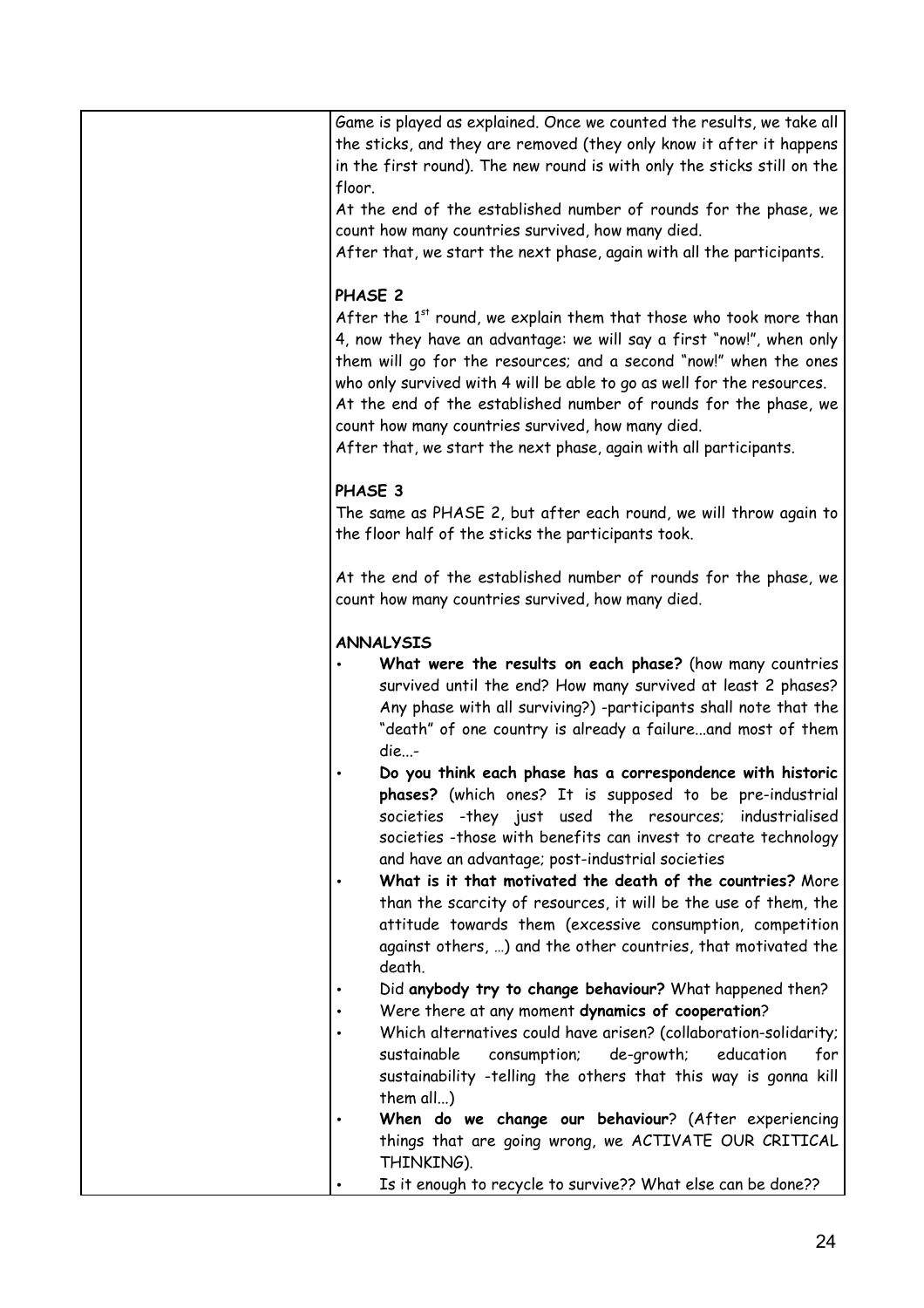| Game is played as explained. Once we counted the results, we take all<br>the sticks, and they are removed (they only know it after it happens<br>in the first round). The new round is with only the sticks still on the<br>floor.<br>At the end of the established number of rounds for the phase, we<br>count how many countries survived, how many died.<br>After that, we start the next phase, again with all the participants.                                                                     |
|----------------------------------------------------------------------------------------------------------------------------------------------------------------------------------------------------------------------------------------------------------------------------------------------------------------------------------------------------------------------------------------------------------------------------------------------------------------------------------------------------------|
| PHASE 2<br>After the 1st round, we explain them that those who took more than<br>4, now they have an advantage: we will say a first "now!", when only<br>them will go for the resources; and a second "now!" when the ones<br>who only survived with 4 will be able to go as well for the resources.<br>At the end of the established number of rounds for the phase, we<br>count how many countries survived, how many died.<br>After that, we start the next phase, again with all participants.       |
| PHASE 3<br>The same as PHASE 2, but after each round, we will throw again to<br>the floor half of the sticks the participants took.                                                                                                                                                                                                                                                                                                                                                                      |
| At the end of the established number of rounds for the phase, we<br>count how many countries survived, how many died.                                                                                                                                                                                                                                                                                                                                                                                    |
| <b>ANNALYSIS</b><br>What were the results on each phase? (how many countries<br>survived until the end? How many survived at least 2 phases?<br>Any phase with all surviving?) -participants shall note that the<br>"death" of one country is already a failureand most of them<br>die-<br>Do you think each phase has a correspondence with historic                                                                                                                                                    |
| phases? (which ones? It is supposed to be pre-industrial<br>societies -they just used the resources; industrialised<br>societies -those with benefits can invest to create technology<br>and have an advantage; post-industrial societies<br>What is it that motivated the death of the countries? More<br>than the scarcity of resources, it will be the use of them, the<br>attitude towards them (excessive consumption, competition<br>against others, ) and the other countries, that motivated the |
| death.<br>Did anybody try to change behaviour? What happened then?<br>Were there at any moment dynamics of cooperation?<br>Which alternatives could have arisen? (collaboration-solidarity;<br>sustainable<br>consumption;<br>de-growth;<br>education<br>for                                                                                                                                                                                                                                             |
| sustainability -telling the others that this way is gonna kill<br>them all)<br>When do we change our behaviour? (After experiencing<br>things that are going wrong, we ACTIVATE OUR CRITICAL<br>THINKING).                                                                                                                                                                                                                                                                                               |
| Is it enough to recycle to survive?? What else can be done??                                                                                                                                                                                                                                                                                                                                                                                                                                             |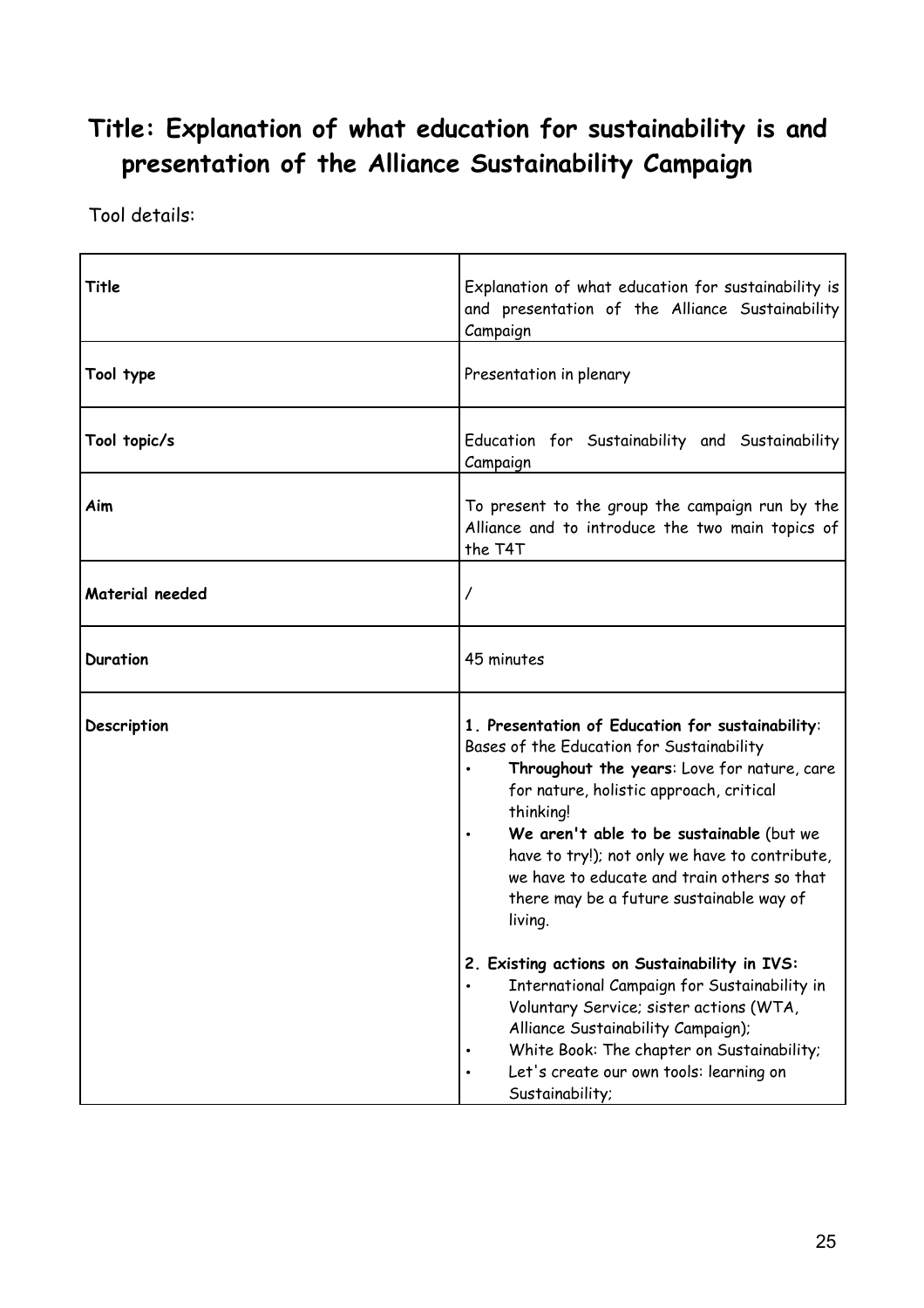## **Title: Explanation of what education for sustainability is and presentation of the Alliance Sustainability Campaign**

| Title           | Explanation of what education for sustainability is<br>and presentation of the Alliance Sustainability<br>Campaign                                                                                                                                                                                                                                                                                                                                                                                                                                                                                                                                                                                     |
|-----------------|--------------------------------------------------------------------------------------------------------------------------------------------------------------------------------------------------------------------------------------------------------------------------------------------------------------------------------------------------------------------------------------------------------------------------------------------------------------------------------------------------------------------------------------------------------------------------------------------------------------------------------------------------------------------------------------------------------|
| Tool type       | Presentation in plenary                                                                                                                                                                                                                                                                                                                                                                                                                                                                                                                                                                                                                                                                                |
| Tool topic/s    | Education for Sustainability and Sustainability<br>Campaign                                                                                                                                                                                                                                                                                                                                                                                                                                                                                                                                                                                                                                            |
| Aim             | To present to the group the campaign run by the<br>Alliance and to introduce the two main topics of<br>the T4T                                                                                                                                                                                                                                                                                                                                                                                                                                                                                                                                                                                         |
| Material needed |                                                                                                                                                                                                                                                                                                                                                                                                                                                                                                                                                                                                                                                                                                        |
| <b>Duration</b> | 45 minutes                                                                                                                                                                                                                                                                                                                                                                                                                                                                                                                                                                                                                                                                                             |
| Description     | 1. Presentation of Education for sustainability:<br>Bases of the Education for Sustainability<br>Throughout the years: Love for nature, care<br>for nature, holistic approach, critical<br>thinking!<br>We aren't able to be sustainable (but we<br>have to try!); not only we have to contribute,<br>we have to educate and train others so that<br>there may be a future sustainable way of<br>living.<br>2. Existing actions on Sustainability in IVS:<br>International Campaign for Sustainability in<br>Voluntary Service; sister actions (WTA,<br>Alliance Sustainability Campaign);<br>White Book: The chapter on Sustainability;<br>Let's create our own tools: learning on<br>Sustainability; |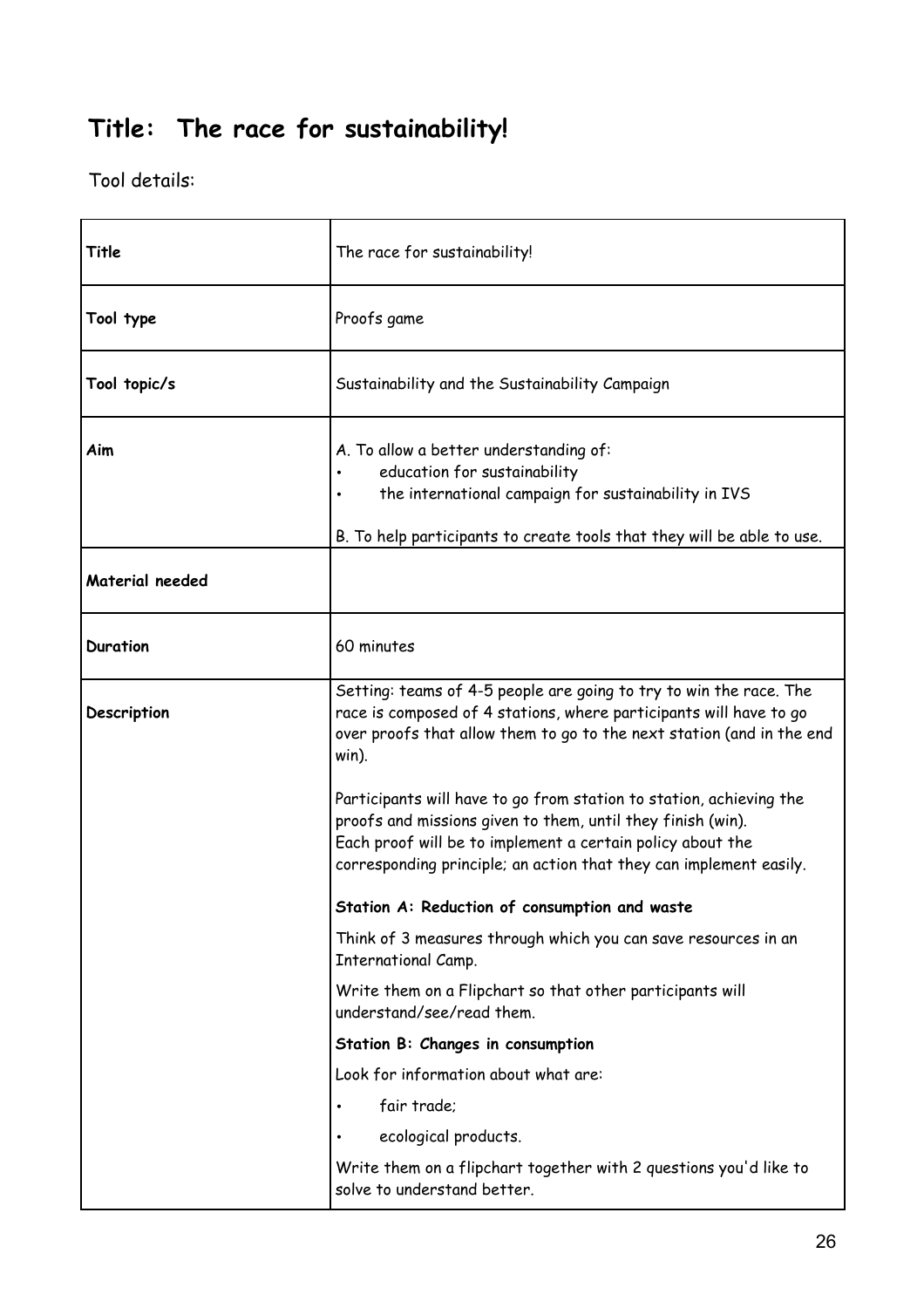# **Title: The race for sustainability!**

| Title           | The race for sustainability!                                                                                                                                                                                                                                           |
|-----------------|------------------------------------------------------------------------------------------------------------------------------------------------------------------------------------------------------------------------------------------------------------------------|
| Tool type       | Proofs game                                                                                                                                                                                                                                                            |
| Tool topic/s    | Sustainability and the Sustainability Campaign                                                                                                                                                                                                                         |
| Aim             | A. To allow a better understanding of:<br>education for sustainability<br>the international campaign for sustainability in IVS<br>B. To help participants to create tools that they will be able to use.                                                               |
| Material needed |                                                                                                                                                                                                                                                                        |
| <b>Duration</b> | 60 minutes                                                                                                                                                                                                                                                             |
| Description     | Setting: teams of 4-5 people are going to try to win the race. The<br>race is composed of 4 stations, where participants will have to go<br>over proofs that allow them to go to the next station (and in the end<br>win).                                             |
|                 | Participants will have to go from station to station, achieving the<br>proofs and missions given to them, until they finish (win).<br>Each proof will be to implement a certain policy about the<br>corresponding principle; an action that they can implement easily. |
|                 | Station A: Reduction of consumption and waste                                                                                                                                                                                                                          |
|                 | Think of 3 measures through which you can save resources in an<br>International Camp.                                                                                                                                                                                  |
|                 | Write them on a Flipchart so that other participants will<br>understand/see/read them.                                                                                                                                                                                 |
|                 | Station B: Changes in consumption                                                                                                                                                                                                                                      |
|                 | Look for information about what are:                                                                                                                                                                                                                                   |
|                 | fair trade;<br>$\bullet$                                                                                                                                                                                                                                               |
|                 | ecological products.                                                                                                                                                                                                                                                   |
|                 | Write them on a flipchart together with 2 questions you'd like to<br>solve to understand better.                                                                                                                                                                       |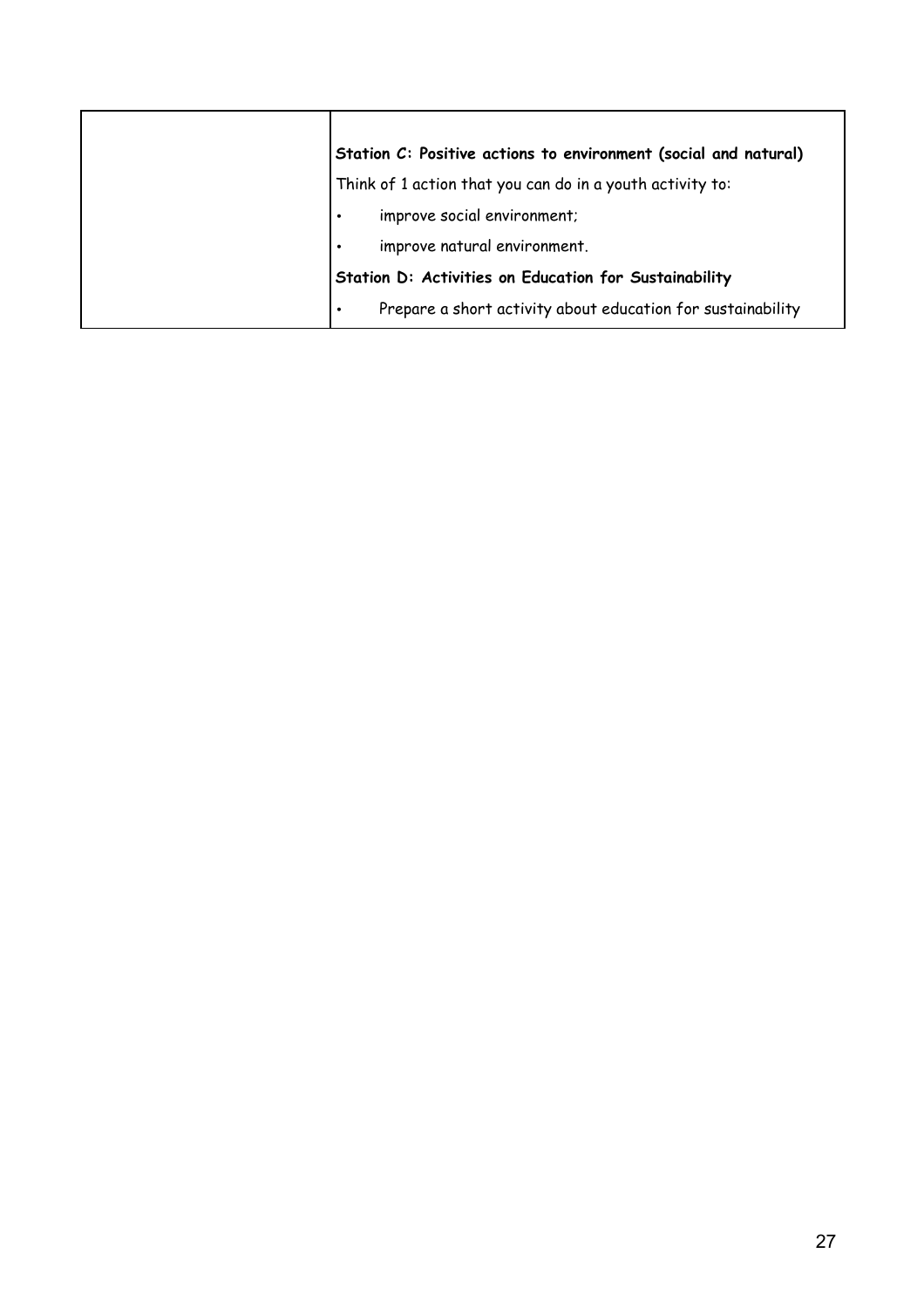| Station C: Positive actions to environment (social and natural)          |
|--------------------------------------------------------------------------|
| Think of 1 action that you can do in a youth activity to:                |
| improve social environment;<br>$\bullet$                                 |
| improve natural environment.<br>$\bullet$                                |
| Station D: Activities on Education for Sustainability                    |
| Prepare a short activity about education for sustainability<br>$\bullet$ |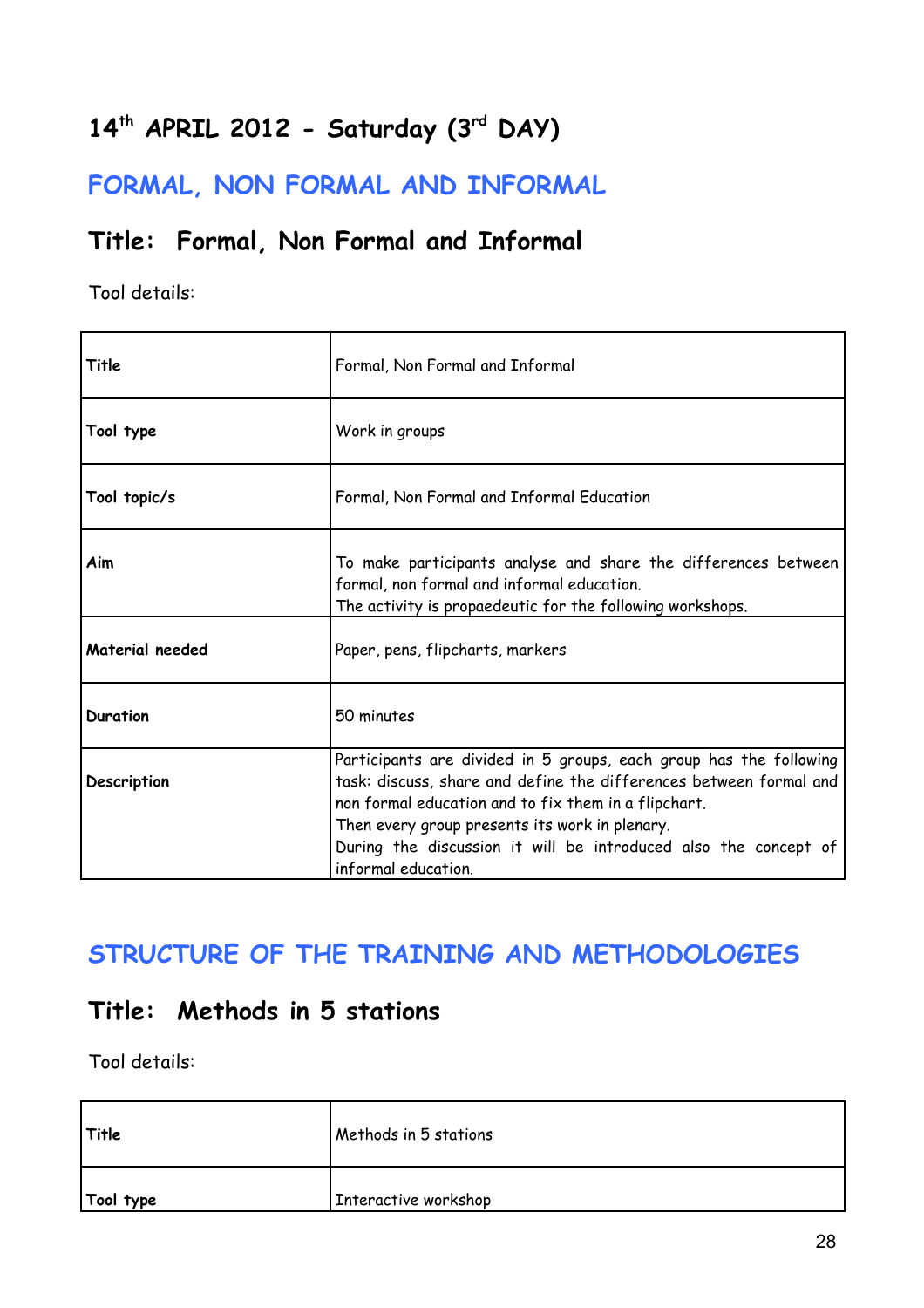# **14th APRIL 2012 - Saturday (3rd DAY)**

**FORMAL, NON FORMAL AND INFORMAL** 

### **Title: Formal, Non Formal and Informal**

Tool details:

| Title           | Formal, Non Formal and Informal                                                                                                                                                                                                                                                                                                              |
|-----------------|----------------------------------------------------------------------------------------------------------------------------------------------------------------------------------------------------------------------------------------------------------------------------------------------------------------------------------------------|
| Tool type       | Work in groups                                                                                                                                                                                                                                                                                                                               |
| Tool topic/s    | Formal, Non Formal and Informal Education                                                                                                                                                                                                                                                                                                    |
| Aim             | To make participants analyse and share the differences between<br>formal, non formal and informal education.<br>The activity is propaedeutic for the following workshops.                                                                                                                                                                    |
| Material needed | Paper, pens, flipcharts, markers                                                                                                                                                                                                                                                                                                             |
| Duration        | 50 minutes                                                                                                                                                                                                                                                                                                                                   |
| Description     | Participants are divided in 5 groups, each group has the following<br>task: discuss, share and define the differences between formal and<br>non formal education and to fix them in a flipchart.<br>Then every group presents its work in plenary.<br>During the discussion it will be introduced also the concept of<br>informal education. |

### **STRUCTURE OF THE TRAINING AND METHODOLOGIES**

### **Title: Methods in 5 stations**

| Title     | Methods in 5 stations |
|-----------|-----------------------|
| Tool type | Interactive workshop  |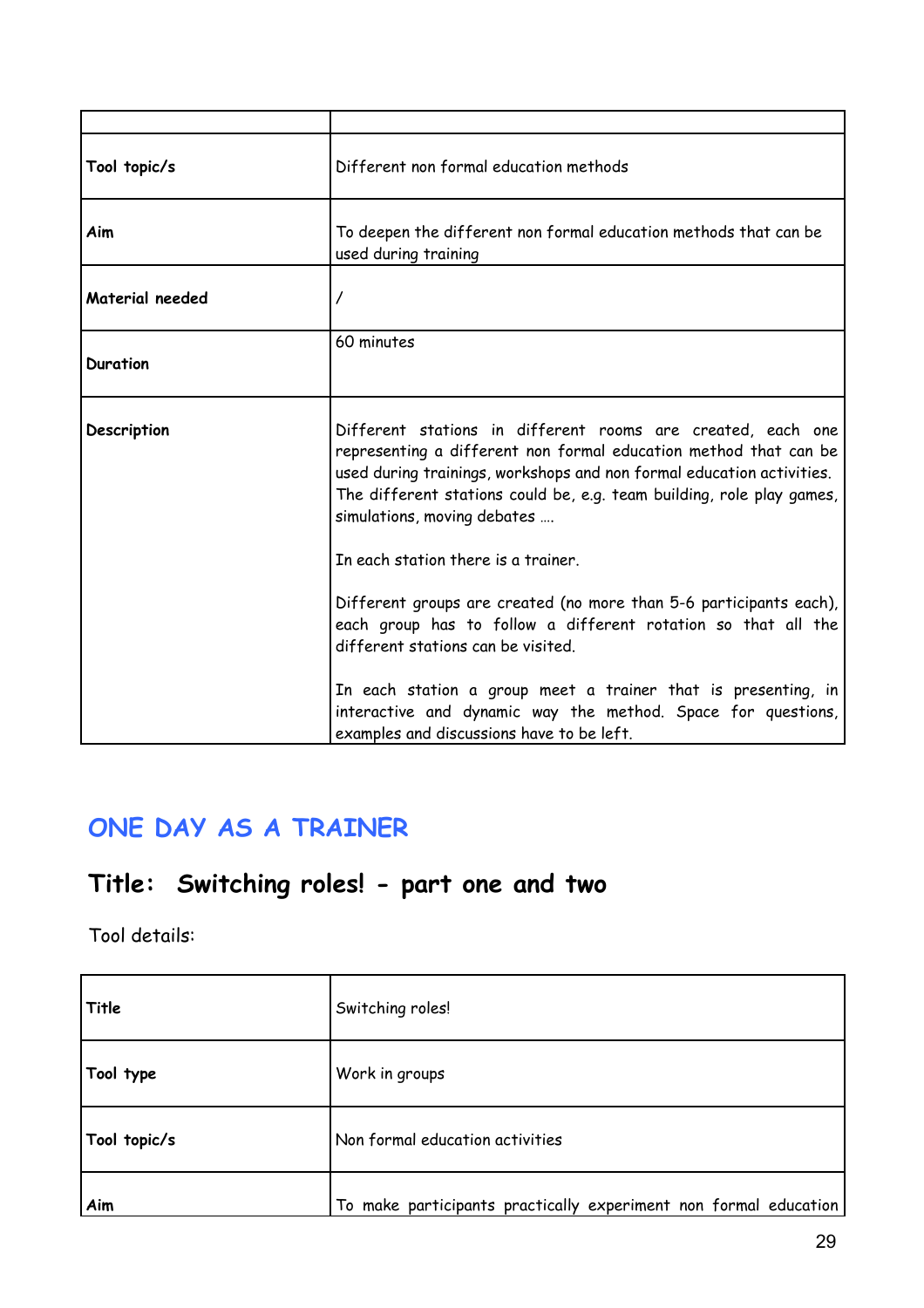| Tool topic/s    | Different non formal education methods                                                                                                                                                                                                                                                                           |
|-----------------|------------------------------------------------------------------------------------------------------------------------------------------------------------------------------------------------------------------------------------------------------------------------------------------------------------------|
| Aim             | To deepen the different non formal education methods that can be<br>used during training                                                                                                                                                                                                                         |
| Material needed | 7                                                                                                                                                                                                                                                                                                                |
| <b>Duration</b> | 60 minutes                                                                                                                                                                                                                                                                                                       |
| Description     | Different stations in different rooms are created, each one<br>representing a different non formal education method that can be<br>used during trainings, workshops and non formal education activities.<br>The different stations could be, e.g. team building, role play games,<br>simulations, moving debates |
|                 | In each station there is a trainer.                                                                                                                                                                                                                                                                              |
|                 | Different groups are created (no more than 5-6 participants each),<br>each group has to follow a different rotation so that all the<br>different stations can be visited.                                                                                                                                        |
|                 | In each station a group meet a trainer that is presenting, in<br>interactive and dynamic way the method. Space for questions,<br>examples and discussions have to be left.                                                                                                                                       |

### **ONE DAY AS A TRAINER**

# **Title: Switching roles! - part one and two**

| Title        | Switching roles!                                                 |
|--------------|------------------------------------------------------------------|
| Tool type    | Work in groups                                                   |
| Tool topic/s | Non formal education activities                                  |
| Aim          | To make participants practically experiment non formal education |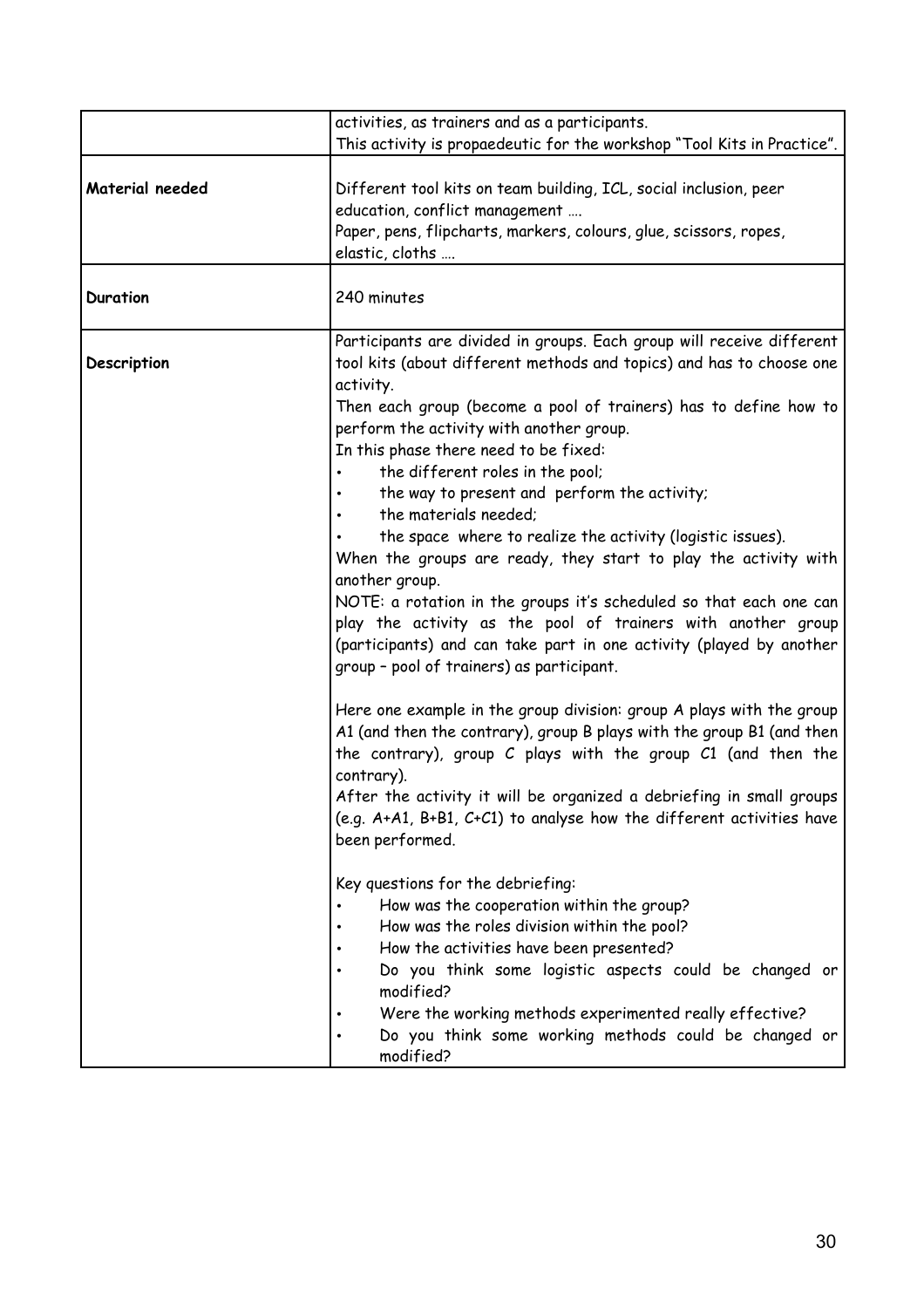| This activity is propaedeutic for the workshop "Tool Kits in Practice".<br>Material needed<br>Different tool kits on team building, ICL, social inclusion, peer<br>education, conflict management<br>Paper, pens, flipcharts, markers, colours, glue, scissors, ropes,<br>elastic, cloths<br>240 minutes<br><b>Duration</b><br>Participants are divided in groups. Each group will receive different<br>tool kits (about different methods and topics) and has to choose one<br>Description<br>activity.<br>Then each group (become a pool of trainers) has to define how to<br>perform the activity with another group.<br>In this phase there need to be fixed:<br>the different roles in the pool;<br>the way to present and perform the activity;<br>the materials needed;<br>the space where to realize the activity (logistic issues).<br>When the groups are ready, they start to play the activity with<br>another group.<br>NOTE: a rotation in the groups it's scheduled so that each one can<br>play the activity as the pool of trainers with another group<br>(participants) and can take part in one activity (played by another<br>group - pool of trainers) as participant.<br>Here one example in the group division: group A plays with the group<br>A1 (and then the contrary), group B plays with the group B1 (and then<br>the contrary), group C plays with the group C1 (and then the<br>contrary).<br>After the activity it will be organized a debriefing in small groups<br>(e.g. A+A1, B+B1, C+C1) to analyse how the different activities have<br>been performed.<br>Key questions for the debriefing:<br>How was the cooperation within the group? |
|---------------------------------------------------------------------------------------------------------------------------------------------------------------------------------------------------------------------------------------------------------------------------------------------------------------------------------------------------------------------------------------------------------------------------------------------------------------------------------------------------------------------------------------------------------------------------------------------------------------------------------------------------------------------------------------------------------------------------------------------------------------------------------------------------------------------------------------------------------------------------------------------------------------------------------------------------------------------------------------------------------------------------------------------------------------------------------------------------------------------------------------------------------------------------------------------------------------------------------------------------------------------------------------------------------------------------------------------------------------------------------------------------------------------------------------------------------------------------------------------------------------------------------------------------------------------------------------------------------------------------------------------------------------------------------|
|                                                                                                                                                                                                                                                                                                                                                                                                                                                                                                                                                                                                                                                                                                                                                                                                                                                                                                                                                                                                                                                                                                                                                                                                                                                                                                                                                                                                                                                                                                                                                                                                                                                                                 |
|                                                                                                                                                                                                                                                                                                                                                                                                                                                                                                                                                                                                                                                                                                                                                                                                                                                                                                                                                                                                                                                                                                                                                                                                                                                                                                                                                                                                                                                                                                                                                                                                                                                                                 |
|                                                                                                                                                                                                                                                                                                                                                                                                                                                                                                                                                                                                                                                                                                                                                                                                                                                                                                                                                                                                                                                                                                                                                                                                                                                                                                                                                                                                                                                                                                                                                                                                                                                                                 |
| How was the roles division within the pool?<br>How the activities have been presented?<br>Do you think some logistic aspects could be changed or<br>modified?<br>Were the working methods experimented really effective?<br>Do you think some working methods could be changed or<br>$\bullet$<br>modified?                                                                                                                                                                                                                                                                                                                                                                                                                                                                                                                                                                                                                                                                                                                                                                                                                                                                                                                                                                                                                                                                                                                                                                                                                                                                                                                                                                     |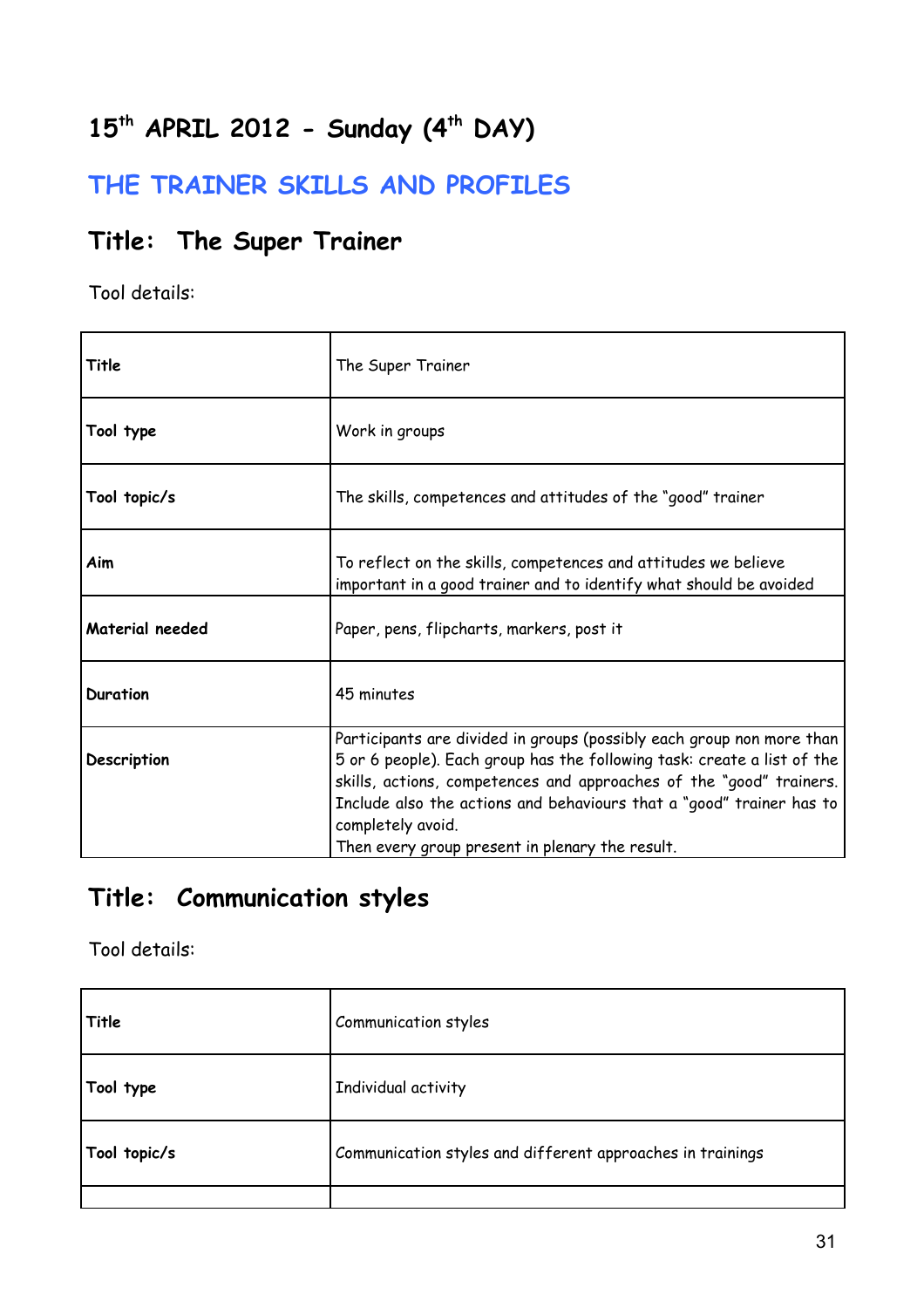# **15th APRIL 2012 - Sunday (4th DAY)**

### **THE TRAINER SKILLS AND PROFILES**

### **Title: The Super Trainer**

Tool details:

| Title           | The Super Trainer                                                                                                                                                                                                                                                                                                                                                       |
|-----------------|-------------------------------------------------------------------------------------------------------------------------------------------------------------------------------------------------------------------------------------------------------------------------------------------------------------------------------------------------------------------------|
| Tool type       | Work in groups                                                                                                                                                                                                                                                                                                                                                          |
| Tool topic/s    | The skills, competences and attitudes of the "good" trainer                                                                                                                                                                                                                                                                                                             |
| Aim             | To reflect on the skills, competences and attitudes we believe<br>important in a good trainer and to identify what should be avoided                                                                                                                                                                                                                                    |
| Material needed | Paper, pens, flipcharts, markers, post it                                                                                                                                                                                                                                                                                                                               |
| <b>Duration</b> | 45 minutes                                                                                                                                                                                                                                                                                                                                                              |
| Description     | Participants are divided in groups (possibly each group non more than<br>5 or 6 people). Each group has the following task: create a list of the<br>skills, actions, competences and approaches of the "good" trainers.<br>Include also the actions and behaviours that a "good" trainer has to<br>completely avoid.<br>Then every group present in plenary the result. |

### **Title: Communication styles**

| Title        | Communication styles                                       |
|--------------|------------------------------------------------------------|
| Tool type    | Individual activity                                        |
| Tool topic/s | Communication styles and different approaches in trainings |
|              |                                                            |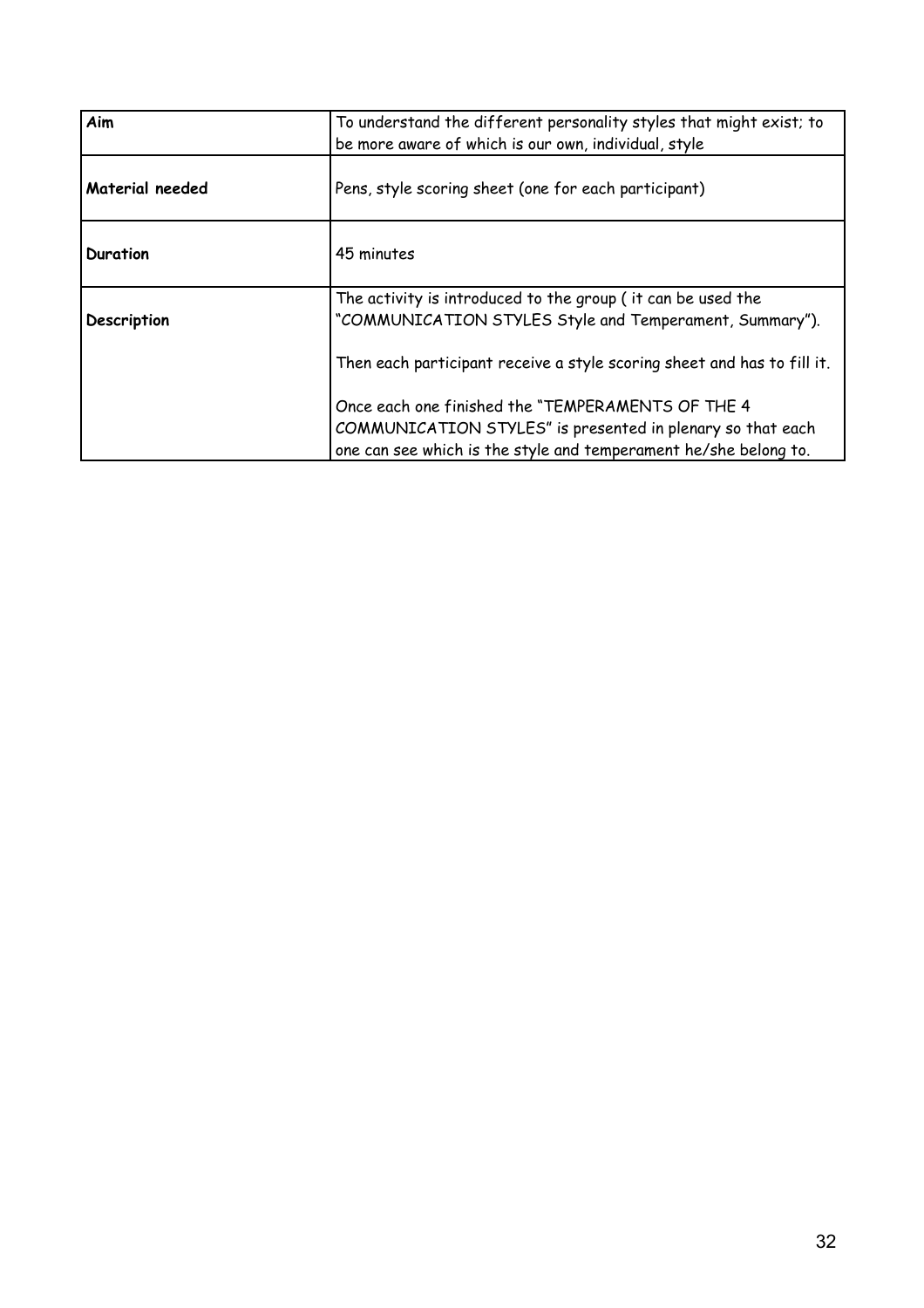| Aim             | To understand the different personality styles that might exist; to<br>be more aware of which is our own, individual, style                                                         |
|-----------------|-------------------------------------------------------------------------------------------------------------------------------------------------------------------------------------|
| Material needed | Pens, style scoring sheet (one for each participant)                                                                                                                                |
| Duration        | 45 minutes                                                                                                                                                                          |
| Description     | The activity is introduced to the group ( it can be used the<br>"COMMUNICATION STYLES Style and Temperament, Summary").                                                             |
|                 | Then each participant receive a style scoring sheet and has to fill it.                                                                                                             |
|                 | Once each one finished the "TEMPERAMENTS OF THE 4<br>COMMUNICATION STYLES" is presented in plenary so that each<br>one can see which is the style and temperament he/she belong to. |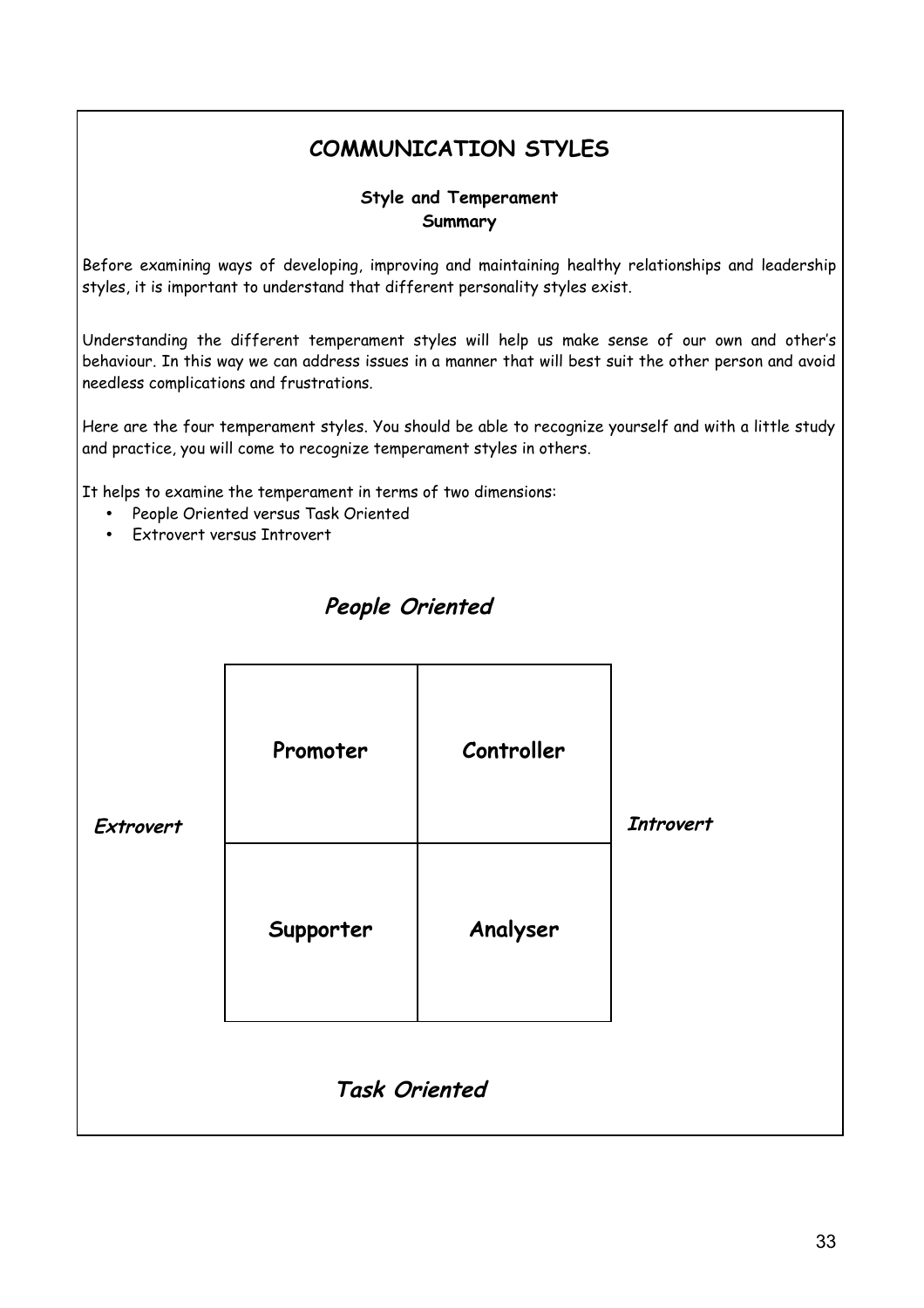### **COMMUNICATION STYLES**

#### **Style and Temperament Summary**

Before examining ways of developing, improving and maintaining healthy relationships and leadership styles, it is important to understand that different personality styles exist.

Understanding the different temperament styles will help us make sense of our own and other's behaviour. In this way we can address issues in a manner that will best suit the other person and avoid needless complications and frustrations.

Here are the four temperament styles. You should be able to recognize yourself and with a little study and practice, you will come to recognize temperament styles in others.

It helps to examine the temperament in terms of two dimensions:

- People Oriented versus Task Oriented
- Extrovert versus Introvert

| Extrovert            | Promoter  | Controller | <b>Introvert</b> |
|----------------------|-----------|------------|------------------|
|                      | Supporter | Analyser   |                  |
| <b>Task Oriented</b> |           |            |                  |

### **People Oriented**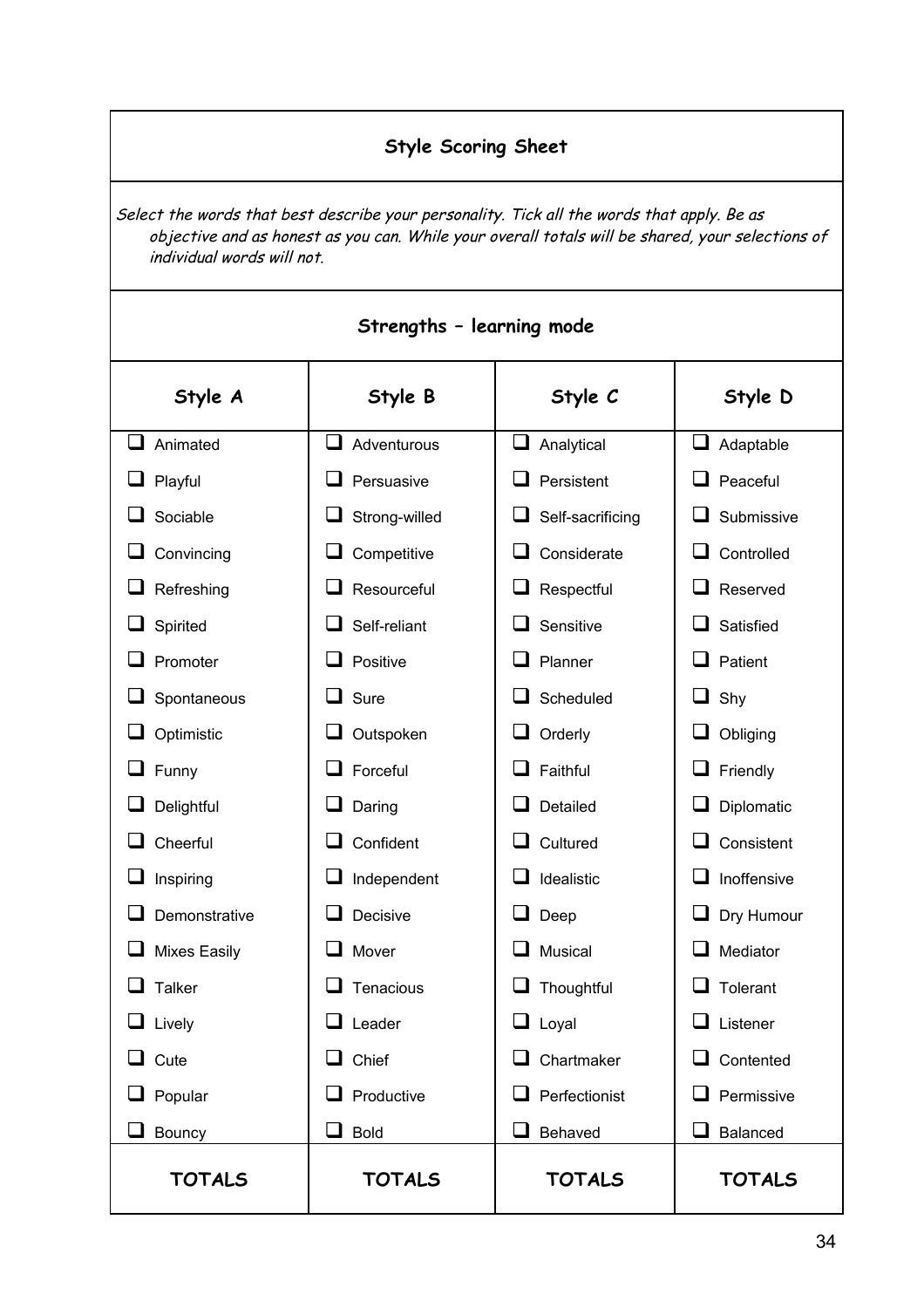### **Style Scoring Sheet**

Select the words that best describe your personality. Tick all the words that apply. Be as objective and as honest as you can. While your overall totals will be shared, your selections of individual words will not.

| Strengths - learning mode |                   |                      |                     |
|---------------------------|-------------------|----------------------|---------------------|
| Style A                   | Style B           | Style C              | Style D             |
| ப<br>Animated             | ப<br>Adventurous  | u<br>Analytical      | $\Box$<br>Adaptable |
| Playful                   | Persuasive        | Persistent           | Peaceful            |
| Sociable                  | Strong-willed     | Self-sacrificing     | Submissive          |
| Convincing                | Competitive       | Considerate          | Controlled          |
| Refreshing                | Resourceful       | Respectful           | Reserved            |
| Spirited                  | Self-reliant      | Sensitive            | Satisfied           |
| Promoter                  | Positive          | Planner              | Patient             |
| Spontaneous               | Sure              | Scheduled            | Shy                 |
| Optimistic                | Outspoken         | Orderly<br>⊔         | Obliging            |
| Funny                     | Forceful          | Faithful             | Friendly            |
| Delightful                | Daring            | Detailed             | Diplomatic          |
| Cheerful                  | Confident         | Cultured             | Consistent          |
| Inspiring                 | Independent       | Idealistic           | Inoffensive         |
| Demonstrative             | Decisive          | Deep                 | Dry Humour          |
| <b>Mixes Easily</b>       | Mover             | Musical              | Mediator            |
| <b>Talker</b>             | Tenacious         | Thoughtful           | Tolerant            |
| $\Box$ Lively             | $\Box$ Leader     | $\Box$ Loyal         | $\Box$ Listener     |
| $\Box$ Cute               | Chief<br>ப        | Chartmaker           | Contented           |
| $\Box$ Popular            | $\Box$ Productive | $\Box$ Perfectionist | Permissive          |
| Bouncy                    | <b>Bold</b><br>ப  | Behaved              | Balanced            |
| <b>TOTALS</b>             | <b>TOTALS</b>     | <b>TOTALS</b>        | <b>TOTALS</b>       |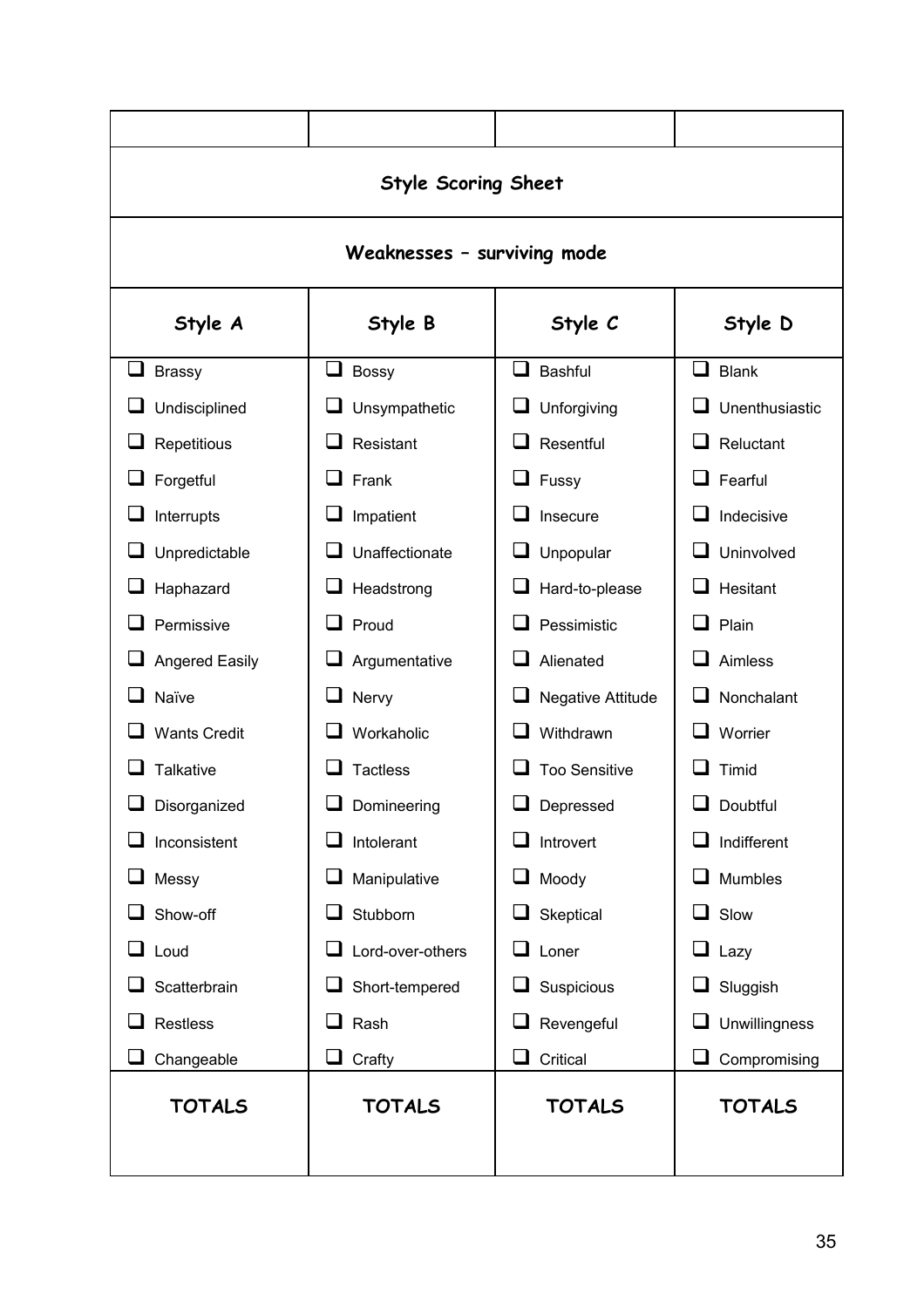|                      | <b>Style Scoring Sheet</b>  |                      |                      |  |
|----------------------|-----------------------------|----------------------|----------------------|--|
|                      | Weaknesses - surviving mode |                      |                      |  |
| Style A              | Style B<br>Style C          |                      | Style D              |  |
| ப<br><b>Brassy</b>   | ப<br><b>Bossy</b>           | □<br><b>Bashful</b>  | $\Box$ Blank         |  |
| Undisciplined        | Unsympathetic               | Unforgiving          | Unenthusiastic       |  |
| Repetitious          | Resistant                   | Resentful            | Reluctant<br>ப       |  |
| Forgetful            | Frank                       | Fussy<br>ப           | Fearful<br>- 1       |  |
| Interrupts           | Impatient                   | Insecure             | Indecisive           |  |
| Unpredictable        | Unaffectionate              | Unpopular            | Uninvolved           |  |
| Haphazard            | Headstrong                  | Hard-to-please       | Hesitant             |  |
| Permissive           | Proud                       | Pessimistic          | Plain                |  |
| Angered Easily       | Argumentative               | Alienated            | Aimless              |  |
| Naïve                | Nervy                       | Negative Attitude    | Nonchalant           |  |
| <b>Wants Credit</b>  | Workaholic                  | Withdrawn            | Worrier              |  |
| <b>Talkative</b>     | <b>Tactless</b>             | <b>Too Sensitive</b> | Timid                |  |
| Disorganized         | Domineering                 | Depressed            | Doubtful             |  |
| Inconsistent         | Intolerant                  | Introvert            | Indifferent          |  |
| Messy                | Manipulative                | Moody                | Mumbles              |  |
| Show-off             | Stubborn                    | Skeptical            | Slow<br>ப            |  |
| ப<br>Loud            | Lord-over-others            | Loner<br>ப           | ⊔<br>Lazy            |  |
| Scatterbrain         | Short-tempered              | Suspicious           | Sluggish             |  |
| <b>Restless</b><br>ப | Rash                        | Revengeful           | <b>Unwillingness</b> |  |
| ⊔<br>Changeable      | ⊔<br>Crafty                 | Critical<br>ப        | ⊔<br>Compromising    |  |
| <b>TOTALS</b>        | <b>TOTALS</b>               | <b>TOTALS</b>        | <b>TOTALS</b>        |  |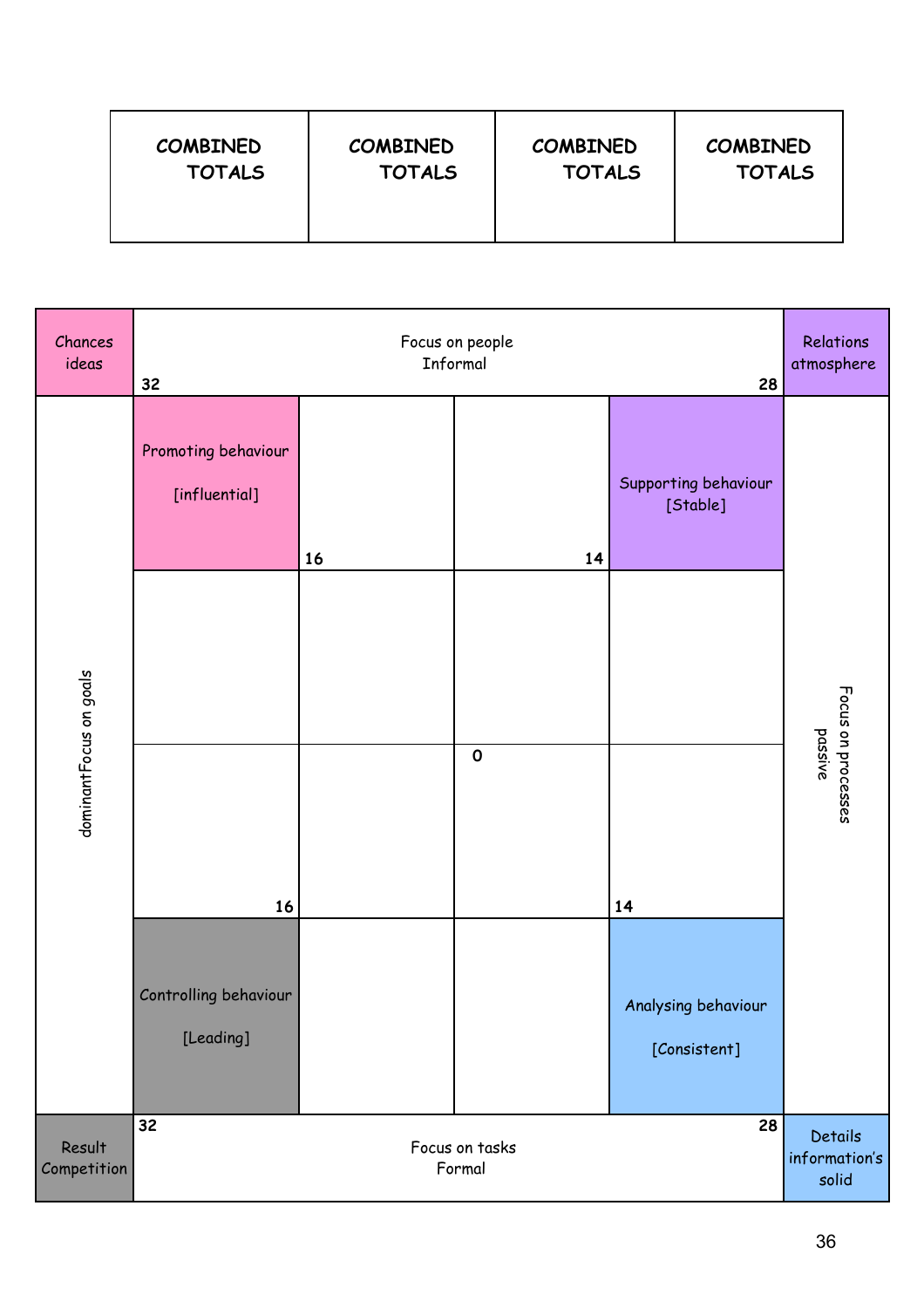| <b>COMBINED</b> | <b>COMBINED</b> | <b>COMBINED</b> | <b>COMBINED</b> |
|-----------------|-----------------|-----------------|-----------------|
| <b>TOTALS</b>   | <b>TOTALS</b>   | <b>TOTALS</b>   | <b>TOTALS</b>   |

| Chances<br>ideas       | Focus on people<br>Informal<br>32<br>28 |    |             | Relations<br>atmosphere                  |                               |
|------------------------|-----------------------------------------|----|-------------|------------------------------------------|-------------------------------|
|                        | Promoting behaviour<br>[influential]    | 16 | 14          | Supporting behaviour<br>[Stable]         |                               |
|                        |                                         |    |             |                                          |                               |
| dominantFocus on goals | 16                                      |    | $\mathbf 0$ | 14                                       | Focus on processes<br>passive |
|                        | Controlling behaviour<br>[Leading]      |    |             | Analysing behaviour<br>[Consistent]      |                               |
| Result<br>Competition  | 32<br>28<br>Focus on tasks<br>Formal    |    |             | <b>Details</b><br>information's<br>solid |                               |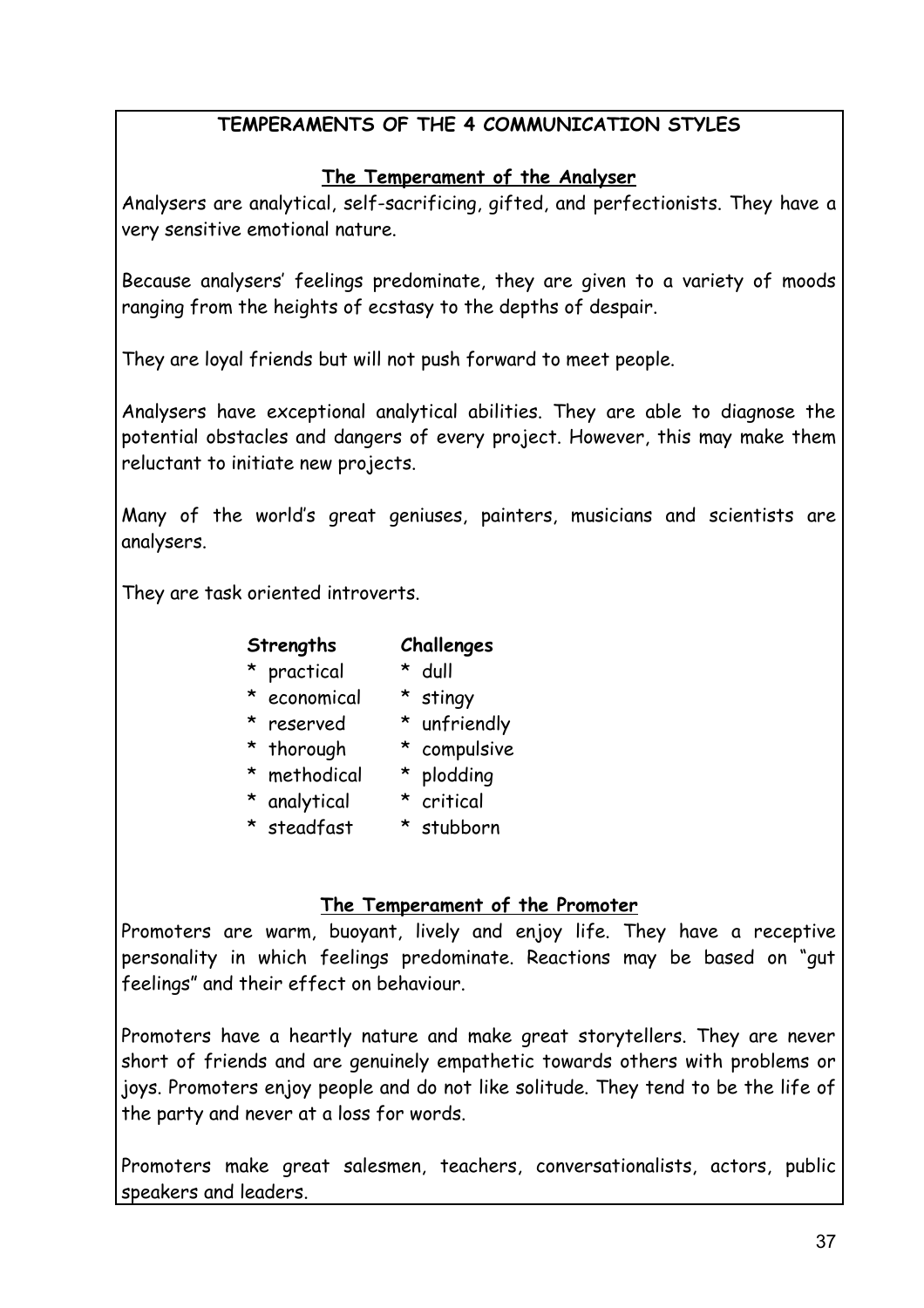#### **TEMPERAMENTS OF THE 4 COMMUNICATION STYLES**

#### **The Temperament of the Analyser**

Analysers are analytical, self-sacrificing, gifted, and perfectionists. They have a very sensitive emotional nature.

Because analysers' feelings predominate, they are given to a variety of moods ranging from the heights of ecstasy to the depths of despair.

They are loyal friends but will not push forward to meet people.

Analysers have exceptional analytical abilities. They are able to diagnose the potential obstacles and dangers of every project. However, this may make them reluctant to initiate new projects.

Many of the world's great geniuses, painters, musicians and scientists are analysers.

They are task oriented introverts.

| Strengths | Challenges |
|-----------|------------|
|-----------|------------|

#### \* practical \* dull

- \* economical \* stingy
- \* reserved \* unfriendly
	-
- \* thorough \* compulsive
- \* methodical \* plodding
- \* analytical \* critical
- \* steadfast \* stubborn

#### **The Temperament of the Promoter**

Promoters are warm, buoyant, lively and enjoy life. They have a receptive personality in which feelings predominate. Reactions may be based on "gut feelings" and their effect on behaviour.

Promoters have a heartly nature and make great storytellers. They are never short of friends and are genuinely empathetic towards others with problems or joys. Promoters enjoy people and do not like solitude. They tend to be the life of the party and never at a loss for words.

Promoters make great salesmen, teachers, conversationalists, actors, public speakers and leaders.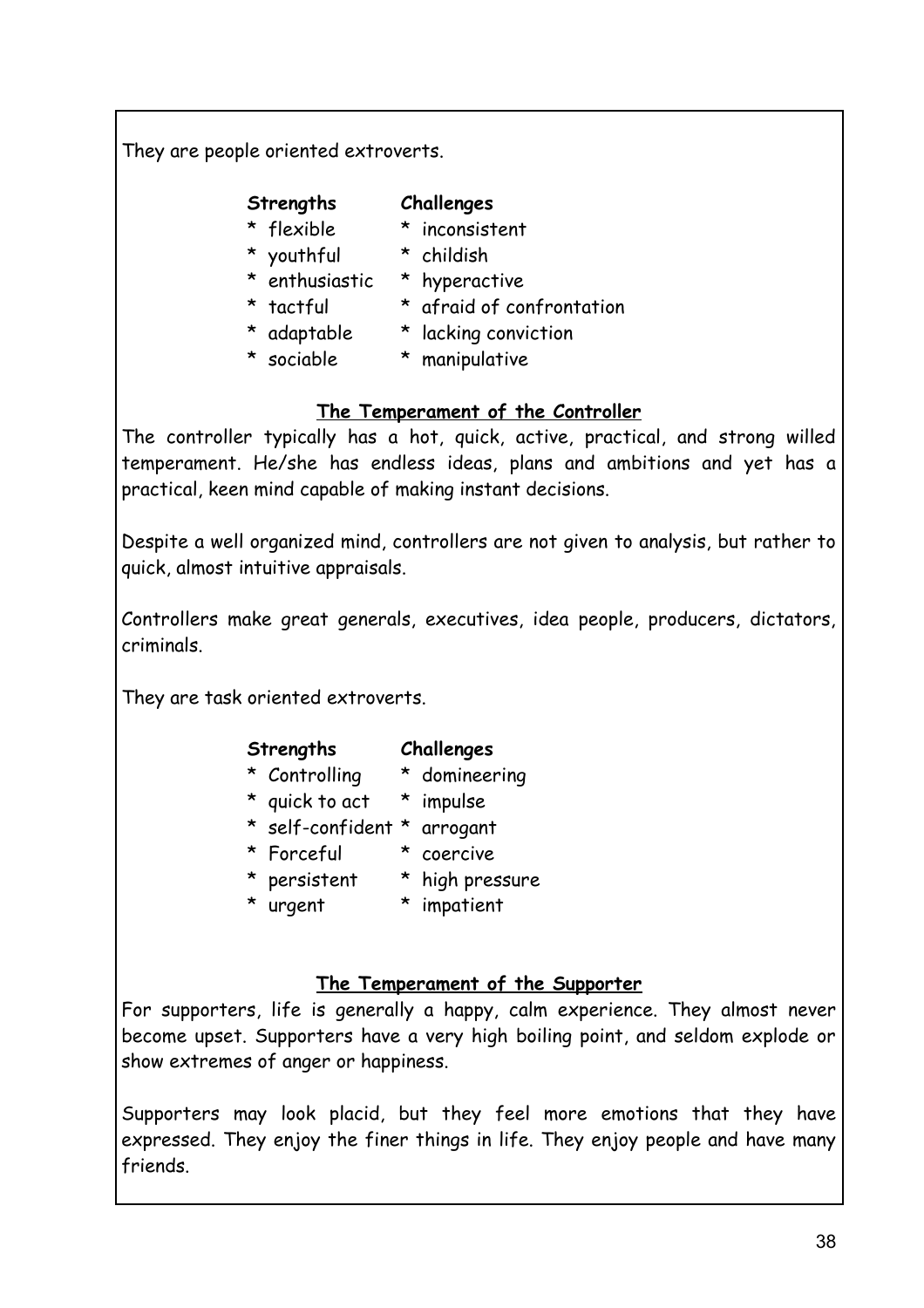They are people oriented extroverts.

#### **Strengths Challenges**

- \* flexible \* inconsistent
- \* youthful \* childish
	-
- \* enthusiastic \* hyperactive
	-
- \* tactful \* afraid of confrontation
- \* adaptable \* lacking conviction
- 
- \* sociable \* manipulative

#### **The Temperament of the Controller**

The controller typically has a hot, quick, active, practical, and strong willed temperament. He/she has endless ideas, plans and ambitions and yet has a practical, keen mind capable of making instant decisions.

Despite a well organized mind, controllers are not given to analysis, but rather to quick, almost intuitive appraisals.

Controllers make great generals, executives, idea people, producers, dictators, criminals.

They are task oriented extroverts.

#### **Strengths Challenges**

- \* Controlling \* domineering
- \* quick to act \* impulse
- \* self-confident \* arrogant
- \* Forceful \* coercive
	-
- \* persistent \* high pressure
- \* urgent \* impatient
	-

#### **The Temperament of the Supporter**

For supporters, life is generally a happy, calm experience. They almost never become upset. Supporters have a very high boiling point, and seldom explode or show extremes of anger or happiness.

Supporters may look placid, but they feel more emotions that they have expressed. They enjoy the finer things in life. They enjoy people and have many friends.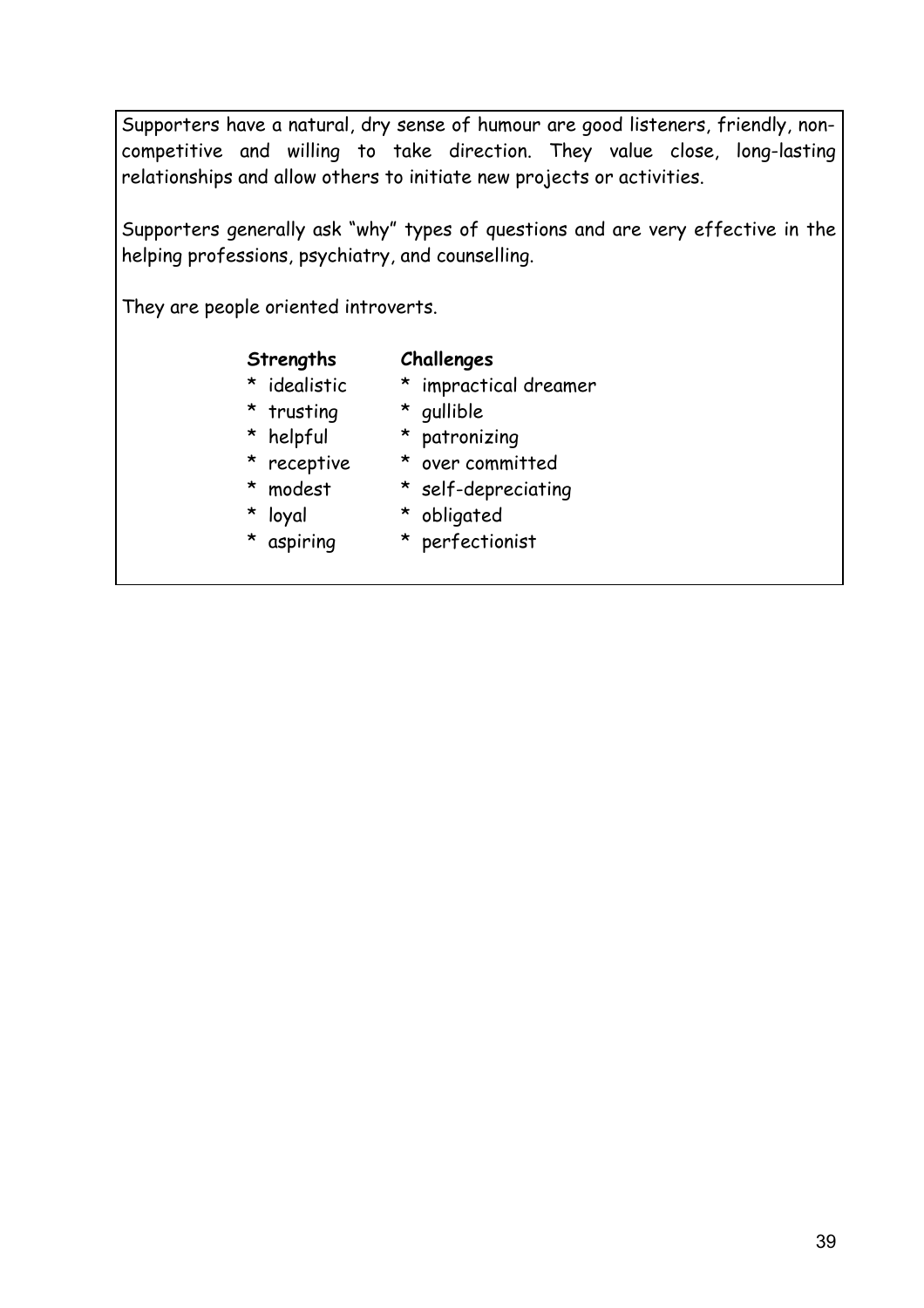Supporters have a natural, dry sense of humour are good listeners, friendly, noncompetitive and willing to take direction. They value close, long-lasting relationships and allow others to initiate new projects or activities.

Supporters generally ask "why" types of questions and are very effective in the helping professions, psychiatry, and counselling.

They are people oriented introverts.

#### **Strengths Challenges**

- \* idealistic \* impractical dreamer
	-
- \* trusting \* gullible
- \* helpful \* patronizing
- 
- \* receptive \* over committed
- \* modest \* self-depreciating
- \* loyal \* obligated
- 
- \* aspiring \* perfectionist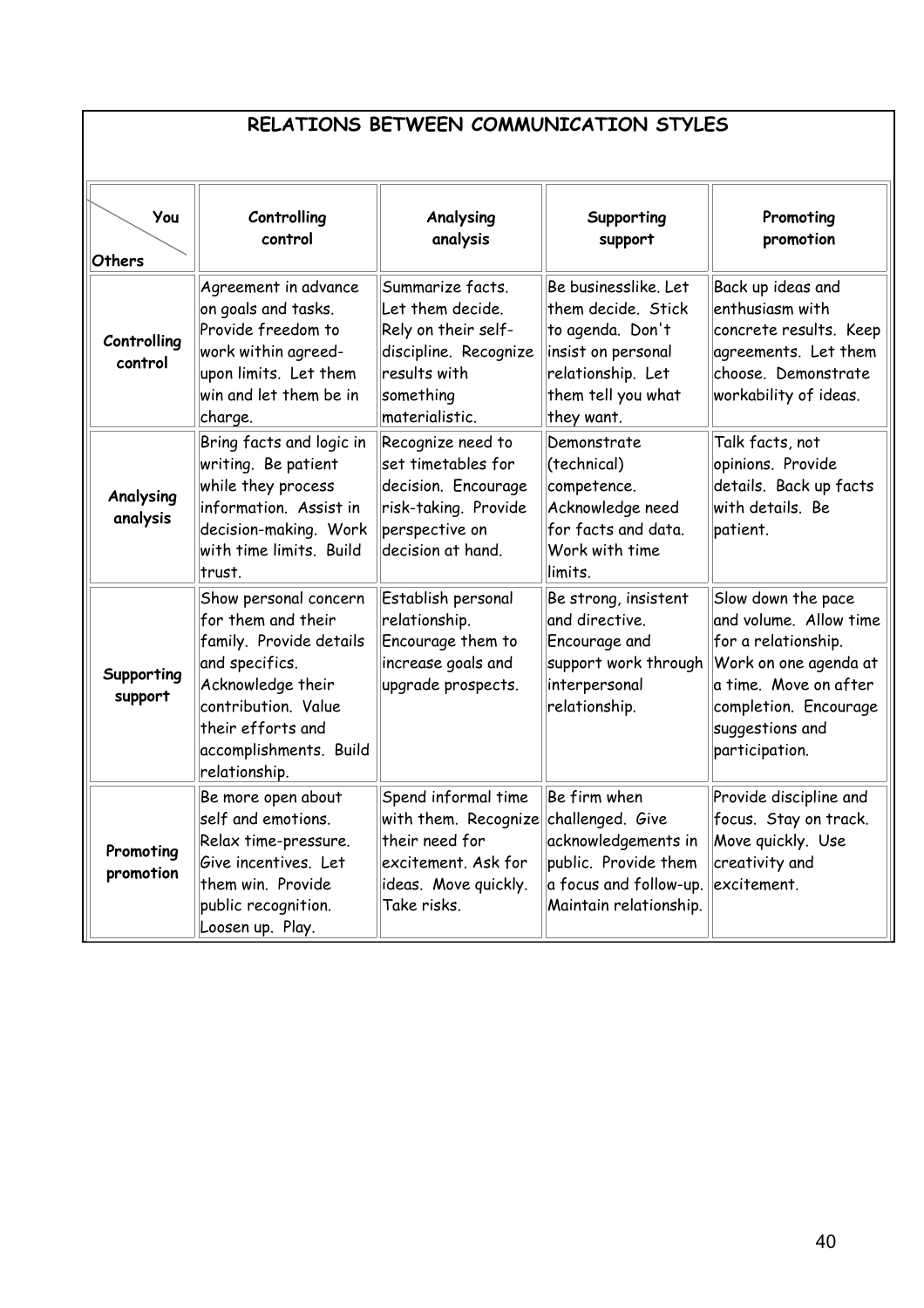| RELATIONS BETWEEN COMMUNICATION STYLES |
|----------------------------------------|
|----------------------------------------|

| You<br>Others          | Controlling<br>control                                                                                                                                                                               | Analysing<br>analysis                                                                                                               | Supporting<br>support                                                                                                                         | Promoting<br>promotion                                                                                                                                                              |
|------------------------|------------------------------------------------------------------------------------------------------------------------------------------------------------------------------------------------------|-------------------------------------------------------------------------------------------------------------------------------------|-----------------------------------------------------------------------------------------------------------------------------------------------|-------------------------------------------------------------------------------------------------------------------------------------------------------------------------------------|
| Controlling<br>control | Agreement in advance<br>on goals and tasks.<br>Provide freedom to<br>work within agreed-<br>upon limits. Let them<br>win and let them be in<br>charge.                                               | Summarize facts.<br>Let them decide.<br>Rely on their self-<br>discipline. Recognize<br>results with<br>something<br>materialistic. | Be businesslike. Let<br>them decide. Stick<br>to agenda. Don't<br>insist on personal<br>relationship. Let<br>them tell you what<br>they want. | Back up ideas and<br>enthusiasm with<br>concrete results. Keep<br>agreements. Let them<br>choose. Demonstrate<br>workability of ideas.                                              |
| Analysing<br>analysis  | Bring facts and logic in<br>writing. Be patient<br>while they process<br>information. Assist in<br>decision-making. Work<br>with time limits. Build<br>trust.                                        | Recognize need to<br>set timetables for<br>decision. Encourage<br>risk-taking. Provide<br>perspective on<br>decision at hand.       | Demonstrate<br>(technical)<br>competence.<br>Acknowledge need<br>for facts and data.<br>Work with time<br>limits.                             | Talk facts, not<br>opinions. Provide<br>details. Back up facts<br>with details. Be<br>patient.                                                                                      |
| Supporting<br>support  | Show personal concern<br>for them and their<br>family. Provide details<br>and specifics.<br>Acknowledge their<br>contribution. Value<br>their efforts and<br>accomplishments. Build<br>relationship. | Establish personal<br>relationship.<br>Encourage them to<br>increase goals and<br>upgrade prospects.                                | Be strong, insistent<br>and directive.<br>Encourage and<br>support work through<br>interpersonal<br>relationship.                             | Slow down the pace<br>and volume. Allow time<br>for a relationship.<br>Work on one agenda at<br>a time. Move on after<br>completion. Encourage<br>suggestions and<br>participation. |
| Promoting<br>promotion | Be more open about<br>self and emotions.<br>Relax time-pressure.<br>Give incentives. Let<br>them win. Provide<br>public recognition.<br>Loosen up. Play.                                             | Spend informal time<br>with them. Recognize<br>their need for<br>excitement. Ask for<br>ideas. Move quickly.<br>Take risks.         | Be firm when<br>challenged. Give<br>acknowledgements in<br>public. Provide them<br>a focus and follow-up.<br>Maintain relationship.           | Provide discipline and<br>focus. Stay on track.<br>Move quickly. Use<br>creativity and<br>excitement.                                                                               |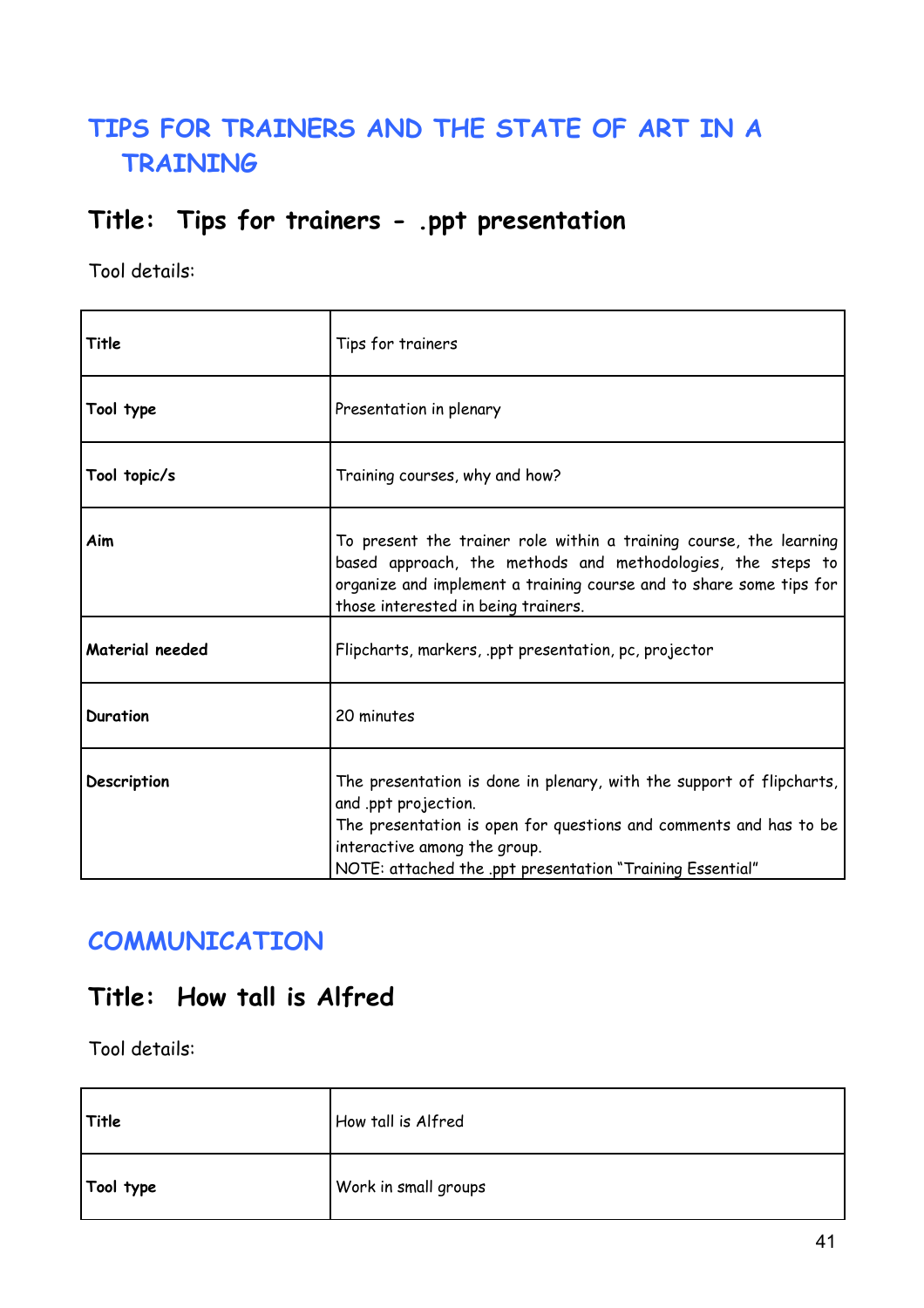## **TIPS FOR TRAINERS AND THE STATE OF ART IN A TRAINING**

### **Title: Tips for trainers - .ppt presentation**

Tool details:

| Title           | Tips for trainers                                                                                                                                                                                                                                              |
|-----------------|----------------------------------------------------------------------------------------------------------------------------------------------------------------------------------------------------------------------------------------------------------------|
| Tool type       | Presentation in plenary                                                                                                                                                                                                                                        |
| Tool topic/s    | Training courses, why and how?                                                                                                                                                                                                                                 |
| Aim             | To present the trainer role within a training course, the learning<br>based approach, the methods and methodologies, the steps to<br>organize and implement a training course and to share some tips for<br>those interested in being trainers.                |
| Material needed | Flipcharts, markers, ppt presentation, pc, projector                                                                                                                                                                                                           |
| Duration        | 20 minutes                                                                                                                                                                                                                                                     |
| Description     | The presentation is done in plenary, with the support of flipcharts,<br>and .ppt projection.<br>The presentation is open for questions and comments and has to be<br>interactive among the group.<br>NOTE: attached the .ppt presentation "Training Essential" |

### **COMMUNICATION**

### **Title: How tall is Alfred**

| Title     | How tall is Alfred   |
|-----------|----------------------|
| Tool type | Work in small groups |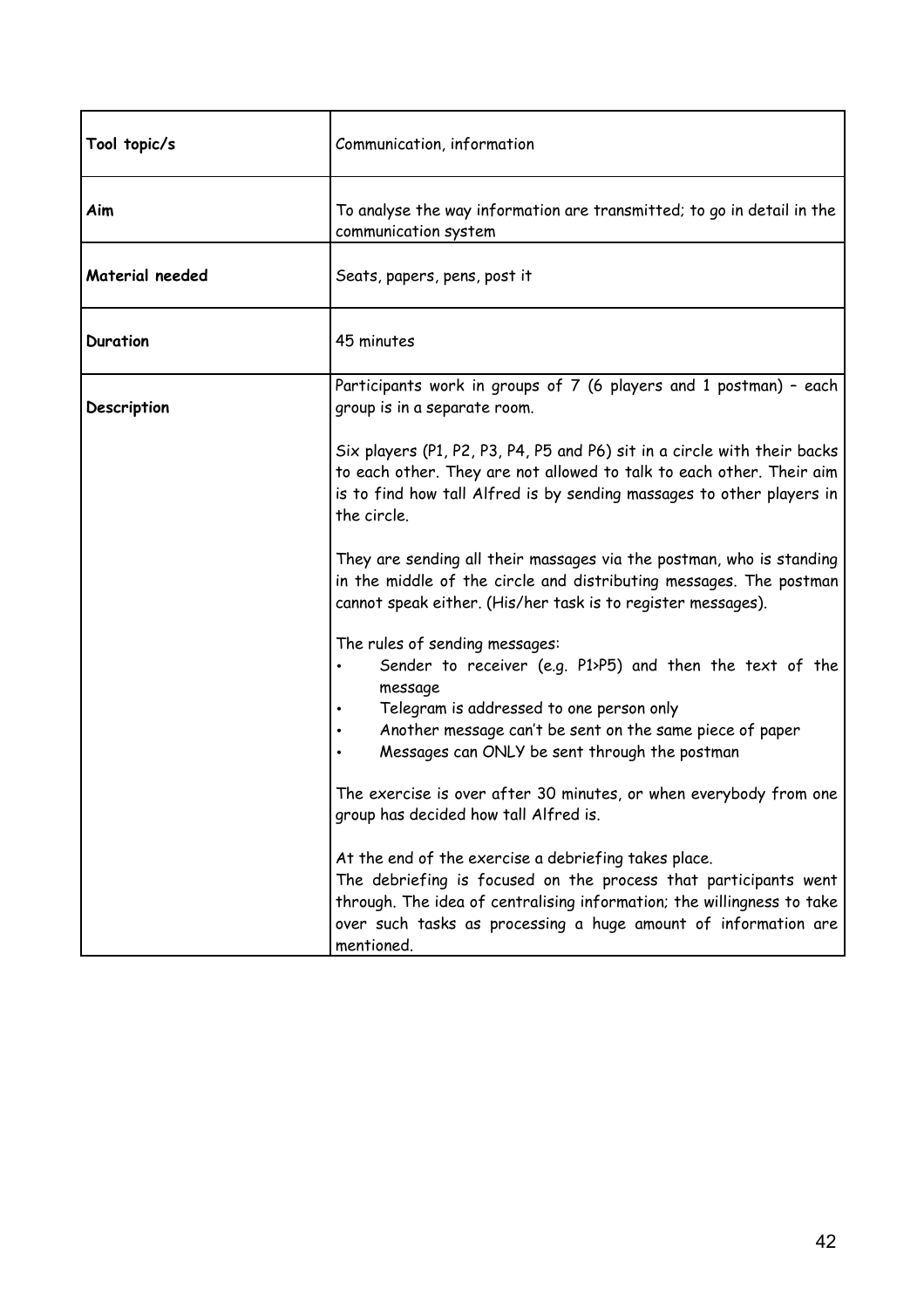| Tool topic/s    | Communication, information                                                                                                                                                                                                                                                        |
|-----------------|-----------------------------------------------------------------------------------------------------------------------------------------------------------------------------------------------------------------------------------------------------------------------------------|
| Aim             | To analyse the way information are transmitted; to go in detail in the<br>communication system                                                                                                                                                                                    |
| Material needed | Seats, papers, pens, post it                                                                                                                                                                                                                                                      |
| <b>Duration</b> | 45 minutes                                                                                                                                                                                                                                                                        |
| Description     | Participants work in groups of 7 (6 players and 1 postman) - each<br>group is in a separate room.                                                                                                                                                                                 |
|                 | Six players (P1, P2, P3, P4, P5 and P6) sit in a circle with their backs<br>to each other. They are not allowed to talk to each other. Their aim<br>is to find how tall Alfred is by sending massages to other players in<br>the circle.                                          |
|                 | They are sending all their massages via the postman, who is standing<br>in the middle of the circle and distributing messages. The postman<br>cannot speak either. (His/her task is to register messages).                                                                        |
|                 | The rules of sending messages:<br>Sender to receiver (e.g. P1>P5) and then the text of the<br>٠<br>message<br>Telegram is addressed to one person only<br>Another message can't be sent on the same piece of paper<br>Messages can ONLY be sent through the postman               |
|                 | The exercise is over after 30 minutes, or when everybody from one<br>group has decided how tall Alfred is.                                                                                                                                                                        |
|                 | At the end of the exercise a debriefing takes place.<br>The debriefing is focused on the process that participants went<br>through. The idea of centralising information; the willingness to take<br>over such tasks as processing a huge amount of information are<br>mentioned. |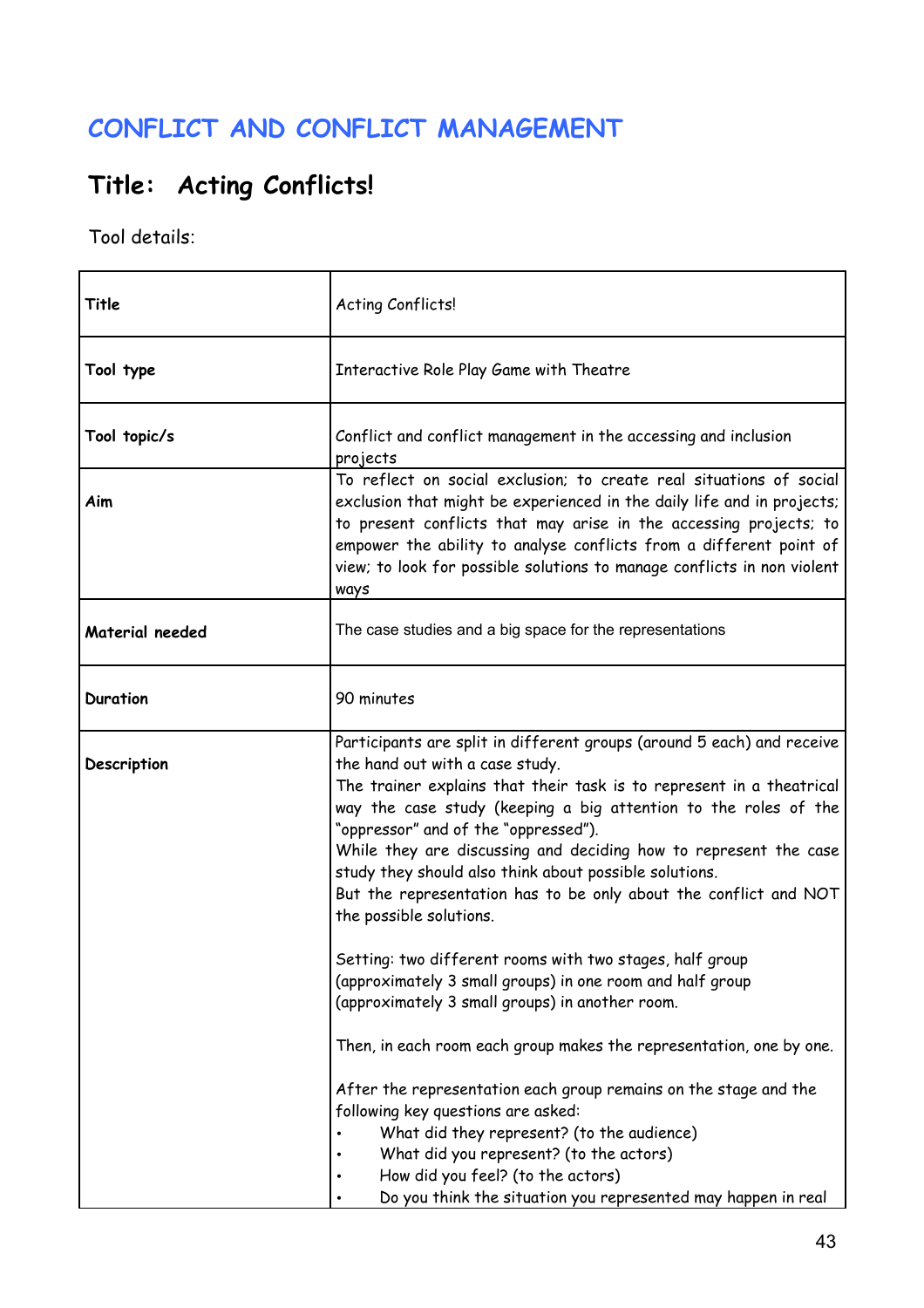### **CONFLICT AND CONFLICT MANAGEMENT**

# **Title: Acting Conflicts!**

| Title           | Acting Conflicts!                                                                                                                                                                                                                                                                                                                                                                                                                                                                                                         |
|-----------------|---------------------------------------------------------------------------------------------------------------------------------------------------------------------------------------------------------------------------------------------------------------------------------------------------------------------------------------------------------------------------------------------------------------------------------------------------------------------------------------------------------------------------|
| Tool type       | Interactive Role Play Game with Theatre                                                                                                                                                                                                                                                                                                                                                                                                                                                                                   |
| Tool topic/s    | Conflict and conflict management in the accessing and inclusion<br>projects                                                                                                                                                                                                                                                                                                                                                                                                                                               |
| Aim             | To reflect on social exclusion; to create real situations of social<br>exclusion that might be experienced in the daily life and in projects;<br>to present conflicts that may arise in the accessing projects; to<br>empower the ability to analyse conflicts from a different point of<br>view; to look for possible solutions to manage conflicts in non violent<br>ways                                                                                                                                               |
| Material needed | The case studies and a big space for the representations                                                                                                                                                                                                                                                                                                                                                                                                                                                                  |
| <b>Duration</b> | 90 minutes                                                                                                                                                                                                                                                                                                                                                                                                                                                                                                                |
| Description     | Participants are split in different groups (around 5 each) and receive<br>the hand out with a case study.<br>The trainer explains that their task is to represent in a theatrical<br>way the case study (keeping a big attention to the roles of the<br>"oppressor" and of the "oppressed").<br>While they are discussing and deciding how to represent the case<br>study they should also think about possible solutions.<br>But the representation has to be only about the conflict and NOT<br>the possible solutions. |
|                 | Setting: two different rooms with two stages, half group<br>(approximately 3 small groups) in one room and half group<br>(approximately 3 small groups) in another room.                                                                                                                                                                                                                                                                                                                                                  |
|                 | Then, in each room each group makes the representation, one by one.<br>After the representation each group remains on the stage and the<br>following key questions are asked:<br>What did they represent? (to the audience)<br>What did you represent? (to the actors)<br>How did you feel? (to the actors)<br>Do you think the situation you represented may happen in real                                                                                                                                              |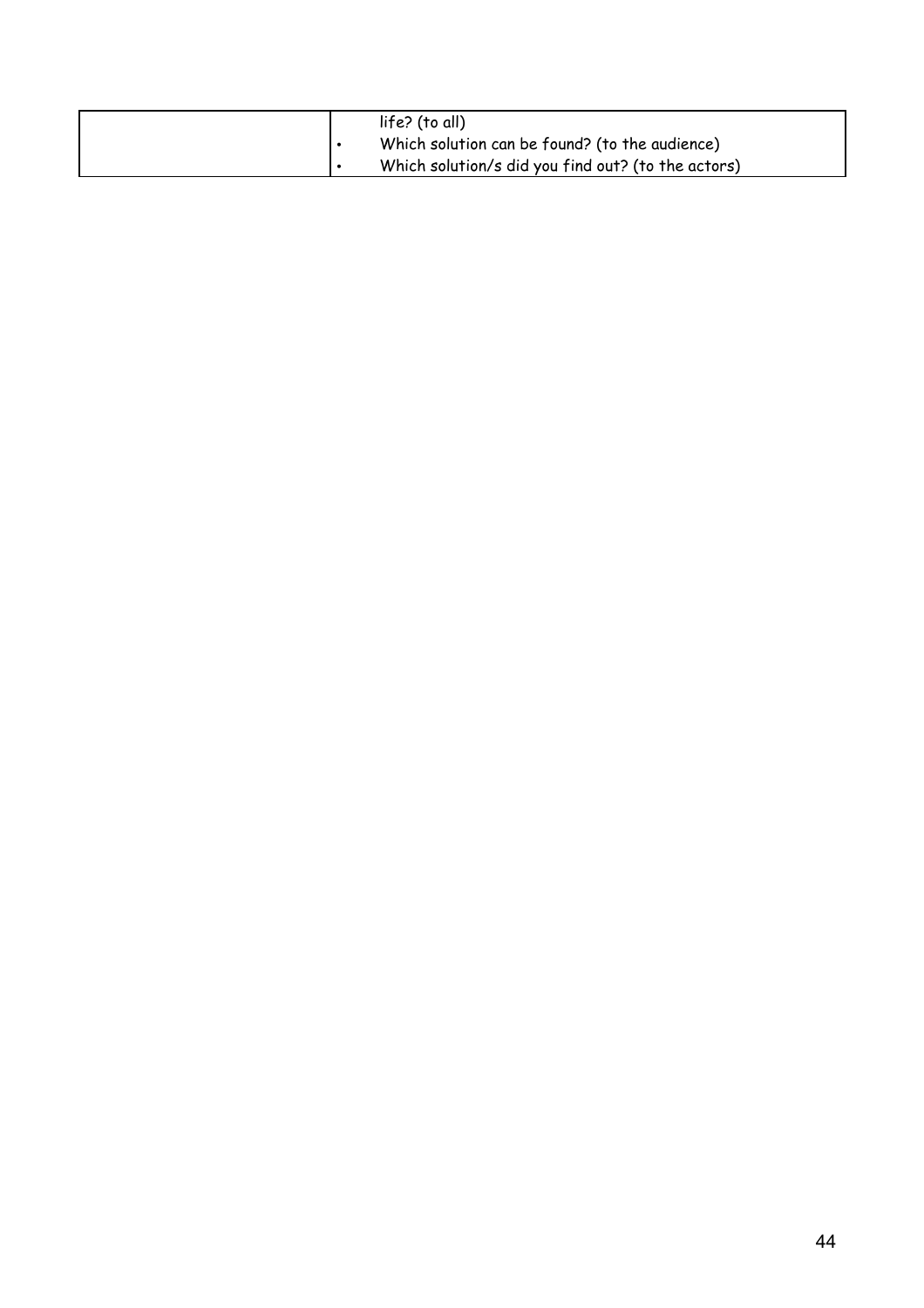|  | life? (to all)<br>Which solution can be found? (to the audience) |
|--|------------------------------------------------------------------|
|  | Which solution/s did you find out? (to the actors)               |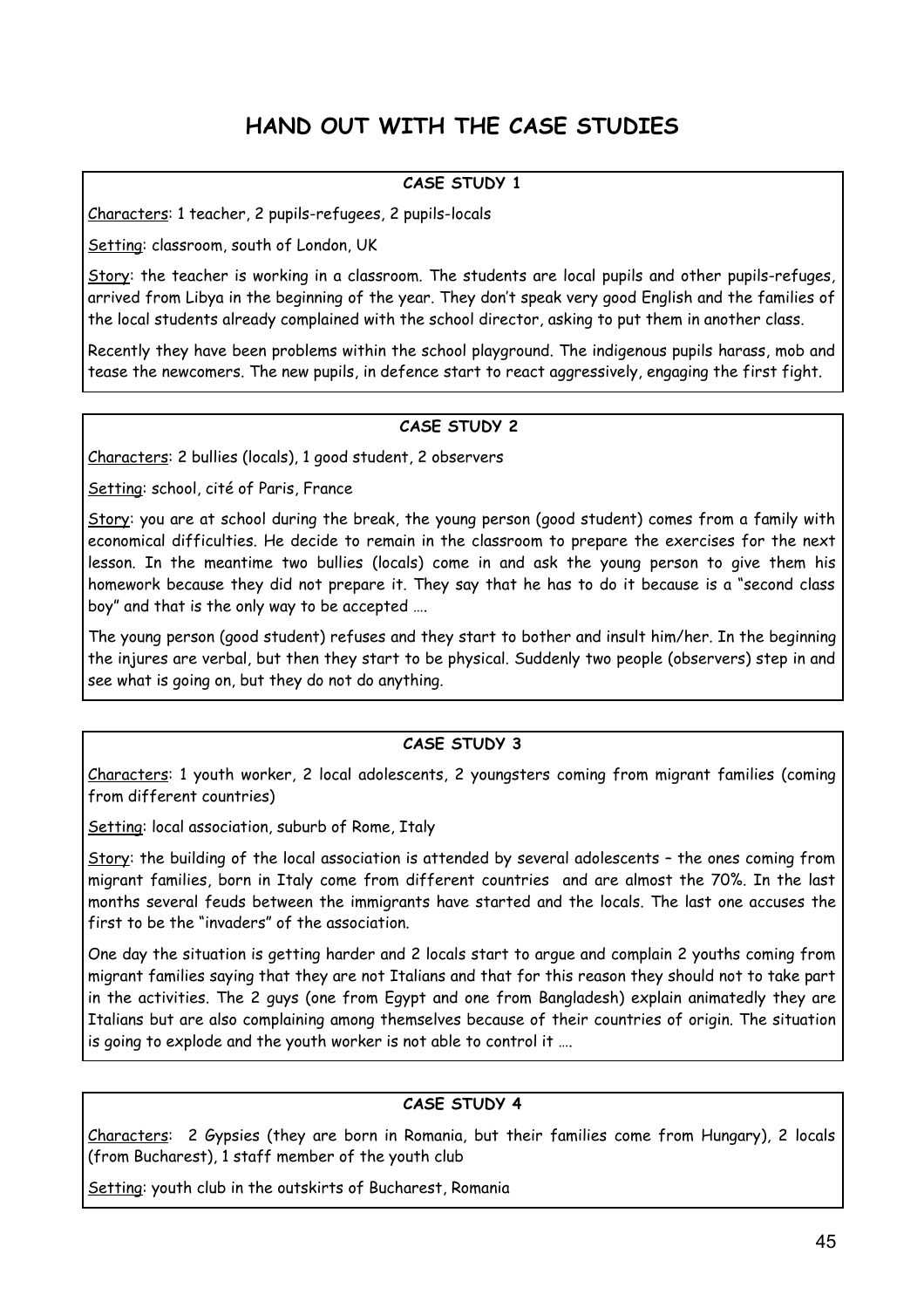### **HAND OUT WITH THE CASE STUDIES**

#### **CASE STUDY 1**

Characters: 1 teacher, 2 pupils-refugees, 2 pupils-locals

Setting: classroom, south of London, UK

Story: the teacher is working in a classroom. The students are local pupils and other pupils-refuges, arrived from Libya in the beginning of the year. They don't speak very good English and the families of the local students already complained with the school director, asking to put them in another class.

Recently they have been problems within the school playground. The indigenous pupils harass, mob and tease the newcomers. The new pupils, in defence start to react aggressively, engaging the first fight.

#### **CASE STUDY 2**

Characters: 2 bullies (locals), 1 good student, 2 observers

Setting: school, cité of Paris, France

Story: you are at school during the break, the young person (good student) comes from a family with economical difficulties. He decide to remain in the classroom to prepare the exercises for the next lesson. In the meantime two bullies (locals) come in and ask the young person to give them his homework because they did not prepare it. They say that he has to do it because is a "second class boy" and that is the only way to be accepted ….

The young person (good student) refuses and they start to bother and insult him/her. In the beginning the injures are verbal, but then they start to be physical. Suddenly two people (observers) step in and see what is going on, but they do not do anything.

#### **CASE STUDY 3**

Characters: 1 youth worker, 2 local adolescents, 2 youngsters coming from migrant families (coming from different countries)

Setting: local association, suburb of Rome, Italy

Story: the building of the local association is attended by several adolescents – the ones coming from migrant families, born in Italy come from different countries and are almost the 70%. In the last months several feuds between the immigrants have started and the locals. The last one accuses the first to be the "invaders" of the association.

One day the situation is getting harder and 2 locals start to argue and complain 2 youths coming from migrant families saying that they are not Italians and that for this reason they should not to take part in the activities. The 2 guys (one from Egypt and one from Bangladesh) explain animatedly they are Italians but are also complaining among themselves because of their countries of origin. The situation is going to explode and the youth worker is not able to control it ….

#### **CASE STUDY 4**

Characters: 2 Gypsies (they are born in Romania, but their families come from Hungary), 2 locals (from Bucharest), 1 staff member of the youth club

Setting: youth club in the outskirts of Bucharest, Romania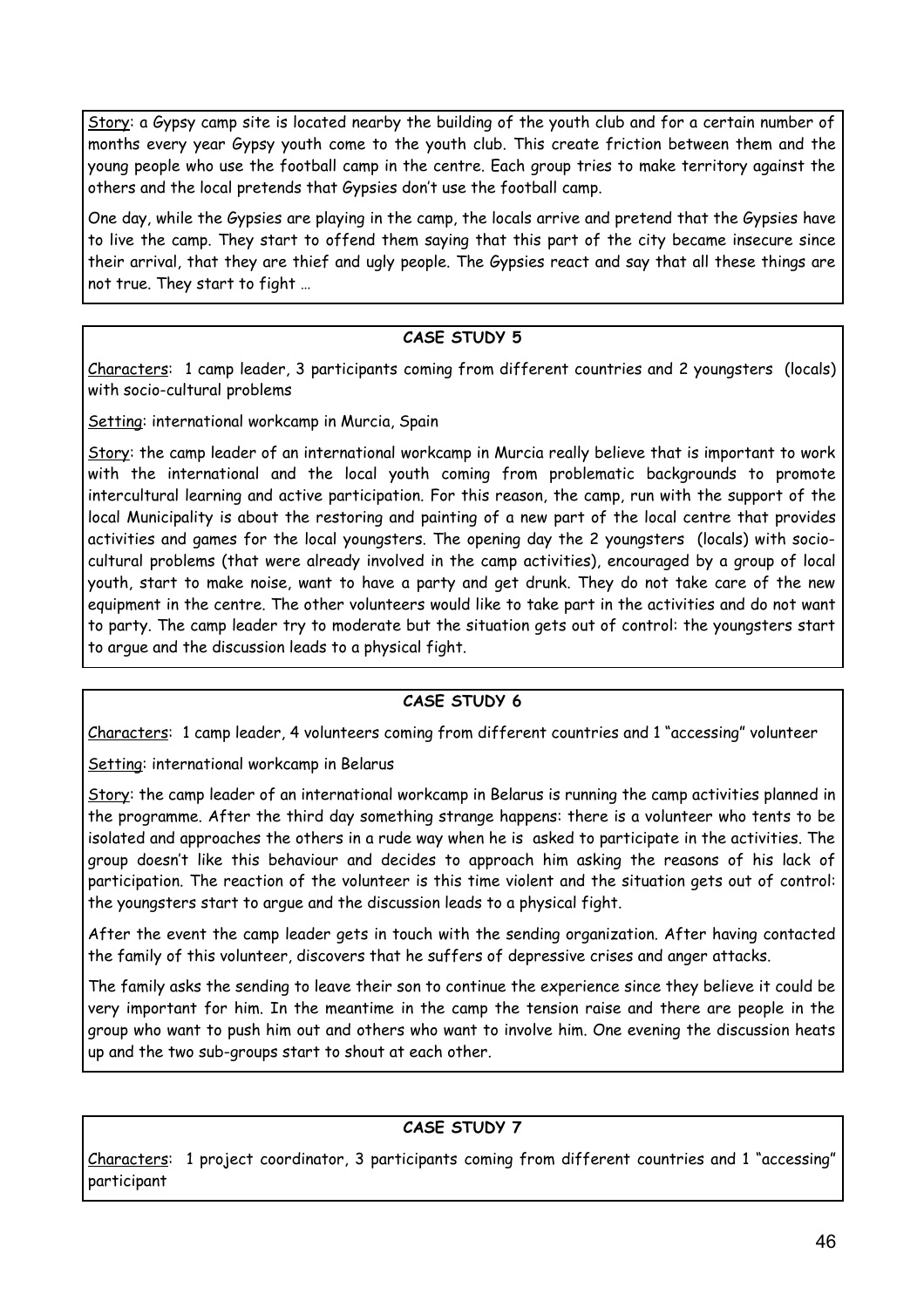Story: a Gypsy camp site is located nearby the building of the youth club and for a certain number of months every year Gypsy youth come to the youth club. This create friction between them and the young people who use the football camp in the centre. Each group tries to make territory against the others and the local pretends that Gypsies don't use the football camp.

One day, while the Gypsies are playing in the camp, the locals arrive and pretend that the Gypsies have to live the camp. They start to offend them saying that this part of the city became insecure since their arrival, that they are thief and ugly people. The Gypsies react and say that all these things are not true. They start to fight …

#### **CASE STUDY 5**

Characters: 1 camp leader, 3 participants coming from different countries and 2 youngsters (locals) with socio-cultural problems

Setting: international workcamp in Murcia, Spain

Story: the camp leader of an international workcamp in Murcia really believe that is important to work with the international and the local youth coming from problematic backgrounds to promote intercultural learning and active participation. For this reason, the camp, run with the support of the local Municipality is about the restoring and painting of a new part of the local centre that provides activities and games for the local youngsters. The opening day the 2 youngsters (locals) with sociocultural problems (that were already involved in the camp activities), encouraged by a group of local youth, start to make noise, want to have a party and get drunk. They do not take care of the new equipment in the centre. The other volunteers would like to take part in the activities and do not want to party. The camp leader try to moderate but the situation gets out of control: the youngsters start to argue and the discussion leads to a physical fight.

#### **CASE STUDY 6**

Characters: 1 camp leader, 4 volunteers coming from different countries and 1 "accessing" volunteer

Setting: international workcamp in Belarus

Story: the camp leader of an international workcamp in Belarus is running the camp activities planned in the programme. After the third day something strange happens: there is a volunteer who tents to be isolated and approaches the others in a rude way when he is asked to participate in the activities. The group doesn't like this behaviour and decides to approach him asking the reasons of his lack of participation. The reaction of the volunteer is this time violent and the situation gets out of control: the youngsters start to argue and the discussion leads to a physical fight.

After the event the camp leader gets in touch with the sending organization. After having contacted the family of this volunteer, discovers that he suffers of depressive crises and anger attacks.

The family asks the sending to leave their son to continue the experience since they believe it could be very important for him. In the meantime in the camp the tension raise and there are people in the group who want to push him out and others who want to involve him. One evening the discussion heats up and the two sub-groups start to shout at each other.

#### **CASE STUDY 7**

Characters: 1 project coordinator, 3 participants coming from different countries and 1 "accessing" participant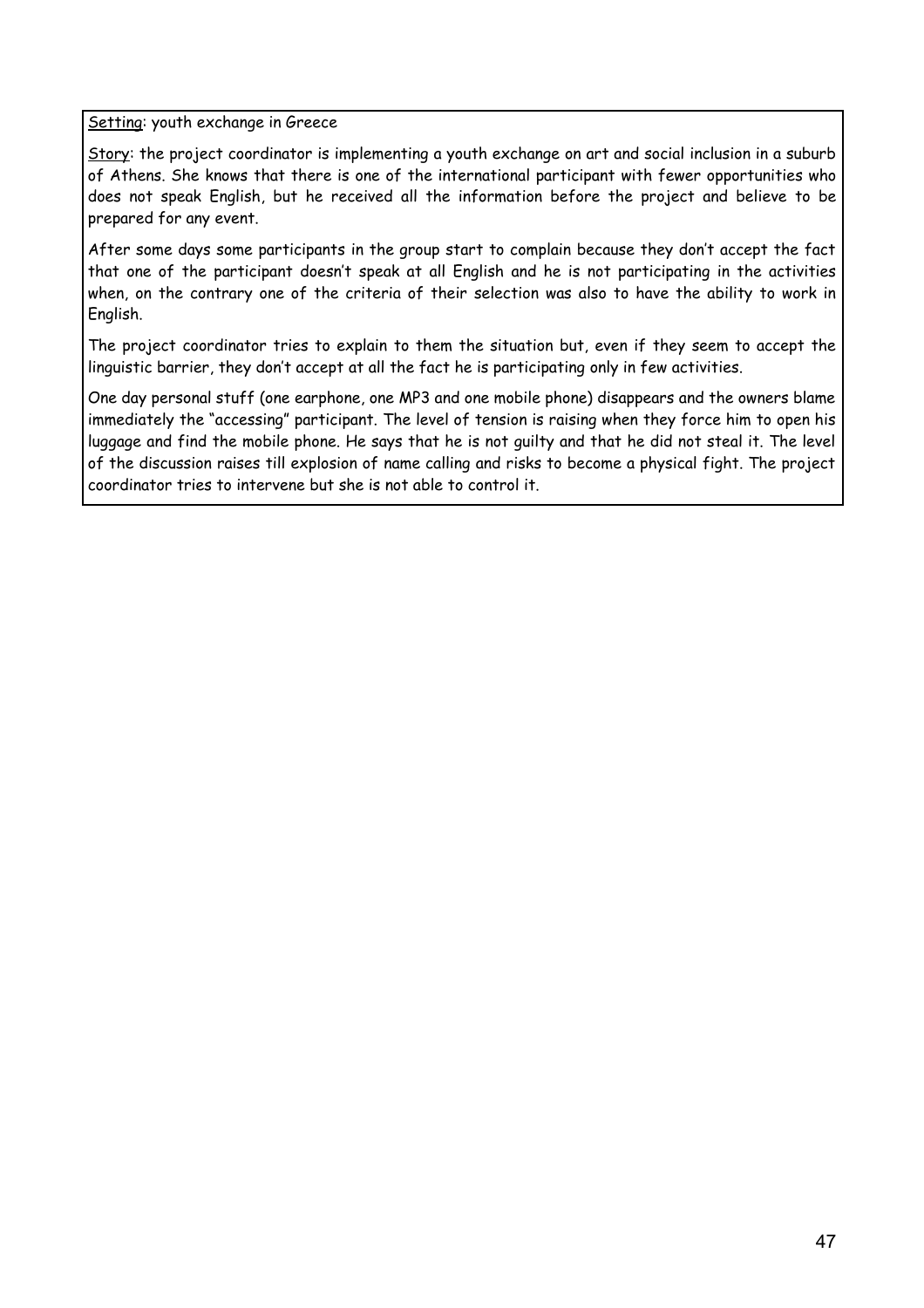Setting: youth exchange in Greece

Story: the project coordinator is implementing a youth exchange on art and social inclusion in a suburb of Athens. She knows that there is one of the international participant with fewer opportunities who does not speak English, but he received all the information before the project and believe to be prepared for any event.

After some days some participants in the group start to complain because they don't accept the fact that one of the participant doesn't speak at all English and he is not participating in the activities when, on the contrary one of the criteria of their selection was also to have the ability to work in English.

The project coordinator tries to explain to them the situation but, even if they seem to accept the linguistic barrier, they don't accept at all the fact he is participating only in few activities.

One day personal stuff (one earphone, one MP3 and one mobile phone) disappears and the owners blame immediately the "accessing" participant. The level of tension is raising when they force him to open his luggage and find the mobile phone. He says that he is not guilty and that he did not steal it. The level of the discussion raises till explosion of name calling and risks to become a physical fight. The project coordinator tries to intervene but she is not able to control it.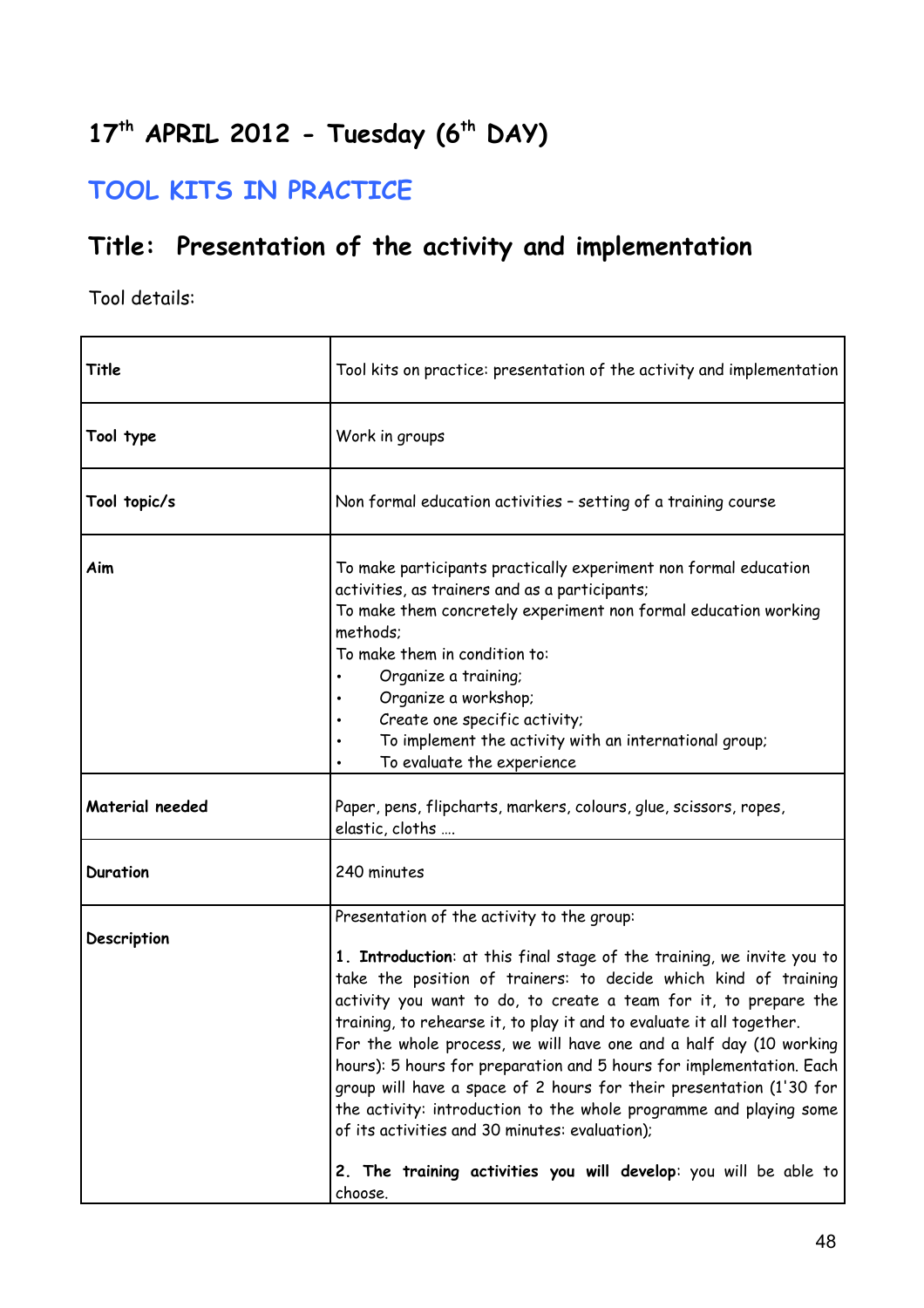# **17th APRIL 2012 - Tuesday (6th DAY)**

### **TOOL KITS IN PRACTICE**

### **Title: Presentation of the activity and implementation**

| Title           | Tool kits on practice: presentation of the activity and implementation                                                                                                                                                                                                                                                                                                                                                                                                                                                                                                                                                                                                                                                                                |
|-----------------|-------------------------------------------------------------------------------------------------------------------------------------------------------------------------------------------------------------------------------------------------------------------------------------------------------------------------------------------------------------------------------------------------------------------------------------------------------------------------------------------------------------------------------------------------------------------------------------------------------------------------------------------------------------------------------------------------------------------------------------------------------|
| Tool type       | Work in groups                                                                                                                                                                                                                                                                                                                                                                                                                                                                                                                                                                                                                                                                                                                                        |
| Tool topic/s    | Non formal education activities - setting of a training course                                                                                                                                                                                                                                                                                                                                                                                                                                                                                                                                                                                                                                                                                        |
| Aim             | To make participants practically experiment non formal education<br>activities, as trainers and as a participants;<br>To make them concretely experiment non formal education working<br>methods;<br>To make them in condition to:<br>Organize a training;<br>Organize a workshop;<br>Create one specific activity;<br>To implement the activity with an international group;<br>To evaluate the experience                                                                                                                                                                                                                                                                                                                                           |
| Material needed | Paper, pens, flipcharts, markers, colours, glue, scissors, ropes,<br>elastic, cloths                                                                                                                                                                                                                                                                                                                                                                                                                                                                                                                                                                                                                                                                  |
| <b>Duration</b> | 240 minutes                                                                                                                                                                                                                                                                                                                                                                                                                                                                                                                                                                                                                                                                                                                                           |
| Description     | Presentation of the activity to the group:<br>1. Introduction: at this final stage of the training, we invite you to<br>take the position of trainers: to decide which kind of training<br>activity you want to do, to create a team for it, to prepare the<br>training, to rehearse it, to play it and to evaluate it all together.<br>For the whole process, we will have one and a half day (10 working<br>hours): 5 hours for preparation and 5 hours for implementation. Each<br>group will have a space of 2 hours for their presentation (1'30 for<br>the activity: introduction to the whole programme and playing some<br>of its activities and 30 minutes: evaluation);<br>2. The training activities you will develop: you will be able to |
|                 | choose.                                                                                                                                                                                                                                                                                                                                                                                                                                                                                                                                                                                                                                                                                                                                               |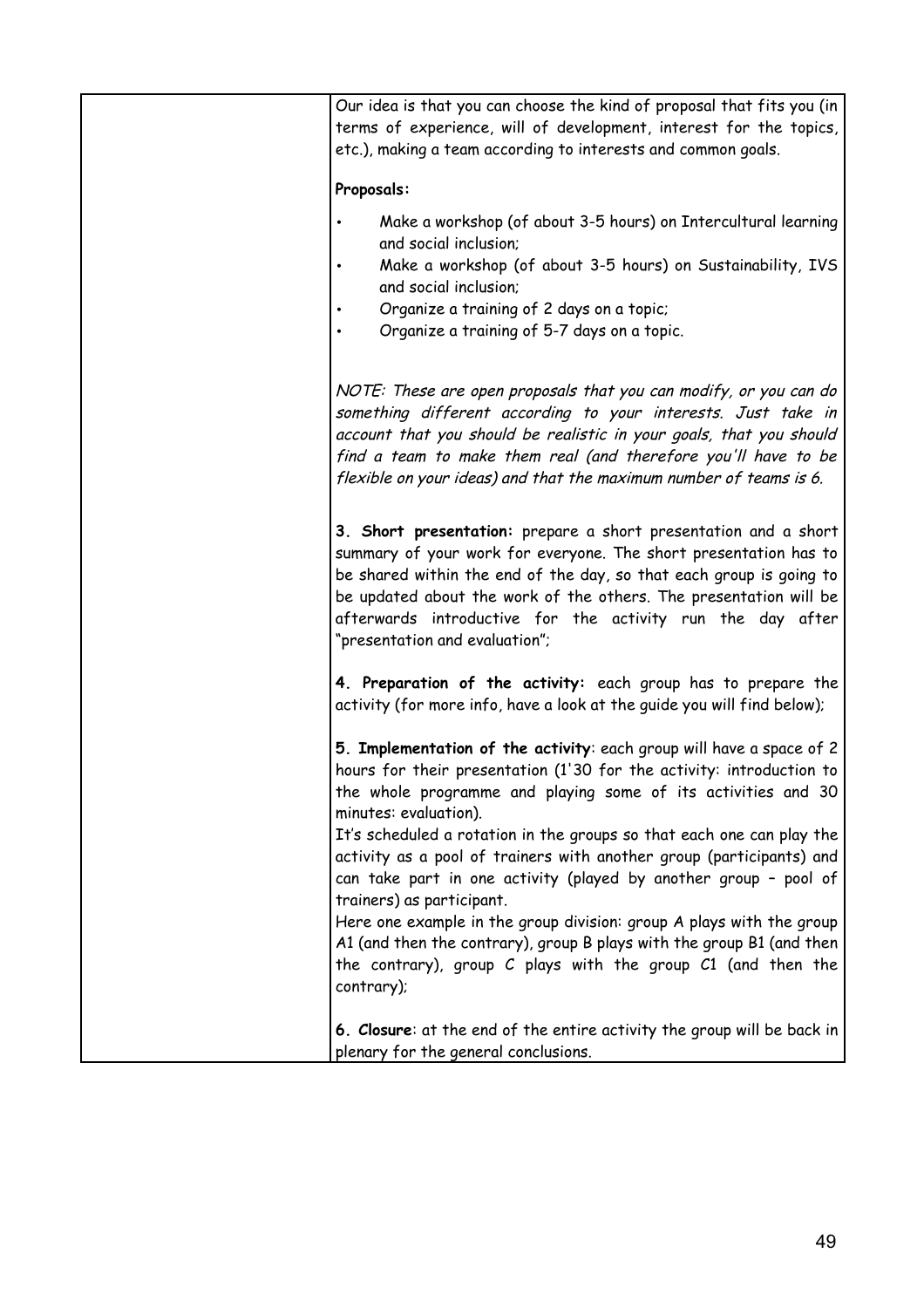| Our idea is that you can choose the kind of proposal that fits you (in<br>terms of experience, will of development, interest for the topics,<br>etc.), making a team according to interests and common goals.                                                                                                                                                                                                                                                                                                                                                                                                                                                                                                           |
|-------------------------------------------------------------------------------------------------------------------------------------------------------------------------------------------------------------------------------------------------------------------------------------------------------------------------------------------------------------------------------------------------------------------------------------------------------------------------------------------------------------------------------------------------------------------------------------------------------------------------------------------------------------------------------------------------------------------------|
| Proposals:                                                                                                                                                                                                                                                                                                                                                                                                                                                                                                                                                                                                                                                                                                              |
| Make a workshop (of about 3-5 hours) on Intercultural learning<br>and social inclusion;<br>Make a workshop (of about 3-5 hours) on Sustainability, IVS<br>and social inclusion;<br>Organize a training of 2 days on a topic;<br>Organize a training of 5-7 days on a topic.                                                                                                                                                                                                                                                                                                                                                                                                                                             |
| NOTE: These are open proposals that you can modify, or you can do<br>something different according to your interests. Just take in<br>account that you should be realistic in your goals, that you should<br>find a team to make them real (and therefore you'll have to be<br>flexible on your ideas) and that the maximum number of teams is 6.                                                                                                                                                                                                                                                                                                                                                                       |
| 3. Short presentation: prepare a short presentation and a short<br>summary of your work for everyone. The short presentation has to<br>be shared within the end of the day, so that each group is going to<br>be updated about the work of the others. The presentation will be<br>afterwards introductive for the activity run the day after<br>"presentation and evaluation";                                                                                                                                                                                                                                                                                                                                         |
| 4. Preparation of the activity: each group has to prepare the<br>activity (for more info, have a look at the guide you will find below);                                                                                                                                                                                                                                                                                                                                                                                                                                                                                                                                                                                |
| 5. Implementation of the activity: each group will have a space of 2<br>hours for their presentation (1'30 for the activity: introduction to<br>the whole programme and playing some of its activities and 30<br>minutes: evaluation).<br>It's scheduled a rotation in the groups so that each one can play the<br>activity as a pool of trainers with another group (participants) and<br>can take part in one activity (played by another group - pool of<br>trainers) as participant.<br>Here one example in the group division: group A plays with the group<br>A1 (and then the contrary), group B plays with the group B1 (and then<br>the contrary), group C plays with the group C1 (and then the<br>contrary); |
| 6. Closure: at the end of the entire activity the group will be back in<br>plenary for the general conclusions.                                                                                                                                                                                                                                                                                                                                                                                                                                                                                                                                                                                                         |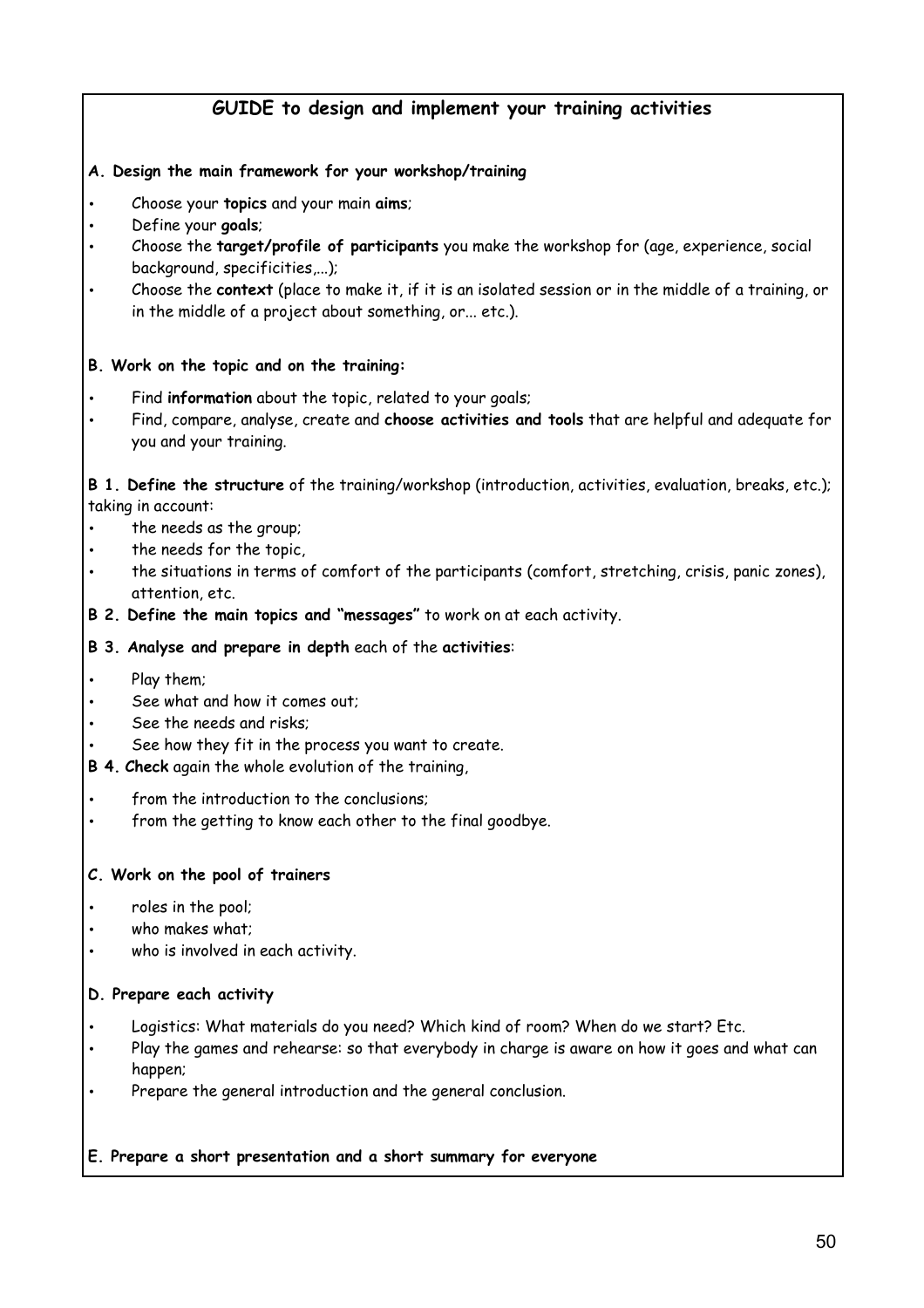#### **GUIDE to design and implement your training activities**

#### **A. Design the main framework for your workshop/training**

- Choose your **topics** and your main **aims**;
- Define your **goals**;
- Choose the **target/profile of participants** you make the workshop for (age, experience, social background, specificities,...);
- Choose the **context** (place to make it, if it is an isolated session or in the middle of a training, or in the middle of a project about something, or... etc.).

#### **B. Work on the topic and on the training:**

- Find **information** about the topic, related to your goals;
- Find, compare, analyse, create and **choose activities and tools** that are helpful and adequate for you and your training.

**B 1. Define the structure** of the training/workshop (introduction, activities, evaluation, breaks, etc.); taking in account:

- the needs as the group;
- the needs for the topic,
- the situations in terms of comfort of the participants (comfort, stretching, crisis, panic zones), attention, etc.
- **B 2. Define the main topics and "messages"** to work on at each activity.

#### **B 3. Analyse and prepare in depth** each of the **activities**:

- Play them;
- See what and how it comes out:
- See the needs and risks;
- See how they fit in the process you want to create.
- **B 4. Check** again the whole evolution of the training,
- from the introduction to the conclusions:
- from the getting to know each other to the final goodbye.

#### **C. Work on the pool of trainers**

- roles in the pool;
- who makes what;
- who is involved in each activity.

#### **D. Prepare each activity**

- Logistics: What materials do you need? Which kind of room? When do we start? Etc.
- Play the games and rehearse: so that everybody in charge is aware on how it goes and what can happen;
- Prepare the general introduction and the general conclusion.

#### **E. Prepare a short presentation and a short summary for everyone**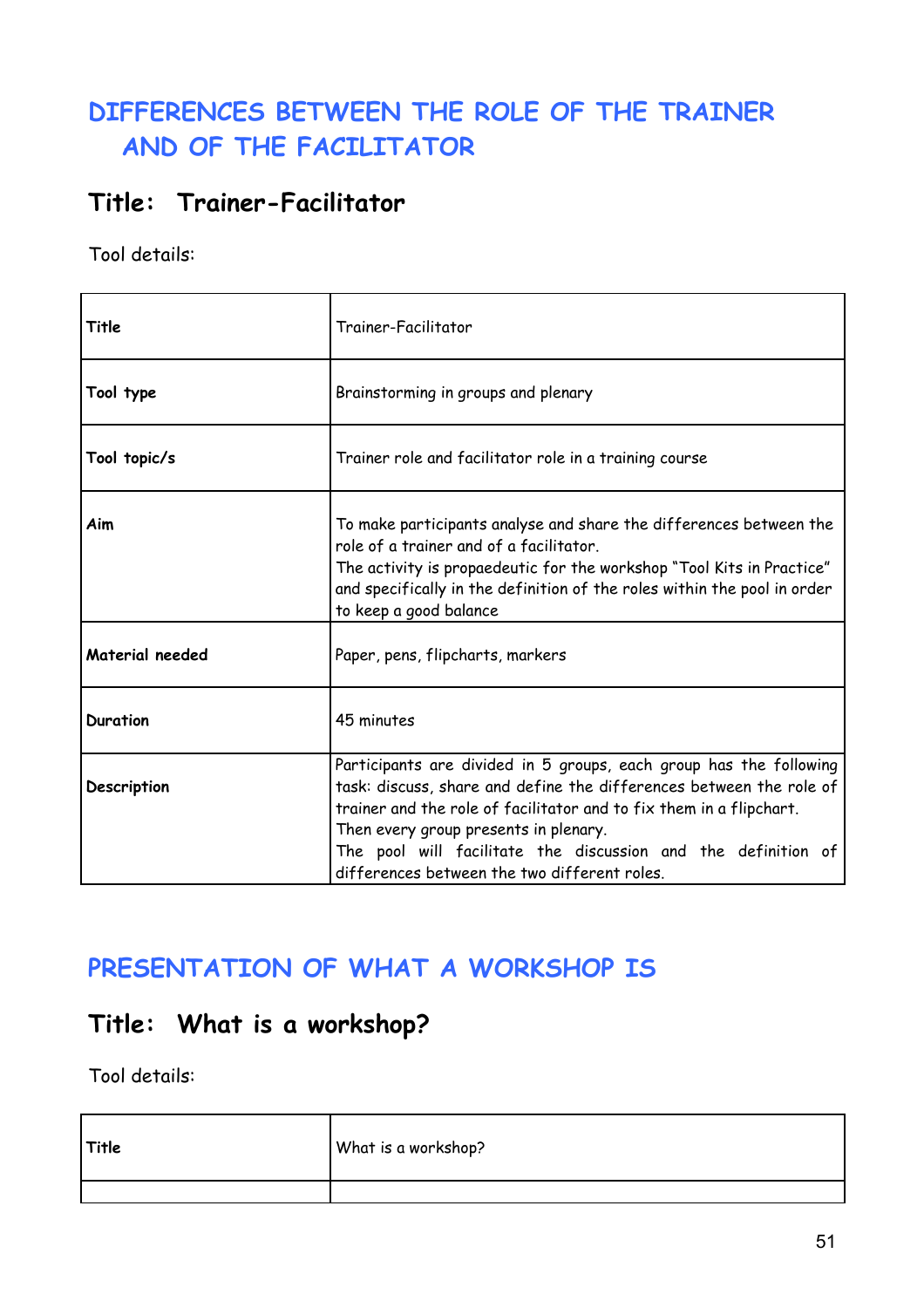### **DIFFERENCES BETWEEN THE ROLE OF THE TRAINER AND OF THE FACILITATOR**

### **Title: Trainer-Facilitator**

Tool details:

| Title           | Trainer-Facilitator                                                                                                                                                                                                                                                                                                                                                        |
|-----------------|----------------------------------------------------------------------------------------------------------------------------------------------------------------------------------------------------------------------------------------------------------------------------------------------------------------------------------------------------------------------------|
| Tool type       | Brainstorming in groups and plenary                                                                                                                                                                                                                                                                                                                                        |
| Tool topic/s    | Trainer role and facilitator role in a training course                                                                                                                                                                                                                                                                                                                     |
| Aim             | To make participants analyse and share the differences between the<br>role of a trainer and of a facilitator.<br>The activity is propaedeutic for the workshop "Tool Kits in Practice"<br>and specifically in the definition of the roles within the pool in order<br>to keep a good balance                                                                               |
| Material needed | Paper, pens, flipcharts, markers                                                                                                                                                                                                                                                                                                                                           |
| <b>Duration</b> | 45 minutes                                                                                                                                                                                                                                                                                                                                                                 |
| Description     | Participants are divided in 5 groups, each group has the following<br>task: discuss, share and define the differences between the role of<br>trainer and the role of facilitator and to fix them in a flipchart.<br>Then every group presents in plenary.<br>The pool will facilitate the discussion and the definition of<br>differences between the two different roles. |

### **PRESENTATION OF WHAT A WORKSHOP IS**

### **Title: What is a workshop?**

| Title | What is a workshop? |
|-------|---------------------|
|       |                     |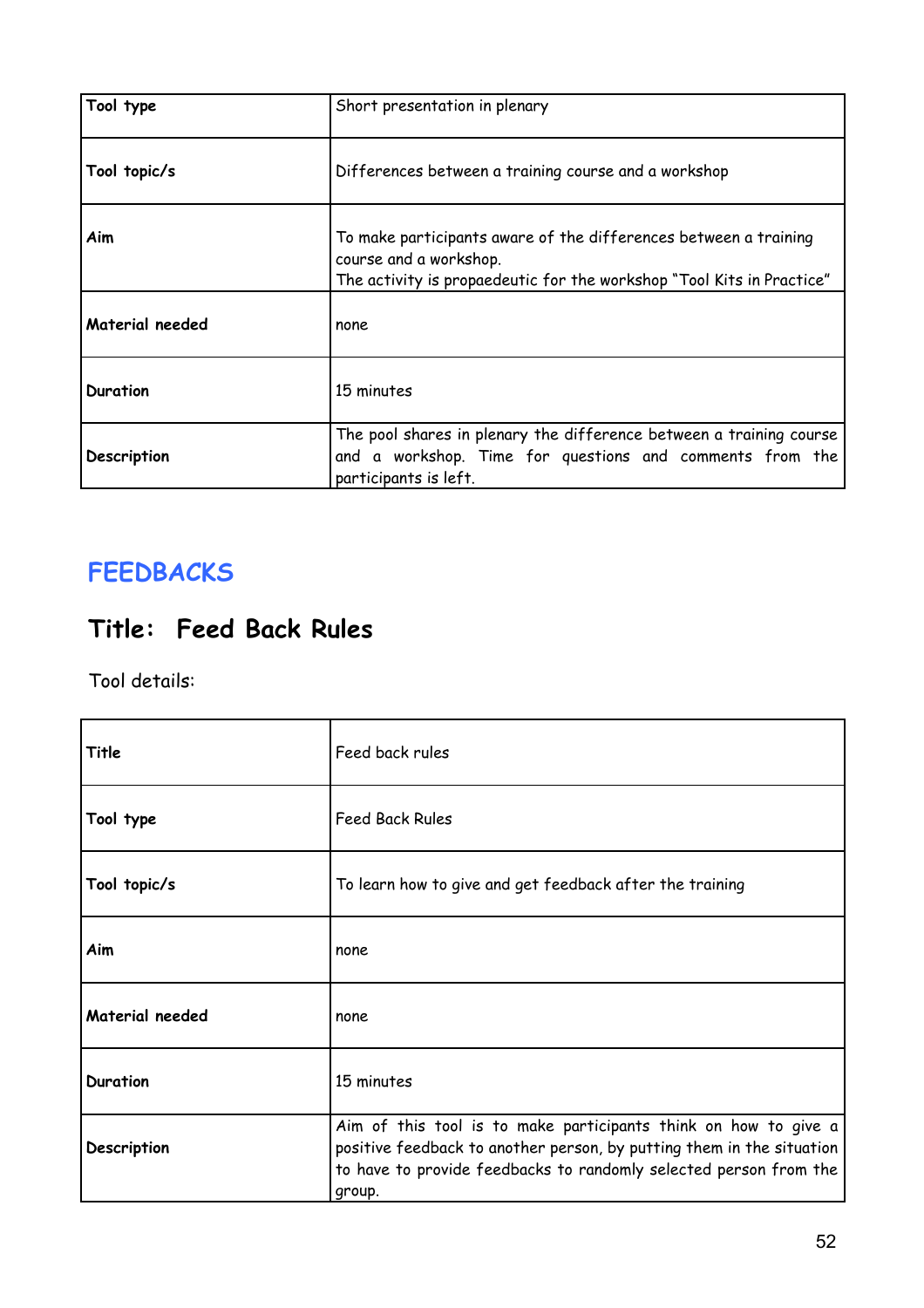| Tool type       | Short presentation in plenary                                                                                                                                       |
|-----------------|---------------------------------------------------------------------------------------------------------------------------------------------------------------------|
| Tool topic/s    | Differences between a training course and a workshop                                                                                                                |
| Aim             | To make participants aware of the differences between a training<br>course and a workshop.<br>The activity is propaedeutic for the workshop "Tool Kits in Practice" |
| Material needed | none                                                                                                                                                                |
| Duration        | 15 minutes                                                                                                                                                          |
| Description     | The pool shares in plenary the difference between a training course<br>and a workshop. Time for questions and comments from the<br>participants is left.            |

### **FEEDBACKS**

### **Title: Feed Back Rules**

| Title           | Feed back rules                                                                                                                                                                                                         |
|-----------------|-------------------------------------------------------------------------------------------------------------------------------------------------------------------------------------------------------------------------|
| Tool type       | <b>Feed Back Rules</b>                                                                                                                                                                                                  |
| Tool topic/s    | To learn how to give and get feedback after the training                                                                                                                                                                |
| Aim             | none                                                                                                                                                                                                                    |
| Material needed | none                                                                                                                                                                                                                    |
| Duration        | 15 minutes                                                                                                                                                                                                              |
| Description     | Aim of this tool is to make participants think on how to give a<br>positive feedback to another person, by putting them in the situation<br>to have to provide feedbacks to randomly selected person from the<br>group. |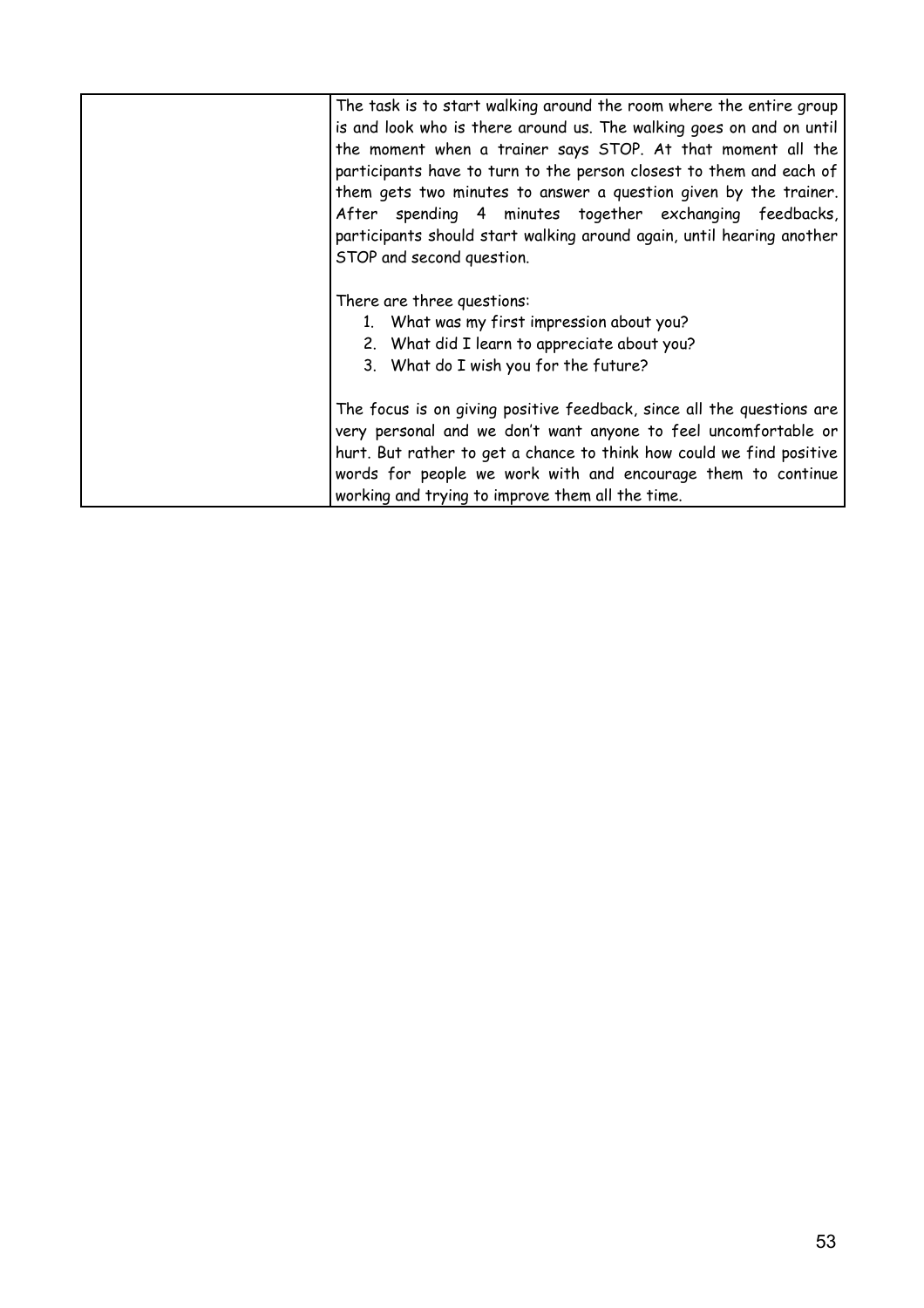| The task is to start walking around the room where the entire group<br>is and look who is there around us. The walking goes on and on until<br>the moment when a trainer says STOP. At that moment all the<br>participants have to turn to the person closest to them and each of<br>them gets two minutes to answer a question given by the trainer.<br>After spending 4 minutes together exchanging feedbacks,<br>participants should start walking around again, until hearing another<br>STOP and second question. |
|------------------------------------------------------------------------------------------------------------------------------------------------------------------------------------------------------------------------------------------------------------------------------------------------------------------------------------------------------------------------------------------------------------------------------------------------------------------------------------------------------------------------|
| There are three questions:<br>1. What was my first impression about you?<br>2. What did I learn to appreciate about you?<br>3. What do I wish you for the future?                                                                                                                                                                                                                                                                                                                                                      |
| The focus is on giving positive feedback, since all the questions are<br>very personal and we don't want anyone to feel uncomfortable or<br>hurt. But rather to get a chance to think how could we find positive<br>words for people we work with and encourage them to continue<br>working and trying to improve them all the time.                                                                                                                                                                                   |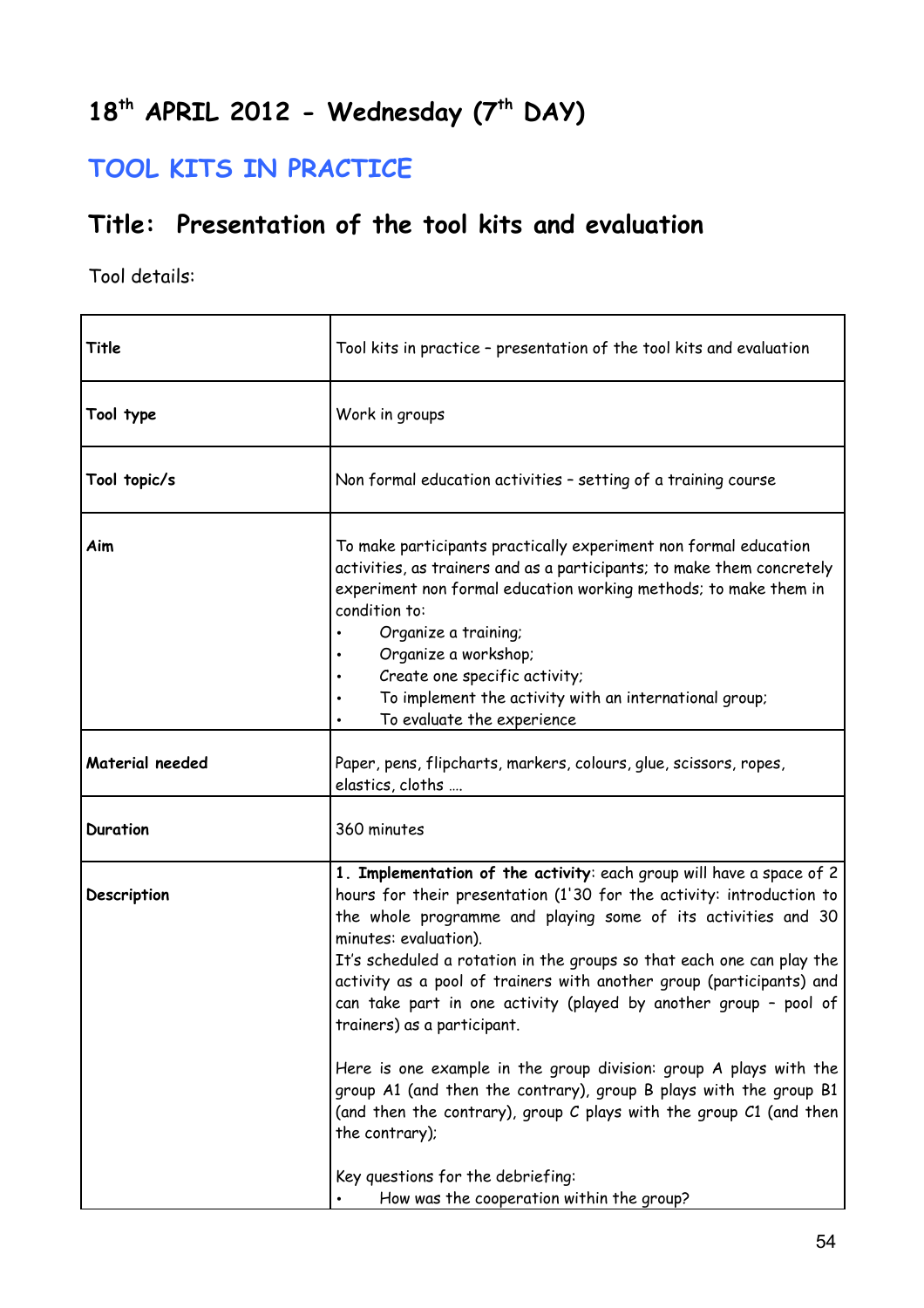## **18th APRIL 2012 - Wednesday (7th DAY)**

### **TOOL KITS IN PRACTICE**

### **Title: Presentation of the tool kits and evaluation**

| Title           | Tool kits in practice - presentation of the tool kits and evaluation                                                                                                                                                                                                                                                                                                                                                                                                                                                                                                                                                                                                                                                         |
|-----------------|------------------------------------------------------------------------------------------------------------------------------------------------------------------------------------------------------------------------------------------------------------------------------------------------------------------------------------------------------------------------------------------------------------------------------------------------------------------------------------------------------------------------------------------------------------------------------------------------------------------------------------------------------------------------------------------------------------------------------|
| Tool type       | Work in groups                                                                                                                                                                                                                                                                                                                                                                                                                                                                                                                                                                                                                                                                                                               |
| Tool topic/s    | Non formal education activities - setting of a training course                                                                                                                                                                                                                                                                                                                                                                                                                                                                                                                                                                                                                                                               |
| Aim             | To make participants practically experiment non formal education<br>activities, as trainers and as a participants; to make them concretely<br>experiment non formal education working methods; to make them in<br>condition to:<br>Organize a training;<br>Organize a workshop;<br>Create one specific activity;<br>To implement the activity with an international group;<br>To evaluate the experience                                                                                                                                                                                                                                                                                                                     |
| Material needed | Paper, pens, flipcharts, markers, colours, glue, scissors, ropes,<br>elastics, cloths                                                                                                                                                                                                                                                                                                                                                                                                                                                                                                                                                                                                                                        |
| <b>Duration</b> | 360 minutes                                                                                                                                                                                                                                                                                                                                                                                                                                                                                                                                                                                                                                                                                                                  |
| Description     | 1. Implementation of the activity: each group will have a space of 2<br>hours for their presentation (1'30 for the activity: introduction to<br>the whole programme and playing some of its activities and 30<br>minutes: evaluation).<br>It's scheduled a rotation in the groups so that each one can play the<br>activity as a pool of trainers with another group (participants) and<br>can take part in one activity (played by another group - pool of<br>trainers) as a participant.<br>Here is one example in the group division: group A plays with the<br>group A1 (and then the contrary), group B plays with the group B1<br>(and then the contrary), group C plays with the group C1 (and then<br>the contrary); |
|                 | Key questions for the debriefing:<br>How was the cooperation within the group?                                                                                                                                                                                                                                                                                                                                                                                                                                                                                                                                                                                                                                               |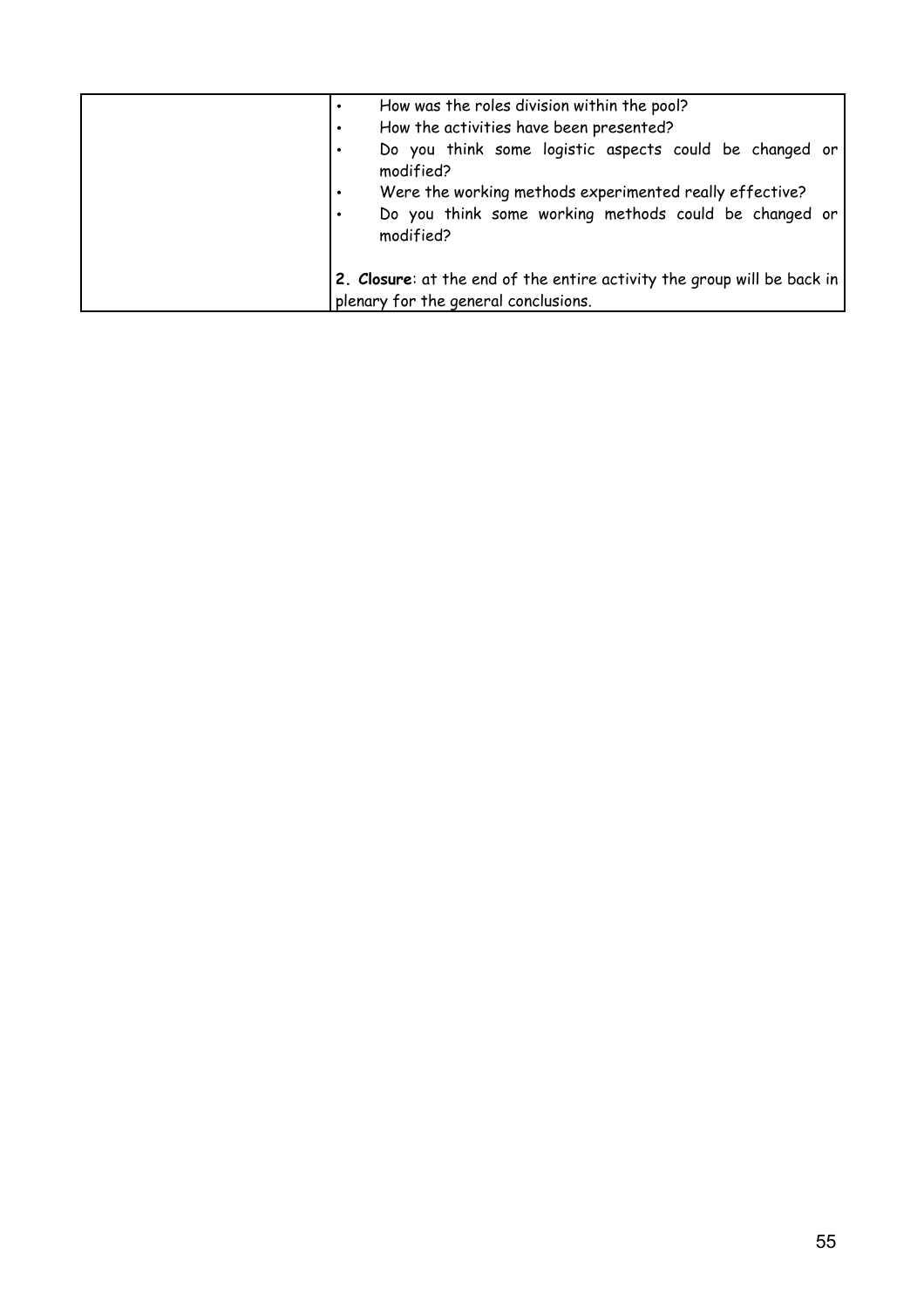| $\bullet$<br>$\bullet$ | How was the roles division within the pool?<br>How the activities have been presented?<br>Do you think some logistic aspects could be changed or<br>modified?<br>Were the working methods experimented really effective?<br>Do you think some working methods could be changed or<br>modified? |
|------------------------|------------------------------------------------------------------------------------------------------------------------------------------------------------------------------------------------------------------------------------------------------------------------------------------------|
|                        | 2. Closure: at the end of the entire activity the group will be back in<br>plenary for the general conclusions.                                                                                                                                                                                |